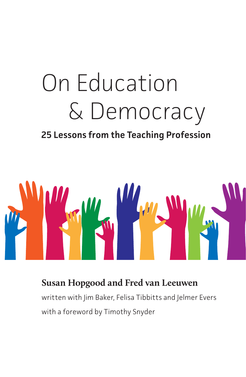# On Education & Democracy

## **25 Lessons from the Teaching Profession**



## **Susan Hopgood and Fred van Leeuwen**

written with Jim Baker, Felisa Tibbitts and Jelmer Evers with a foreword by Timothy Snyder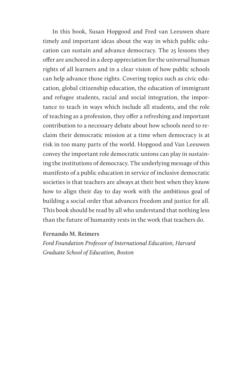In this book, Susan Hopgood and Fred van Leeuwen share timely and important ideas about the way in which public education can sustain and advance democracy. The 25 lessons they offer are anchored in a deep appreciation for the universal human rights of all learners and in a clear vision of how public schools can help advance those rights. Covering topics such as civic education, global citizenship education, the education of immigrant and refugee students, racial and social integration, the importance to teach in ways which include all students, and the role of teaching as a profession, they offer a refreshing and important contribution to a necessary debate about how schools need to reclaim their democratic mission at a time when democracy is at risk in too many parts of the world. Hopgood and Van Leeuwen convey the important role democratic unions can play in sustaining the institutions of democracy. The underlying message of this manifesto of a public education in service of inclusive democratic societies is that teachers are always at their best when they know how to align their day to day work with the ambitious goal of building a social order that advances freedom and justice for all. This book should be read by all who understand that nothing less than the future of humanity rests in the work that teachers do.

#### **Fernando M. Reimers**

*Ford Foundation Professor of International Education, Harvard Graduate School of Education, Boston*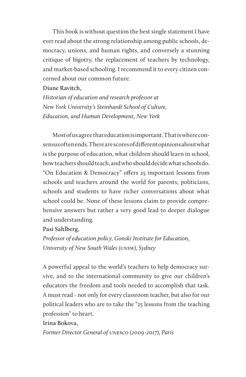This book is without question the best single statement I have ever read about the strong relationship among public schools, democracy, unions, and human rights, and conversely a stunning critique of bigotry, the replacement of teachers by technology, and market-based schooling. I recommend it to every citizen concerned about our common future.

**Diane Ravitch,** 

*Historian of education and research professor at New York University's Steinhardt School of Culture, Education, and Human Development, New York*

Most of us agree that education is important. That is where consensus often ends. There are scores of different opinions about what is the purpose of education, what children should learn in school, how teachers should teach, and who should decide what schools do. "On Education & Democracy" offers 25 important lessons from schools and teachers around the world for parents, politicians, schools and students to have richer conversations about what school could be. None of these lessons claim to provide comprehensive answers but rather a very good lead to deeper dialogue and understanding.

**Pasi Sahlberg**,

*Professor of education policy, Gonski Institute for Education, University of New South Wales (unsw), Sydney*

A powerful appeal to the world's teachers to help democracy survive, and to the international community to give our children's educators the freedom and tools needed to accomplish that task. A must read - not only for every classroom teacher, but also for our political leaders who are to take the "25 lessons from the teaching profession" to heart.

#### **Irina Bokova**,

*Former Director General of unesco (2009-2017), Paris*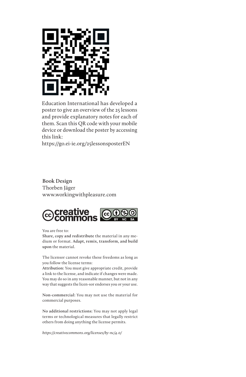

Education International has developed a poster to give an overview of the 25 lessons and provide explanatory notes for each of them. Scan this QR code with your mobile device or download the poster by accessing this link:

https://go.ei-ie.org/25lessonsposterEN

**Book Design** Thorben Jäger www.workingwithpleasure.com



You are free to:

**Share, copy and redistribute** the material in any medium or format. **Adapt, remix, transform, and build upon** the material.

The licensor cannot revoke these freedoms as long as you follow the license terms:

**Attribution:** You must give appropriate credit, provide a link to the license, and indicate if changes were made. You may do so in any reasonable manner, but not in any way that suggests the licen-sor endorses you or your use.

**Non-commercial:** You may not use the material for commercial purposes.

**No additional restrictions:** You may not apply legal terms or technological measures that legally restrict others from doing anything the license permits.

*https://creativecommons.org/licenses/by-nc/4.0/*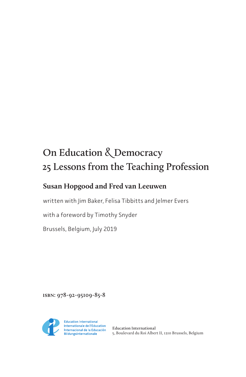# **On Education** & **Democracy 25 Lessons from the Teaching Profession**

#### **Susan Hopgood and Fred van Leeuwen**

written with Jim Baker, Felisa Tibbitts and Jelmer Evers

with a foreword by Timothy Snyder

Brussels, Belgium, July 2019

**isbn: 978-92-95109-85-8**



**Education International**  5, Boulevard du Roi Albert II, 1210 Brussels, Belgium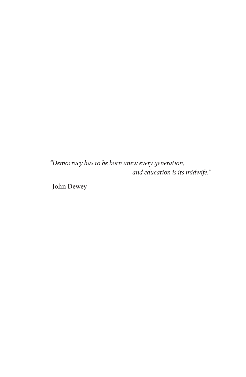*"Democracy has to be born anew every generation, and education is its midwife."*

**John Dewey**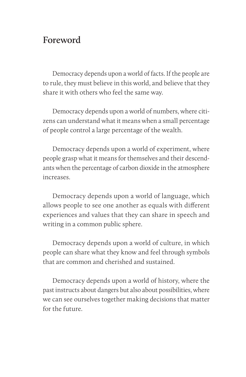## **Foreword**

Democracy depends upon a world of facts. If the people are to rule, they must believe in this world, and believe that they share it with others who feel the same way.

Democracy depends upon a world of numbers, where citizens can understand what it means when a small percentage of people control a large percentage of the wealth.

Democracy depends upon a world of experiment, where people grasp what it means for themselves and their descendants when the percentage of carbon dioxide in the atmosphere increases.

Democracy depends upon a world of language, which allows people to see one another as equals with different experiences and values that they can share in speech and writing in a common public sphere.

Democracy depends upon a world of culture, in which people can share what they know and feel through symbols that are common and cherished and sustained.

Democracy depends upon a world of history, where the past instructs about dangers but also about possibilities, where we can see ourselves together making decisions that matter for the future.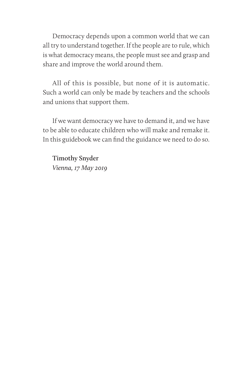Democracy depends upon a common world that we can all try to understand together. If the people are to rule, which is what democracy means, the people must see and grasp and share and improve the world around them.

All of this is possible, but none of it is automatic. Such a world can only be made by teachers and the schools and unions that support them.

If we want democracy we have to demand it, and we have to be able to educate children who will make and remake it. In this guidebook we can find the guidance we need to do so.

**Timothy Snyder** *Vienna, 17 May 2019*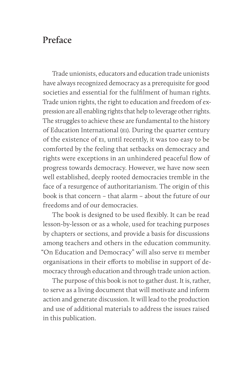## **Preface**

Trade unionists, educators and education trade unionists have always recognized democracy as a prerequisite for good societies and essential for the fulfilment of human rights. Trade union rights, the right to education and freedom of expression are all enabling rights that help to leverage other rights. The struggles to achieve these are fundamental to the history of Education International (ei). During the quarter century of the existence of ei, until recently, it was too easy to be comforted by the feeling that setbacks on democracy and rights were exceptions in an unhindered peaceful flow of progress towards democracy. However, we have now seen well established, deeply rooted democracies tremble in the face of a resurgence of authoritarianism. The origin of this book is that concern – that alarm – about the future of our freedoms and of our democracies.

The book is designed to be used flexibly. It can be read lesson-by-lesson or as a whole, used for teaching purposes by chapters or sections, and provide a basis for discussions among teachers and others in the education community. "On Education and Democracy" will also serve ei member organisations in their efforts to mobilise in support of democracy through education and through trade union action.

The purpose of this book is not to gather dust. It is, rather, to serve as a living document that will motivate and inform action and generate discussion. It will lead to the production and use of additional materials to address the issues raised in this publication.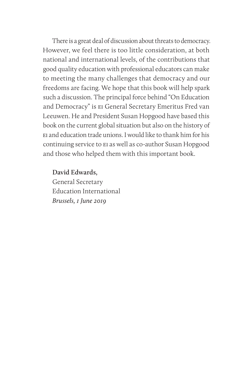There is a great deal of discussion about threats to democracy. However, we feel there is too little consideration, at both national and international levels, of the contributions that good quality education with professional educators can make to meeting the many challenges that democracy and our freedoms are facing. We hope that this book will help spark such a discussion. The principal force behind "On Education and Democracy" is ei General Secretary Emeritus Fred van Leeuwen. He and President Susan Hopgood have based this book on the current global situation but also on the history of ei and education trade unions. I would like to thank him for his continuing service to ei as well as co-author Susan Hopgood and those who helped them with this important book.

#### **David Edwards,**

General Secretary Education International *Brussels, 1 June 2019*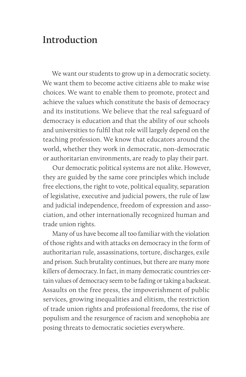## **Introduction**

We want our students to grow up in a democratic society. We want them to become active citizens able to make wise choices. We want to enable them to promote, protect and achieve the values which constitute the basis of democracy and its institutions. We believe that the real safeguard of democracy is education and that the ability of our schools and universities to fulfil that role will largely depend on the teaching profession. We know that educators around the world, whether they work in democratic, non-democratic or authoritarian environments, are ready to play their part.

Our democratic political systems are not alike. However, they are guided by the same core principles which include free elections, the right to vote, political equality, separation of legislative, executive and judicial powers, the rule of law and judicial independence, freedom of expression and association, and other internationally recognized human and trade union rights.

Many of us have become all too familiar with the violation of those rights and with attacks on democracy in the form of authoritarian rule, assassinations, torture, discharges, exile and prison. Such brutality continues, but there are many more killers of democracy. In fact, in many democratic countries certain values of democracy seem to be fading or taking a backseat. Assaults on the free press, the impoverishment of public services, growing inequalities and elitism, the restriction of trade union rights and professional freedoms, the rise of populism and the resurgence of racism and xenophobia are posing threats to democratic societies everywhere.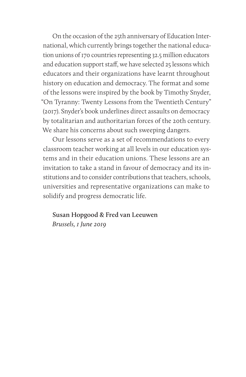On the occasion of the 25th anniversary of Education International, which currently brings together the national education unions of 170 countries representing 32.5 million educators and education support staff, we have selected 25 lessons which educators and their organizations have learnt throughout history on education and democracy. The format and some of the lessons were inspired by the book by Timothy Snyder, "On Tyranny: Twenty Lessons from the Twentieth Century" (2017). Snyder's book underlines direct assaults on democracy by totalitarian and authoritarian forces of the 20th century. We share his concerns about such sweeping dangers.

Our lessons serve as a set of recommendations to every classroom teacher working at all levels in our education systems and in their education unions. These lessons are an invitation to take a stand in favour of democracy and its institutions and to consider contributions that teachers, schools, universities and representative organizations can make to solidify and progress democratic life.

**Susan Hopgood & Fred van Leeuwen** *Brussels, 1 June 2019*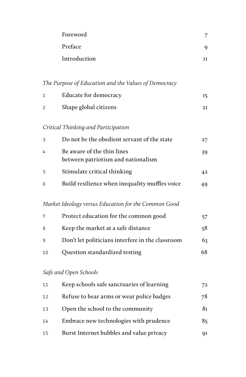|              | Foreword                                                         | 7  |
|--------------|------------------------------------------------------------------|----|
|              | Preface                                                          | 9  |
|              | Introduction                                                     | II |
|              |                                                                  |    |
|              | The Purpose of Education and the Values of Democracy             |    |
| $\mathbf{1}$ | <b>Educate for democracy</b>                                     | 15 |
| 2            | Shape global citizens                                            | 2I |
|              | Critical Thinking and Participation                              |    |
| 3            | Do not be the obedient servant of the state                      | 27 |
| 4            | Be aware of the thin lines<br>between patriotism and nationalism | 39 |
| 5            | Stimulate critical thinking                                      | 42 |
| 6            | Build resilience when inequality muffles voice                   | 49 |
|              | Market Ideology versus Education for the Common Good             |    |
| 7            | Protect education for the common good                            | 57 |
| 8            | Keep the market at a safe distance                               | 58 |
| 9            | Don't let politicians interfere in the classroom                 | 63 |
| 10           | Question standardized testing                                    | 68 |
|              | Safe and Open Schools                                            |    |
| 11           | Keep schools safe sanctuaries of learning                        | 72 |
| 12           | Refuse to bear arms or wear police badges                        | 78 |
| 13           | Open the school to the community                                 | 81 |
| 14           | Embrace new technologies with prudence                           | 85 |
| 15           | Burst Internet bubbles and value privacy                         | 9I |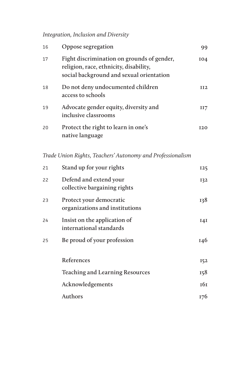#### *Integration, Inclusion and Diversity*

| 16 | Oppose segregation                                                                                                               | 99              |
|----|----------------------------------------------------------------------------------------------------------------------------------|-----------------|
| 17 | Fight discrimination on grounds of gender,<br>religion, race, ethnicity, disability,<br>social background and sexual orientation | 104             |
| 18 | Do not deny undocumented children<br>access to schools                                                                           | II <sub>2</sub> |
| 19 | Advocate gender equity, diversity and<br>inclusive classrooms                                                                    | II7             |
| 20 | Protect the right to learn in one's<br>native language                                                                           | 120             |
|    | Trade Union Rights, Teachers' Autonomy and Professionalism                                                                       |                 |
| 21 | Stand up for your rights                                                                                                         | <b>I25</b>      |
| 22 | Defend and extend your<br>collective bargaining rights                                                                           | 132             |
| 23 | Protect your democratic<br>organizations and institutions                                                                        | 138             |
| 24 | Insist on the application of<br>international standards                                                                          | <b>141</b>      |
| 25 | Be proud of your profession                                                                                                      | 146             |
|    | References                                                                                                                       | <b>152</b>      |
|    | <b>Teaching and Learning Resources</b>                                                                                           | 158             |
|    | Acknowledgements                                                                                                                 | 16 <sup>I</sup> |
|    | Authors                                                                                                                          | 176             |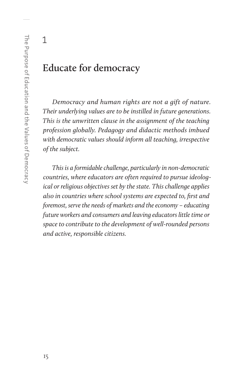1

## **Educate for democracy**

*Democracy and human rights are not a gift of nature. Their underlying values are to be instilled in future generations. This is the unwritten clause in the assignment of the teaching profession globally. Pedagogy and didactic methods imbued with democratic values should inform all teaching, irrespective of the subject.*

*This is a formidable challenge, particularly in non-democratic countries, where educators are often required to pursue ideological or religious objectives set by the state. This challenge applies also in countries where school systems are expected to, first and foremost, serve the needs of markets and the economy – educating future workers and consumers and leaving educators little time or space to contribute to the development of well-rounded persons and active, responsible citizens.*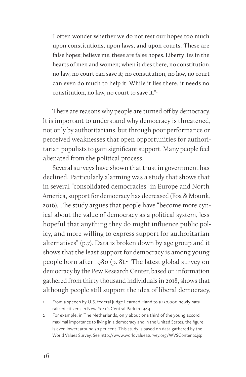"I often wonder whether we do not rest our hopes too much upon constitutions, upon laws, and upon courts. These are false hopes; believe me, these are false hopes. Liberty lies in the hearts of men and women; when it dies there, no constitution, no law, no court can save it; no constitution, no law, no court can even do much to help it. While it lies there, it needs no constitution, no law, no court to save it."1

There are reasons why people are turned off by democracy. It is important to understand why democracy is threatened, not only by authoritarians, but through poor performance or perceived weaknesses that open opportunities for authoritarian populists to gain significant support. Many people feel alienated from the political process.

Several surveys have shown that trust in government has declined. Particularly alarming was a study that shows that in several "consolidated democracies" in Europe and North America, support for democracy has decreased (Foa & Mounk, 2016). The study argues that people have "become more cynical about the value of democracy as a political system, less hopeful that anything they do might influence public policy, and more willing to express support for authoritarian alternatives" (p.7). Data is broken down by age group and it shows that the least support for democracy is among young people born after 1980 (p. 8).<sup>2</sup> The latest global survey on democracy by the Pew Research Center, based on information gathered from thirty thousand individuals in 2018, shows that although people still support the idea of liberal democracy,

2 For example, in The Netherlands, only about one third of the young accord maximal importance to living in a democracy and in the United States, the figure is even lower; around 30 per cent. This study is based on data gathered by the World Values Survey. See http://www.worldvaluessurvey.org/WVSContents.jsp

<sup>1</sup> From a speech by U.S. federal judge Learned Hand to a 150,000 newly naturalized citizens in New York's Central Park in 1944.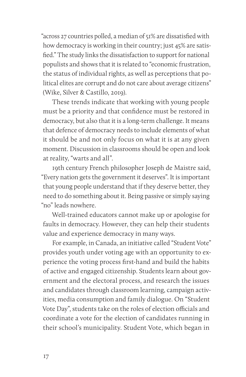"across 27 countries polled, a median of 51% are dissatisfied with how democracy is working in their country; just 45% are satisfied." The study links the dissatisfaction to support for national populists and shows that it is related to "economic frustration, the status of individual rights, as well as perceptions that political elites are corrupt and do not care about average citizens" (Wike, Silver & Castillo, 2019).

These trends indicate that working with young people must be a priority and that confidence must be restored in democracy, but also that it is a long-term challenge. It means that defence of democracy needs to include elements of what it should be and not only focus on what it is at any given moment. Discussion in classrooms should be open and look at reality, "warts and all".

19th century French philosopher Joseph de Maistre said, "Every nation gets the government it deserves". It is important that young people understand that if they deserve better, they need to do something about it. Being passive or simply saying "no" leads nowhere.

Well-trained educators cannot make up or apologise for faults in democracy. However, they can help their students value and experience democracy in many ways.

For example, in Canada, an initiative called "Student Vote" provides youth under voting age with an opportunity to experience the voting process first-hand and build the habits of active and engaged citizenship. Students learn about government and the electoral process, and research the issues and candidates through classroom learning, campaign activities, media consumption and family dialogue. On "Student Vote Day", students take on the roles of election officials and coordinate a vote for the election of candidates running in their school's municipality. Student Vote, which began in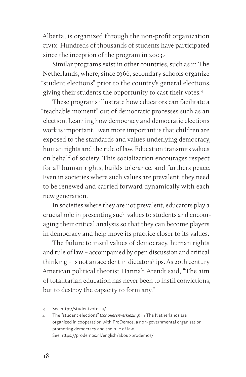Alberta, is organized through the non-profit organization civix. Hundreds of thousands of students have participated since the inception of the program in 2003.<sup>3</sup>

Similar programs exist in other countries, such as in The Netherlands, where, since 1966, secondary schools organize "student elections" prior to the country's general elections, giving their students the opportunity to cast their votes.4

These programs illustrate how educators can facilitate a "teachable moment" out of democratic processes such as an election. Learning how democracy and democratic elections work is important. Even more important is that children are exposed to the standards and values underlying democracy, human rights and the rule of law. Education transmits values on behalf of society. This socialization encourages respect for all human rights, builds tolerance, and furthers peace. Even in societies where such values are prevalent, they need to be renewed and carried forward dynamically with each new generation.

In societies where they are not prevalent, educators play a crucial role in presenting such values to students and encouraging their critical analysis so that they can become players in democracy and help move its practice closer to its values.

The failure to instil values of democracy, human rights and rule of law – accompanied by open discussion and critical thinking – is not an accident in dictatorships. As 20th century American political theorist Hannah Arendt said, "The aim of totalitarian education has never been to instil convictions, but to destroy the capacity to form any."

4 The "student elections" (*scholierenverkiezing*) in The Netherlands are organized in cooperation with ProDemos, a non-governmental organisation promoting democracy and the rule of law. See https://prodemos.nl/english/about-prodemos/

<sup>3</sup> See http://studentvote.ca/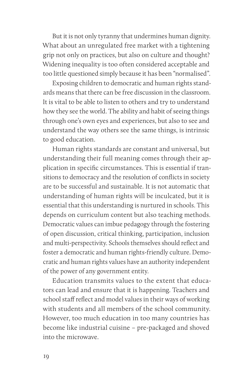But it is not only tyranny that undermines human dignity. What about an unregulated free market with a tightening grip not only on practices, but also on culture and thought? Widening inequality is too often considered acceptable and too little questioned simply because it has been "normalised".

Exposing children to democratic and human rights standards means that there can be free discussion in the classroom. It is vital to be able to listen to others and try to understand how they see the world. The ability and habit of seeing things through one's own eyes and experiences, but also to see and understand the way others see the same things, is intrinsic to good education.

Human rights standards are constant and universal, but understanding their full meaning comes through their application in specific circumstances. This is essential if transitions to democracy and the resolution of conflicts in society are to be successful and sustainable. It is not automatic that understanding of human rights will be inculcated, but it is essential that this understanding is nurtured in schools. This depends on curriculum content but also teaching methods. Democratic values can imbue pedagogy through the fostering of open discussion, critical thinking, participation, inclusion and multi-perspectivity. Schools themselves should reflect and foster a democratic and human rights-friendly culture. Democratic and human rights values have an authority independent of the power of any government entity.

Education transmits values to the extent that educators can lead and ensure that it is happening. Teachers and school staff reflect and model values in their ways of working with students and all members of the school community. However, too much education in too many countries has become like industrial cuisine – pre-packaged and shoved into the microwave.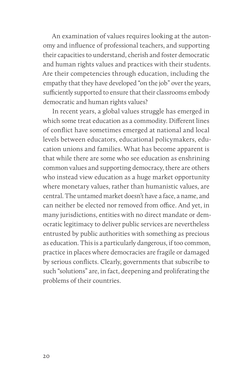An examination of values requires looking at the autonomy and influence of professional teachers, and supporting their capacities to understand, cherish and foster democratic and human rights values and practices with their students. Are their competencies through education, including the empathy that they have developed "on the job" over the years, sufficiently supported to ensure that their classrooms embody democratic and human rights values?

In recent years, a global values struggle has emerged in which some treat education as a commodity. Different lines of conflict have sometimes emerged at national and local levels between educators, educational policymakers, education unions and families. What has become apparent is that while there are some who see education as enshrining common values and supporting democracy, there are others who instead view education as a huge market opportunity where monetary values, rather than humanistic values, are central. The untamed market doesn't have a face, a name, and can neither be elected nor removed from office. And yet, in many jurisdictions, entities with no direct mandate or democratic legitimacy to deliver public services are nevertheless entrusted by public authorities with something as precious as education. This is a particularly dangerous, if too common, practice in places where democracies are fragile or damaged by serious conflicts. Clearly, governments that subscribe to such "solutions" are, in fact, deepening and proliferating the problems of their countries.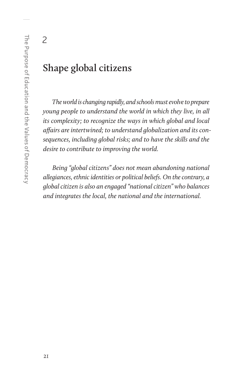2

# **Shape global citizens**

*The world is changing rapidly, and schools must evolve to prepare young people to understand the world in which they live, in all its complexity; to recognize the ways in which global and local affairs are intertwined; to understand globalization and its consequences, including global risks; and to have the skills and the desire to contribute to improving the world.*

*Being "global citizens" does not mean abandoning national allegiances, ethnic identities or political beliefs. On the contrary, a global citizen is also an engaged "national citizen" who balances and integrates the local, the national and the international.*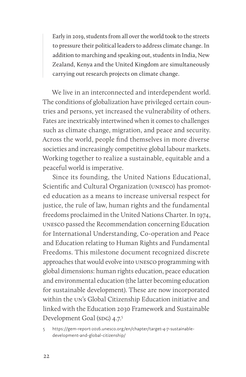Early in 2019, students from all over the world took to the streets to pressure their political leaders to address climate change. In addition to marching and speaking out, students in India, New Zealand, Kenya and the United Kingdom are simultaneously carrying out research projects on climate change.

We live in an interconnected and interdependent world. The conditions of globalization have privileged certain countries and persons, yet increased the vulnerability of others. Fates are inextricably intertwined when it comes to challenges such as climate change, migration, and peace and security. Across the world, people find themselves in more diverse societies and increasingly competitive global labour markets. Working together to realize a sustainable, equitable and a peaceful world is imperative.

Since its founding, the United Nations Educational, Scientific and Cultural Organization (unesco) has promoted education as a means to increase universal respect for justice, the rule of law, human rights and the fundamental freedoms proclaimed in the United Nations Charter. In 1974, unesco passed the Recommendation concerning Education for International Understanding, Co-operation and Peace and Education relating to Human Rights and Fundamental Freedoms. This milestone document recognized discrete approaches that would evolve into unesco programming with global dimensions: human rights education, peace education and environmental education (the latter becoming education for sustainable development). These are now incorporated within the un's Global Citizenship Education initiative and linked with the Education 2030 Framework and Sustainable Development Goal (spg) 4.7.5

5 https://gem-report-2016.unesco.org/en/chapter/target-4-7-sustainabledevelopment-and-global-citizenship/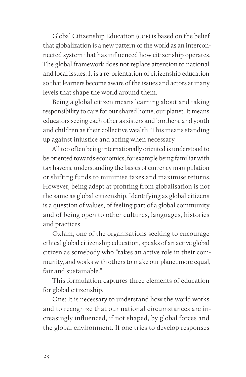Global Citizenship Education (gce) is based on the belief that globalization is a new pattern of the world as an interconnected system that has influenced how citizenship operates. The global framework does not replace attention to national and local issues. It is a re-orientation of citizenship education so that learners become aware of the issues and actors at many levels that shape the world around them.

Being a global citizen means learning about and taking responsibility to care for our shared home, our planet. It means educators seeing each other as sisters and brothers, and youth and children as their collective wealth. This means standing up against injustice and acting when necessary.

All too often being internationally oriented is understood to be oriented towards economics, for example being familiar with tax havens, understanding the basics of currency manipulation or shifting funds to minimise taxes and maximise returns. However, being adept at profiting from globalisation is not the same as global citizenship. Identifying as global citizens is a question of values, of feeling part of a global community and of being open to other cultures, languages, histories and practices.

Oxfam, one of the organisations seeking to encourage ethical global citizenship education, speaks of an active global citizen as somebody who "takes an active role in their community, and works with others to make our planet more equal, fair and sustainable."

This formulation captures three elements of education for global citizenship.

One: It is necessary to understand how the world works and to recognize that our national circumstances are increasingly influenced, if not shaped, by global forces and the global environment. If one tries to develop responses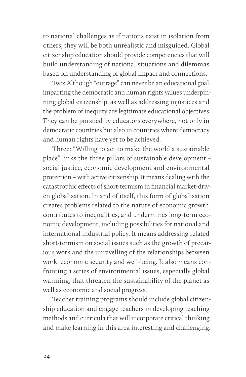to national challenges as if nations exist in isolation from others, they will be both unrealistic and misguided. Global citizenship education should provide competencies that will build understanding of national situations and dilemmas based on understanding of global impact and connections.

Two: Although "outrage" can never be an educational goal, imparting the democratic and human rights values underpinning global citizenship, as well as addressing injustices and the problem of inequity are legitimate educational objectives. They can be pursued by educators everywhere, not only in democratic countries but also in countries where democracy and human rights have yet to be achieved.

Three: "Willing to act to make the world a sustainable place" links the three pillars of sustainable development – social justice, economic development and environmental protection – with active citizenship. It means dealing with the catastrophic effects of short-termism in financial market-driven globalisation. In and of itself, this form of globalisation creates problems related to the nature of economic growth, contributes to inequalities, and undermines long-term economic development, including possibilities for national and international industrial policy. It means addressing related short-termism on social issues such as the growth of precarious work and the unravelling of the relationships between work, economic security and well-being. It also means confronting a series of environmental issues, especially global warming, that threaten the sustainability of the planet as well as economic and social progress.

Teacher training programs should include global citizenship education and engage teachers in developing teaching methods and curricula that will incorporate critical thinking and make learning in this area interesting and challenging.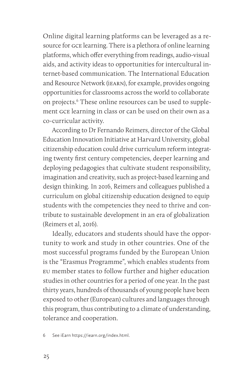Online digital learning platforms can be leveraged as a resource for gce learning. There is a plethora of online learning platforms, which offer everything from readings, audio-visual aids, and activity ideas to opportunities for intercultural internet-based communication. The International Education and Resource Network (iearn), for example, provides ongoing opportunities for classrooms across the world to collaborate on projects.6 These online resources can be used to supplement gce learning in class or can be used on their own as a co-curricular activity.

According to Dr Fernando Reimers, director of the Global Education Innovation Initiative at Harvard University, global citizenship education could drive curriculum reform integrating twenty first century competencies, deeper learning and deploying pedagogies that cultivate student responsibility, imagination and creativity, such as project-based learning and design thinking. In 2016, Reimers and colleagues published a curriculum on global citizenship education designed to equip students with the competencies they need to thrive and contribute to sustainable development in an era of globalization (Reimers et al, 2016).

Ideally, educators and students should have the opportunity to work and study in other countries. One of the most successful programs funded by the European Union is the "Erasmus Programme", which enables students from eu member states to follow further and higher education studies in other countries for a period of one year. In the past thirty years, hundreds of thousands of young people have been exposed to other (European) cultures and languages through this program, thus contributing to a climate of understanding, tolerance and cooperation.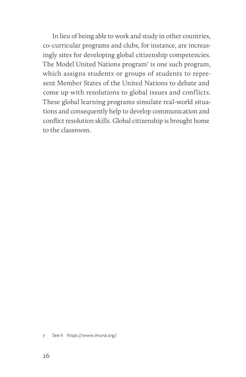In lieu of being able to work and study in other countries, co-curricular programs and clubs, for instance, are increasingly sites for developing global citizenship competencies. The Model United Nations program7 is one such program, which assigns students or groups of students to represent Member States of the United Nations to debate and come up with resolutions to global issues and conflicts. These global learning programs simulate real-world situations and consequently help to develop communication and conflict resolution skills. Global citizenship is brought home to the classroom.

7 See h https://www.imuna.org/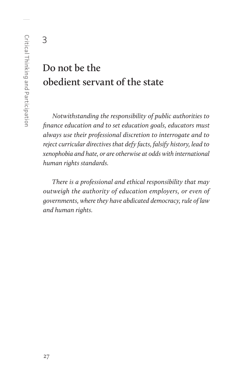3

## **Do not be the obedient servant of the state**

*Notwithstanding the responsibility of public authorities to finance education and to set education goals, educators must always use their professional discretion to interrogate and to reject curricular directives that defy facts, falsify history, lead to xenophobia and hate, or are otherwise at odds with international human rights standards.*

*There is a professional and ethical responsibility that may outweigh the authority of education employers, or even of governments, where they have abdicated democracy, rule of law and human rights.*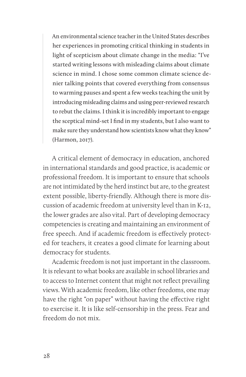An environmental science teacher in the United States describes her experiences in promoting critical thinking in students in light of scepticism about climate change in the media: "I've started writing lessons with misleading claims about climate science in mind. I chose some common climate science denier talking points that covered everything from consensus to warming pauses and spent a few weeks teaching the unit by introducing misleading claims and using peer-reviewed research to rebut the claims. I think it is incredibly important to engage the sceptical mind-set I find in my students, but I also want to make sure they understand how scientists know what they know" (Harmon, 2017).

A critical element of democracy in education, anchored in international standards and good practice, is academic or professional freedom. It is important to ensure that schools are not intimidated by the herd instinct but are, to the greatest extent possible, liberty-friendly. Although there is more discussion of academic freedom at university level than in K-12, the lower grades are also vital. Part of developing democracy competencies is creating and maintaining an environment of free speech. And if academic freedom is effectively protected for teachers, it creates a good climate for learning about democracy for students.

Academic freedom is not just important in the classroom. It is relevant to what books are available in school libraries and to access to Internet content that might not reflect prevailing views. With academic freedom, like other freedoms, one may have the right "on paper" without having the effective right to exercise it. It is like self-censorship in the press. Fear and freedom do not mix.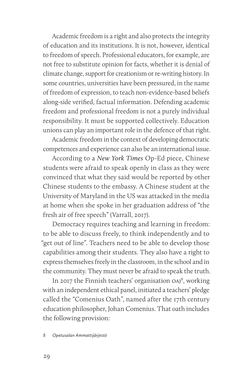Academic freedom is a right and also protects the integrity of education and its institutions. It is not, however, identical to freedom of speech. Professional educators, for example, are not free to substitute opinion for facts, whether it is denial of climate change, support for creationism or re-writing history. In some countries, universities have been pressured, in the name of freedom of expression, to teach non-evidence-based beliefs along-side verified, factual information. Defending academic freedom and professional freedom is not a purely individual responsibility. It must be supported collectively. Education unions can play an important role in the defence of that right.

Academic freedom in the context of developing democratic competences and experience can also be an international issue.

According to a *New York Times* Op-Ed piece, Chinese students were afraid to speak openly in class as they were convinced that what they said would be reported by other Chinese students to the embassy. A Chinese student at the University of Maryland in the US was attacked in the media at home when she spoke in her graduation address of "the fresh air of free speech" (Varrall, 2017).

Democracy requires teaching and learning in freedom: to be able to discuss freely, to think independently and to "get out of line". Teachers need to be able to develop those capabilities among their students. They also have a right to express themselves freely in the classroom, in the school and in the community. They must never be afraid to speak the truth.

In 2017 the Finnish teachers' organisation OAJ<sup>8</sup>, working with an independent ethical panel, initiated a teachers' pledge called the "Comenius Oath", named after the 17th century education philosopher, Johan Comenius. That oath includes the following provision:

#### 8 *Opetusalan Ammattijärjestö*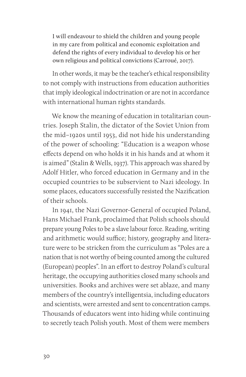I will endeavour to shield the children and young people in my care from political and economic exploitation and defend the rights of every individual to develop his or her own religious and political convictions (Carroué, 2017).

In other words, it may be the teacher's ethical responsibility to not comply with instructions from education authorities that imply ideological indoctrination or are not in accordance with international human rights standards.

We know the meaning of education in totalitarian countries. Joseph Stalin, the dictator of the Soviet Union from the mid–1920s until 1953, did not hide his understanding of the power of schooling: "Education is a weapon whose effects depend on who holds it in his hands and at whom it is aimed" (Stalin & Wells, 1937). This approach was shared by Adolf Hitler, who forced education in Germany and in the occupied countries to be subservient to Nazi ideology. In some places, educators successfully resisted the Nazification of their schools.

In 1941, the Nazi Governor-General of occupied Poland, Hans Michael Frank, proclaimed that Polish schools should prepare young Poles to be a slave labour force. Reading, writing and arithmetic would suffice; history, geography and literature were to be stricken from the curriculum as "Poles are a nation that is not worthy of being counted among the cultured (European) peoples". In an effort to destroy Poland's cultural heritage, the occupying authorities closed many schools and universities. Books and archives were set ablaze, and many members of the country's intelligentsia, including educators and scientists, were arrested and sent to concentration camps. Thousands of educators went into hiding while continuing to secretly teach Polish youth. Most of them were members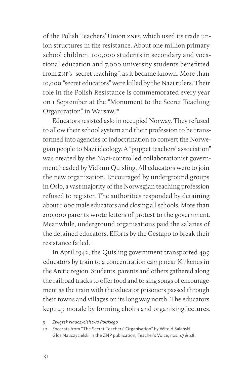of the Polish Teachers' Union znp9 , which used its trade union structures in the resistance. About one million primary school children, 100,000 students in secondary and vocational education and 7,000 university students benefitted from znp's "secret teaching", as it became known. More than 10,000 "secret educators" were killed by the Nazi rulers. Their role in the Polish Resistance is commemorated every year on 1 September at the "Monument to the Secret Teaching Organization" in Warsaw.10

Educators resisted aslo in occupied Norway. They refused to allow their school system and their profession to be transformed into agencies of indoctrination to convert the Norwegian people to Nazi ideology. A "puppet teachers' association" was created by the Nazi-controlled collaborationist government headed by Vidkun Quisling. All educators were to join the new organization. Encouraged by underground groups in Oslo, a vast majority of the Norwegian teaching profession refused to register. The authorities responded by detaining about 1,000 male educators and closing all schools. More than 200,000 parents wrote letters of protest to the government. Meanwhile, underground organisations paid the salaries of the detained educators. Efforts by the Gestapo to break their resistance failed.

In April 1942, the Quisling government transported 499 educators by train to a concentration camp near Kirkenes in the Arctic region. Students, parents and others gathered along the railroad tracks to offer food and to sing songs of encouragement as the train with the educator prisoners passed through their towns and villages on its long way north. The educators kept up morale by forming choirs and organizing lectures.

<sup>9</sup> *Związek Nauczycielstwa Polskiego*

<sup>10</sup> Excerpts from "The Secret Teachers' Organisation" by Witold Salański, Głos Nauczycielski in the ZNP publication, Teacher's Voice, nos. 47 & 48.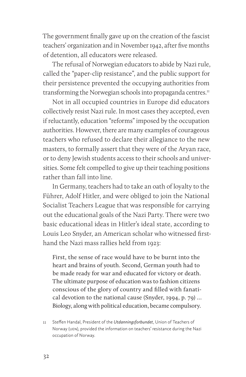The government finally gave up on the creation of the fascist teachers' organization and in November 1942, after five months of detention, all educators were released.

The refusal of Norwegian educators to abide by Nazi rule, called the "paper-clip resistance", and the public support for their persistence prevented the occupying authorities from transforming the Norwegian schools into propaganda centres.<sup>11</sup>

Not in all occupied countries in Europe did educators collectively resist Nazi rule. In most cases they accepted, even if reluctantly, education "reforms" imposed by the occupation authorities. However, there are many examples of courageous teachers who refused to declare their allegiance to the new masters, to formally assert that they were of the Aryan race, or to deny Jewish students access to their schools and universities. Some felt compelled to give up their teaching positions rather than fall into line.

In Germany, teachers had to take an oath of loyalty to the Führer, Adolf Hitler, and were obliged to join the National Socialist Teachers League that was responsible for carrying out the educational goals of the Nazi Party. There were two basic educational ideas in Hitler's ideal state, according to Louis Leo Snyder, an American scholar who witnessed firsthand the Nazi mass rallies held from 1923:

First, the sense of race would have to be burnt into the heart and brains of youth. Second, German youth had to be made ready for war and educated for victory or death. The ultimate purpose of education was to fashion citizens conscious of the glory of country and filled with fanatical devotion to the national cause (Snyder, 1994, p. 79) … Biology, along with political education, became compulsory.

<sup>11</sup> Steffen Handal, President of the *Utdanningsforbundet*, Union of Teachers of Norway (uen), provided the information on teachers' resistance during the Nazi occupation of Norway.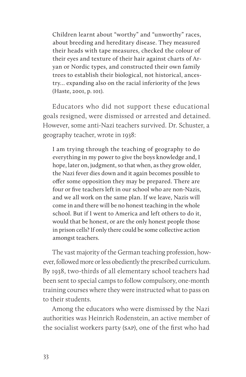Children learnt about "worthy" and "unworthy" races, about breeding and hereditary disease. They measured their heads with tape measures, checked the colour of their eyes and texture of their hair against charts of Aryan or Nordic types, and constructed their own family trees to establish their biological, not historical, ancestry… expanding also on the racial inferiority of the Jews (Haste, 2001, p. 101).

Educators who did not support these educational goals resigned, were dismissed or arrested and detained. However, some anti-Nazi teachers survived. Dr. Schuster, a geography teacher, wrote in 1938:

I am trying through the teaching of geography to do everything in my power to give the boys knowledge and, I hope, later on, judgment, so that when, as they grow older, the Nazi fever dies down and it again becomes possible to offer some opposition they may be prepared. There are four or five teachers left in our school who are non-Nazis, and we all work on the same plan. If we leave, Nazis will come in and there will be no honest teaching in the whole school. But if I went to America and left others to do it, would that be honest, or are the only honest people those in prison cells? If only there could be some collective action amongst teachers.

The vast majority of the German teaching profession, however, followed more or less obediently the prescribed curriculum. By 1938, two-thirds of all elementary school teachers had been sent to special camps to follow compulsory, one-month training courses where they were instructed what to pass on to their students.

Among the educators who were dismissed by the Nazi authorities was Heinrich Rodenstein, an active member of the socialist workers party (sap), one of the first who had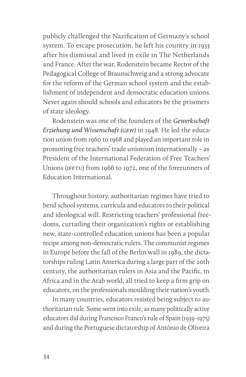publicly challenged the Nazification of Germany's school system. To escape prosecution, he left his country in 1933 after his dismissal and lived in exile in The Netherlands and France. After the war, Rodenstein became Rector of the Pedagogical College of Braunschweig and a strong advocate for the reform of the German school system and the establishment of independent and democratic education unions. Never again should schools and educators be the prisoners of state ideology.

Rodenstein was one of the founders of the *Gewerkschaft Erziehung und Wissenschaft (gew)* in 1948. He led the education union from 1960 to 1968 and played an important role in promoting free teachers' trade unionism internationally – as President of the International Federation of Free Teachers' Unions (IFFTU) from 1966 to 1972, one of the forerunners of Education International.

Throughout history, authoritarian regimes have tried to bend school systems, curricula and educators to their political and ideological will. Restricting teachers' professional freedoms, curtailing their organization's rights or establishing new, state-controlled education unions has been a popular recipe among non-democratic rulers. The communist regimes in Europe before the fall of the Berlin wall in 1989, the dictatorships ruling Latin America during a large part of the 20th century, the authoritarian rulers in Asia and the Pacific, in Africa and in the Arab world, all tried to keep a firm grip on educators, on the professionals moulding their nation's youth.

In many countries, educators resisted being subject to authoritarian rule. Some went into exile, as many politically active educators did during Francisco Franco's rule of Spain (1939-1975) and during the Portuguese dictatorship of António de Oliveira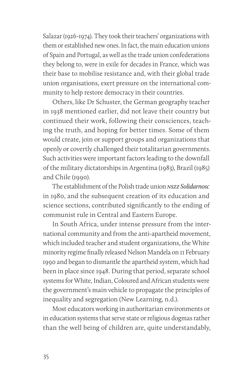Salazar (1926-1974). They took their teachers' organizations with them or established new ones. In fact, the main education unions of Spain and Portugal, as well as the trade union confederations they belong to, were in exile for decades in France, which was their base to mobilise resistance and, with their global trade union organisations, exert pressure on the international community to help restore democracy in their countries.

Others, like Dr Schuster, the German geography teacher in 1938 mentioned earlier, did not leave their country but continued their work, following their consciences, teaching the truth, and hoping for better times. Some of them would create, join or support groups and organizations that openly or covertly challenged their totalitarian governments. Such activities were important factors leading to the downfall of the military dictatorships in Argentina (1983), Brazil (1985) and Chile (1990).

The establishment of the Polish trade union *nszz Solidarnosc* in 1980, and the subsequent creation of its education and science sections, contributed significantly to the ending of communist rule in Central and Eastern Europe.

In South Africa, under intense pressure from the international community and from the anti-apartheid movement, which included teacher and student organizations, the White minority regime finally released Nelson Mandela on 11 February 1990 and began to dismantle the apartheid system, which had been in place since 1948. During that period, separate school systems for White, Indian, Coloured and African students were the government's main vehicle to propagate the principles of inequality and segregation (New Learning, n.d.).

Most educators working in authoritarian environments or in education systems that serve state or religious dogmas rather than the well being of children are, quite understandably,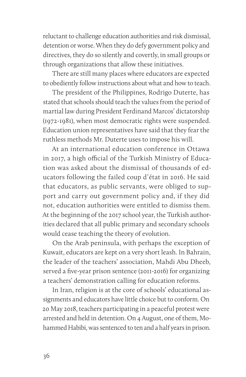reluctant to challenge education authorities and risk dismissal, detention or worse. When they do defy government policy and directives, they do so silently and covertly, in small groups or through organizations that allow these initiatives.

There are still many places where educators are expected to obediently follow instructions about what and how to teach.

The president of the Philippines, Rodrigo Duterte, has stated that schools should teach the values from the period of martial law during President Ferdinand Marcos' dictatorship (1972-1981), when most democratic rights were suspended. Education union representatives have said that they fear the ruthless methods Mr. Duterte uses to impose his will.

At an international education conference in Ottawa in 2017, a high official of the Turkish Ministry of Education was asked about the dismissal of thousands of educators following the failed coup d'état in 2016. He said that educators, as public servants, were obliged to support and carry out government policy and, if they did not, education authorities were entitled to dismiss them. At the beginning of the 2017 school year, the Turkish authorities declared that all public primary and secondary schools would cease teaching the theory of evolution.

On the Arab peninsula, with perhaps the exception of Kuwait, educators are kept on a very short leash. In Bahrain, the leader of the teachers' association, Mahdi Abu Dheeb, served a five-year prison sentence (2011-2016) for organizing a teachers' demonstration calling for education reforms.

In Iran, religion is at the core of schools' educational assignments and educators have little choice but to conform. On 20 May 2018, teachers participating in a peaceful protest were arrested and held in detention. On 4 August, one of them, Mohammed Habibi, was sentenced to ten and a half years in prison.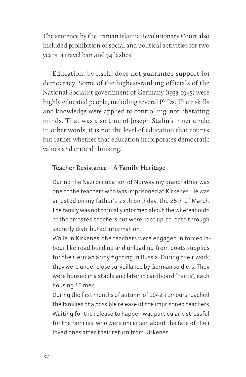The sentence by the Iranian Islamic Revolutionary Court also included prohibition of social and political activities for two years, a travel ban and 74 lashes.

Education, by itself, does not guarantee support for democracy. Some of the highest-ranking officials of the National Socialist government of Germany (1933-1945) were highly educated people, including several PhDs. Their skills and knowledge were applied to controlling, not liberating, minds. That was also true of Joseph Stalin's inner circle. In other words, it is not the level of education that counts, but rather whether that education incorporates democratic values and critical thinking.

#### **Teacher Resistance – A Family Heritage**

During the Nazi occupation of Norway my grandfather was one of the teachers who was imprisoned at Kirkenes. He was arrested on my father's sixth birthday, the 25th of March. The family was not formally informed about the whereabouts of the arrested teachers but were kept up-to-date through secretly distributed information.

While in Kirkenes, the teachers were engaged in forced labour like road building and unloading from boats supplies for the German army fighting in Russia. During their work, they were under close surveillance by German soldiers. They were housed in a stable and later in cardboard "tents", each housing 16 men.

During the first months of autumn of 1942, rumours reached the families of a possible release of the imprisoned teachers. Waiting for the release to happen was particularly stressful for the families, who were uncertain about the fate of their loved ones after their return from Kirkenes…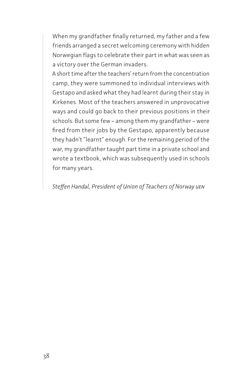When my grandfather finally returned, my father and a few friends arranged a secret welcoming ceremony with hidden Norwegian flags to celebrate their part in what was seen as a victory over the German invaders.

A short time after the teachers' return from the concentration camp, they were summoned to individual interviews with Gestapo and asked what they had learnt during their stay in Kirkenes. Most of the teachers answered in unprovocative ways and could go back to their previous positions in their schools. But some few – among them my grandfather – were fired from their jobs by the Gestapo, apparently because they hadn't "learnt" enough. For the remaining period of the war, my grandfather taught part time in a private school and wrote a textbook, which was subsequently used in schools for many years.

#### *Steffen Handal, President of Union of Teachers of Norway uen*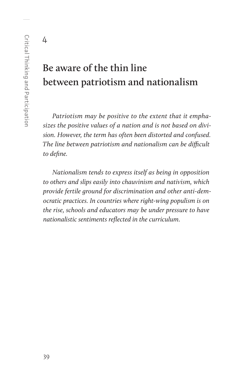$\Delta$ 

# **Be aware of the thin line between patriotism and nationalism**

*Patriotism may be positive to the extent that it emphasizes the positive values of a nation and is not based on division. However, the term has often been distorted and confused. The line between patriotism and nationalism can be difficult to define.*

*Nationalism tends to express itself as being in opposition to others and slips easily into chauvinism and nativism, which provide fertile ground for discrimination and other anti-democratic practices. In countries where right-wing populism is on the rise, schools and educators may be under pressure to have nationalistic sentiments reflected in the curriculum.*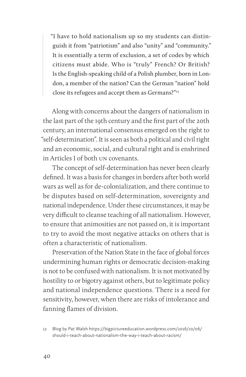"I have to hold nationalism up so my students can distinguish it from "patriotism" and also "unity" and "community." It is essentially a term of exclusion, a set of codes by which citizens must abide. Who is "truly" French? Or British? Is the English-speaking child of a Polish plumber, born in London, a member of the nation? Can the German "nation" hold close its refugees and accept them as Germans?"12

Along with concerns about the dangers of nationalism in the last part of the 19th century and the first part of the 20th century, an international consensus emerged on the right to "self-determination". It is seen as both a political and civil right and an economic, social, and cultural right and is enshrined in Articles I of both un covenants.

The concept of self-determination has never been clearly defined. It was a basis for changes in borders after both world wars as well as for de-colonialization, and there continue to be disputes based on self-determination, sovereignty and national independence. Under these circumstances, it may be very difficult to cleanse teaching of all nationalism. However, to ensure that animosities are not passed on, it is important to try to avoid the most negative attacks on others that is often a characteristic of nationalism.

Preservation of the Nation State in the face of global forces undermining human rights or democratic decision-making is not to be confused with nationalism. It is not motivated by hostility to or bigotry against others, but to legitimate policy and national independence questions. There is a need for sensitivity, however, when there are risks of intolerance and fanning flames of division.

<sup>12</sup> Blog by Pat Walsh https://bigpictureeducation.wordpress.com/2016/10/06/ should-i-teach-about-nationalism-the-way-i-teach-about-racism/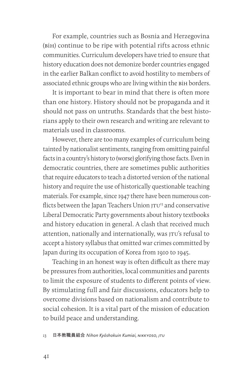For example, countries such as Bosnia and Herzegovina (bih) continue to be ripe with potential rifts across ethnic communities. Curriculum developers have tried to ensure that history education does not demonize border countries engaged in the earlier Balkan conflict to avoid hostility to members of associated ethnic groups who are living within the bih borders.

It is important to bear in mind that there is often more than one history. History should not be propaganda and it should not pass on untruths. Standards that the best historians apply to their own research and writing are relevant to materials used in classrooms.

However, there are too many examples of curriculum being tainted by nationalist sentiments, ranging from omitting painful facts in a country's history to (worse) glorifying those facts. Even in democratic countries, there are sometimes public authorities that require educators to teach a distorted version of the national history and require the use of historically questionable teaching materials. For example, since 1947 there have been numerous conflicts between the Japan Teachers Union  $\text{ITU}^{13}$  and conservative Liberal Democratic Party governments about history textbooks and history education in general. A clash that received much attention, nationally and internationally, was  $\overline{r}$  refusal to accept a history syllabus that omitted war crimes committed by Japan during its occupation of Korea from 1910 to 1945.

Teaching in an honest way is often difficult as there may be pressures from authorities, local communities and parents to limit the exposure of students to different points of view. By stimulating full and fair discussions, educators help to overcome divisions based on nationalism and contribute to social cohesion. It is a vital part of the mission of education to build peace and understanding.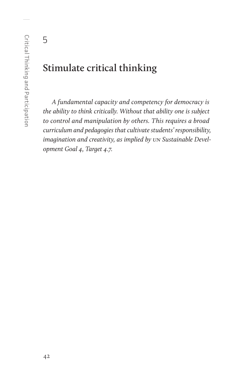5

### **Stimulate critical thinking**

*A fundamental capacity and competency for democracy is the ability to think critically. Without that ability one is subject to control and manipulation by others. This requires a broad curriculum and pedagogies that cultivate students' responsibility, imagination and creativity, as implied by un Sustainable Development Goal 4, Target 4.7.*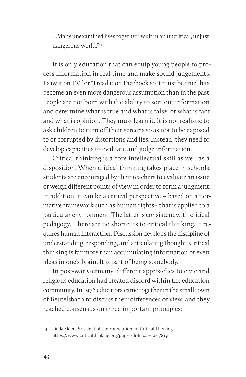"…Many unexamined lives together result in an uncritical, unjust, dangerous world."14

It is only education that can equip young people to process information in real time and make sound judgements. "I saw it on TV" or "I read it on Facebook so it must be true" has become an even more dangerous assumption than in the past. People are not born with the ability to sort out information and determine what is true and what is false, or what is fact and what is opinion. They must learn it. It is not realistic to ask children to turn off their screens so as not to be exposed to or corrupted by distortions and lies. Instead, they need to develop capacities to evaluate and judge information.

Critical thinking is a core intellectual skill as well as a disposition. When critical thinking takes place in schools, students are encouraged by their teachers to evaluate an issue or weigh different points of view in order to form a judgment. In addition, it can be a critical perspective – based on a normative framework such as human rights– that is applied to a particular environment. The latter is consistent with critical pedagogy. There are no shortcuts to critical thinking. It requires human interaction. Discussion develops the discipline of understanding, responding, and articulating thought. Critical thinking is far more than accumulating information or even ideas in one's brain. It is part of being somebody.

In post-war Germany, different approaches to civic and religious education had created discord within the education community. In 1976 educators came together in the small town of Beutelsbach to discuss their differences of view, and they reached consensus on three important principles:

<sup>14</sup> Linda Elder, President of the Foundation for Critical Thinking https://www.criticalthinking.org/pages/dr-linda-elder/819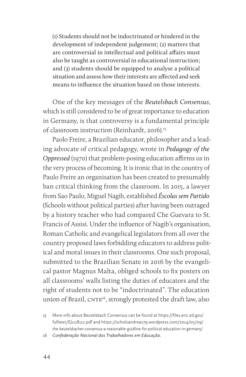(1) Students should not be indoctrinated or hindered in the development of independent judgement; (2) matters that are controversial in intellectual and political affairs must also be taught as controversial in educational instruction; and (3) students should be equipped to analyse a political situation and assess how their interests are affected and seek means to influence the situation based on those interests.

One of the key messages of the *Beutelsbach Consensus*, which is still considered to be of great importance to education in Germany, is that controversy is a fundamental principle of classroom instruction (Reinhardt, 2016).<sup>15</sup>

Paolo Freire, a Brazilian educator, philosopher and a leading advocate of critical pedagogy, wrote in *Pedagogy of the Oppressed* (1970) that problem-posing education affirms us in the very process of becoming. It is ironic that in the country of Paulo Freire an organisation has been created to presumably ban critical thinking from the classroom. In 2015, a lawyer from Sao Paulo, Miguel Nagib, established *Éscolas sem Partido* (Schools without political parties) after having been outraged by a history teacher who had compared Che Guevara to St. Francis of Assisi. Under the influence of Nagib's organisation, Roman Catholic and evangelical legislators from all over the country proposed laws forbidding educators to address political and moral issues in their classrooms. One such proposal, submitted to the Brazilian Senate in 2016 by the evangelical pastor Magnus Malta, obliged schools to fix posters on all classrooms' walls listing the duties of educators and the right of students not to be "indoctrinated". The education union of Brazil, CNTE<sup>16</sup>, strongly protested the draft law, also

<sup>15</sup> More info about Beutelsbach Consensus can be found at https://files.eric.ed.gov/ fulltext/EJ1118112.pdf and https://scholzandreas79.wordpress.com/2014/05/09/ the-beutelsbacher-consensus-a-reasonable-guidline-for-political-education-in-germany/

<sup>16</sup> *Confederação Nacional dos Trabalhadores em Educação.*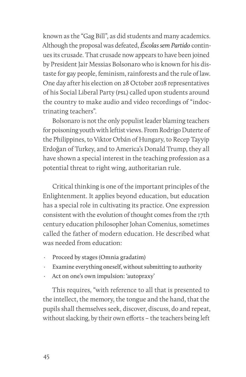known as the "Gag Bill", as did students and many academics. Although the proposal was defeated, *Éscolas sem Partido* continues its crusade. That crusade now appears to have been joined by President Jair Messias Bolsonaro who is known for his distaste for gay people, feminism, rainforests and the rule of law. One day after his election on 28 October 2018 representatives of his Social Liberal Party (PSL) called upon students around the country to make audio and video recordings of "indoctrinating teachers".

Bolsonaro is not the only populist leader blaming teachers for poisoning youth with leftist views. From Rodrigo Duterte of the Philippines, to Viktor Orbán of Hungary, to Recep Tayyip Erdoğan of Turkey, and to America's Donald Trump, they all have shown a special interest in the teaching profession as a potential threat to right wing, authoritarian rule.

Critical thinking is one of the important principles of the Enlightenment. It applies beyond education, but education has a special role in cultivating its practice. One expression consistent with the evolution of thought comes from the 17th century education philosopher Johan Comenius, sometimes called the father of modern education. He described what was needed from education:

- Proceed by stages (Omnia gradatim)
- Examine everything oneself, without submitting to authority
- Act on one's own impulsion: 'autopraxy'

This requires, "with reference to all that is presented to the intellect, the memory, the tongue and the hand, that the pupils shall themselves seek, discover, discuss, do and repeat, without slacking, by their own efforts – the teachers being left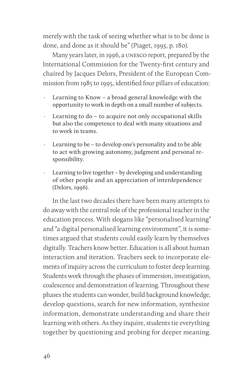merely with the task of seeing whether what is to be done is done, and done as it should be" (Piaget, 1993, p. 180).

Many years later, in 1996, a unesco report, prepared by the International Commission for the Twenty-first century and chaired by Jacques Delors, President of the European Commission from 1985 to 1995, identified four pillars of education:

- Learning to Know a broad general knowledge with the opportunity to work in depth on a small number of subjects.
- Learning to do to acquire not only occupational skills but also the competence to deal with many situations and to work in teams.
- Learning to be to develop one's personality and to be able to act with growing autonomy, judgment and personal responsibility.
- Learning to live together by developing and understanding of other people and an appreciation of interdependence (Delors, 1996).

In the last two decades there have been many attempts to do away with the central role of the professional teacher in the education process. With slogans like "personalised learning" and "a digital personalised learning environment", it is sometimes argued that students could easily learn by themselves digitally. Teachers know better. Education is all about human interaction and iteration. Teachers seek to incorporate elements of inquiry across the curriculum to foster deep learning. Students work through the phases of immersion, investigation, coalescence and demonstration of learning. Throughout these phases the students can wonder, build background knowledge, develop questions, search for new information, synthesize information, demonstrate understanding and share their learning with others. As they inquire, students tie everything together by questioning and probing for deeper meaning.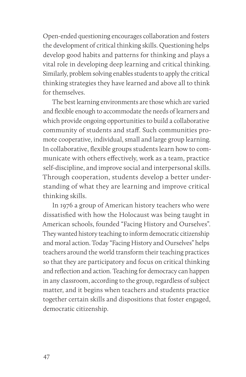Open-ended questioning encourages collaboration and fosters the development of critical thinking skills. Questioning helps develop good habits and patterns for thinking and plays a vital role in developing deep learning and critical thinking. Similarly, problem solving enables students to apply the critical thinking strategies they have learned and above all to think for themselves.

The best learning environments are those which are varied and flexible enough to accommodate the needs of learners and which provide ongoing opportunities to build a collaborative community of students and staff. Such communities promote cooperative, individual, small and large group learning. In collaborative, flexible groups students learn how to communicate with others effectively, work as a team, practice self-discipline, and improve social and interpersonal skills. Through cooperation, students develop a better understanding of what they are learning and improve critical thinking skills.

In 1976 a group of American history teachers who were dissatisfied with how the Holocaust was being taught in American schools, founded "Facing History and Ourselves". They wanted history teaching to inform democratic citizenship and moral action. Today "Facing History and Ourselves" helps teachers around the world transform their teaching practices so that they are participatory and focus on critical thinking and reflection and action. Teaching for democracy can happen in any classroom, according to the group, regardless of subject matter, and it begins when teachers and students practice together certain skills and dispositions that foster engaged, democratic citizenship.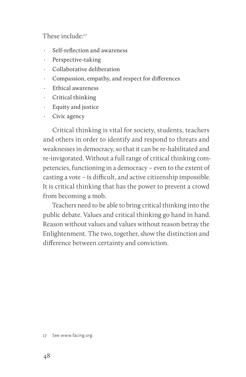These include<sup>-17</sup>

- · Self-reflection and awareness
- Perspective-taking
- · Collaborative deliberation
- Compassion, empathy, and respect for differences
- Ethical awareness
- · Critical thinking
- · Equity and justice
- · Civic agency

Critical thinking is vital for society, students, teachers and others in order to identify and respond to threats and weaknesses in democracy, so that it can be re-habilitated and re-invigorated. Without a full range of critical thinking competencies, functioning in a democracy – even to the extent of casting a vote – is difficult, and active citizenship impossible. It is critical thinking that has the power to prevent a crowd from becoming a mob.

Teachers need to be able to bring critical thinking into the public debate. Values and critical thinking go hand in hand. Reason without values and values without reason betray the Enlightenment. The two, together, show the distinction and difference between certainty and conviction.

17 See www.facing.org.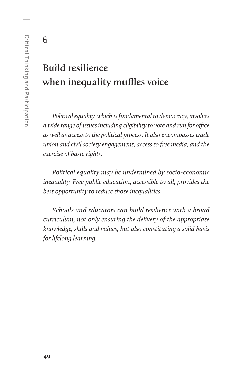6

# **Build resilience when inequality muffles voice**

*Political equality, which is fundamental to democracy, involves a wide range of issues including eligibility to vote and run for office as well as access to the political process. It also encompasses trade union and civil society engagement, access to free media, and the exercise of basic rights.*

*Political equality may be undermined by socio-economic inequality. Free public education, accessible to all, provides the best opportunity to reduce those inequalities.*

*Schools and educators can build resilience with a broad curriculum, not only ensuring the delivery of the appropriate knowledge, skills and values, but also constituting a solid basis for lifelong learning.*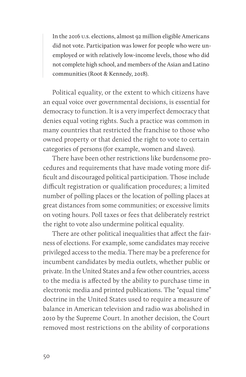In the 2016 u.s. elections, almost 92 million eligible Americans did not vote. Participation was lower for people who were unemployed or with relatively low-income levels, those who did not complete high school, and members of the Asian and Latino communities (Root & Kennedy, 2018).

Political equality, or the extent to which citizens have an equal voice over governmental decisions, is essential for democracy to function. It is a very imperfect democracy that denies equal voting rights. Such a practice was common in many countries that restricted the franchise to those who owned property or that denied the right to vote to certain categories of persons (for example, women and slaves).

There have been other restrictions like burdensome procedures and requirements that have made voting more difficult and discouraged political participation. Those include difficult registration or qualification procedures; a limited number of polling places or the location of polling places at great distances from some communities; or excessive limits on voting hours. Poll taxes or fees that deliberately restrict the right to vote also undermine political equality.

There are other political inequalities that affect the fairness of elections. For example, some candidates may receive privileged access to the media. There may be a preference for incumbent candidates by media outlets, whether public or private. In the United States and a few other countries, access to the media is affected by the ability to purchase time in electronic media and printed publications. The "equal time" doctrine in the United States used to require a measure of balance in American television and radio was abolished in 2010 by the Supreme Court. In another decision, the Court removed most restrictions on the ability of corporations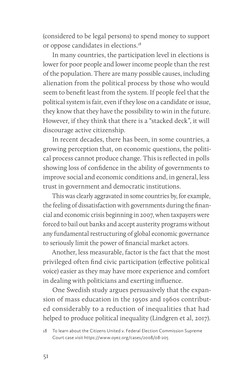(considered to be legal persons) to spend money to support or oppose candidates in elections.18

In many countries, the participation level in elections is lower for poor people and lower income people than the rest of the population. There are many possible causes, including alienation from the political process by those who would seem to benefit least from the system. If people feel that the political system is fair, even if they lose on a candidate or issue, they know that they have the possibility to win in the future. However, if they think that there is a "stacked deck", it will discourage active citizenship.

In recent decades, there has been, in some countries, a growing perception that, on economic questions, the political process cannot produce change. This is reflected in polls showing loss of confidence in the ability of governments to improve social and economic conditions and, in general, less trust in government and democratic institutions.

This was clearly aggravated in some countries by, for example, the feeling of dissatisfaction with governments during the financial and economic crisis beginning in 2007, when taxpayers were forced to bail out banks and accept austerity programs without any fundamental restructuring of global economic governance to seriously limit the power of financial market actors.

Another, less measurable, factor is the fact that the most privileged often find civic participation (effective political voice) easier as they may have more experience and comfort in dealing with politicians and exerting influence.

One Swedish study argues persuasively that the expansion of mass education in the 1950s and 1960s contributed considerably to a reduction of inequalities that had helped to produce political inequality (Lindgren et al, 2017).

<sup>18</sup> To learn about the Citizens United v. Federal Election Commission Supreme Court case visit https://www.oyez.org/cases/2008/08-205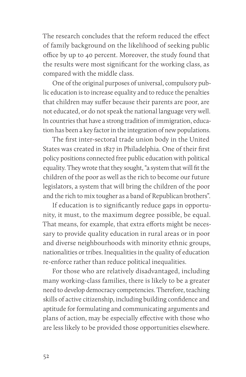The research concludes that the reform reduced the effect of family background on the likelihood of seeking public office by up to 40 percent. Moreover, the study found that the results were most significant for the working class, as compared with the middle class.

One of the original purposes of universal, compulsory public education is to increase equality and to reduce the penalties that children may suffer because their parents are poor, are not educated, or do not speak the national language very well. In countries that have a strong tradition of immigration, education has been a key factor in the integration of new populations.

The first inter-sectoral trade union body in the United States was created in 1827 in Philadelphia. One of their first policy positions connected free public education with political equality. They wrote that they sought, "a system that will fit the children of the poor as well as the rich to become our future legislators, a system that will bring the children of the poor and the rich to mix tougher as a band of Republican brothers".

If education is to significantly reduce gaps in opportunity, it must, to the maximum degree possible, be equal. That means, for example, that extra efforts might be necessary to provide quality education in rural areas or in poor and diverse neighbourhoods with minority ethnic groups, nationalities or tribes. Inequalities in the quality of education re-enforce rather than reduce political inequalities.

For those who are relatively disadvantaged, including many working-class families, there is likely to be a greater need to develop democracy competencies. Therefore, teaching skills of active citizenship, including building confidence and aptitude for formulating and communicating arguments and plans of action, may be especially effective with those who are less likely to be provided those opportunities elsewhere.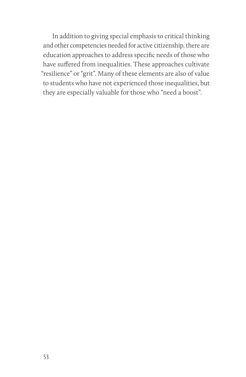In addition to giving special emphasis to critical thinking and other competencies needed for active citizenship, there are education approaches to address specific needs of those who have suffered from inequalities. These approaches cultivate "resilience" or "grit". Many of these elements are also of value to students who have not experienced those inequalities, but they are especially valuable for those who "need a boost".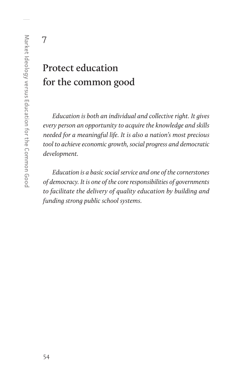7

## **Protect education for the common good**

*Education is both an individual and collective right. It gives every person an opportunity to acquire the knowledge and skills needed for a meaningful life. It is also a nation's most precious tool to achieve economic growth, social progress and democratic development.*

*Education is a basic social service and one of the cornerstones of democracy. It is one of the core responsibilities of governments to facilitate the delivery of quality education by building and funding strong public school systems.*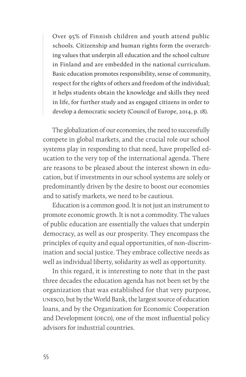Over 95% of Finnish children and youth attend public schools. Citizenship and human rights form the overarching values that underpin all education and the school culture in Finland and are embedded in the national curriculum. Basic education promotes responsibility, sense of community, respect for the rights of others and freedom of the individual; it helps students obtain the knowledge and skills they need in life, for further study and as engaged citizens in order to develop a democratic society (Council of Europe, 2014, p. 18).

The globalization of our economies, the need to successfully compete in global markets, and the crucial role our school systems play in responding to that need, have propelled education to the very top of the international agenda. There are reasons to be pleased about the interest shown in education, but if investments in our school systems are solely or predominantly driven by the desire to boost our economies and to satisfy markets, we need to be cautious.

Education is a common good. It is not just an instrument to promote economic growth. It is not a commodity. The values of public education are essentially the values that underpin democracy, as well as our prosperity. They encompass the principles of equity and equal opportunities, of non-discrimination and social justice. They embrace collective needs as well as individual liberty, solidarity as well as opportunity.

In this regard, it is interesting to note that in the past three decades the education agenda has not been set by the organization that was established for that very purpose, unesco, but by the World Bank, the largest source of education loans, and by the Organization for Economic Cooperation and Development (OECD), one of the most influential policy advisors for industrial countries.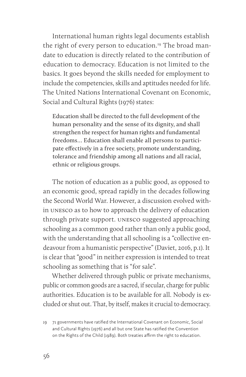International human rights legal documents establish the right of every person to education.<sup>19</sup> The broad mandate to education is directly related to the contribution of education to democracy. Education is not limited to the basics. It goes beyond the skills needed for employment to include the competencies, skills and aptitudes needed for life. The United Nations International Covenant on Economic, Social and Cultural Rights (1976) states:

Education shall be directed to the full development of the human personality and the sense of its dignity, and shall strengthen the respect for human rights and fundamental freedoms… Education shall enable all persons to participate effectively in a free society, promote understanding, tolerance and friendship among all nations and all racial, ethnic or religious groups.

The notion of education as a public good, as opposed to an economic good, spread rapidly in the decades following the Second World War. However, a discussion evolved within unesco as to how to approach the delivery of education through private support. unesco suggested approaching schooling as a common good rather than only a public good, with the understanding that all schooling is a "collective endeavour from a humanistic perspective" (Daviet, 2016, p.1). It is clear that "good" in neither expression is intended to treat schooling as something that is "for sale".

Whether delivered through public or private mechanisms, public or common goods are a sacred, if secular, charge for public authorities. Education is to be available for all. Nobody is excluded or shut out. That, by itself, makes it crucial to democracy.

<sup>19</sup> 71 governments have ratified the International Covenant on Economic, Social and Cultural Rights (1976) and all but one State has ratified the Convention on the Rights of the Child (1989). Both treaties affirm the right to education.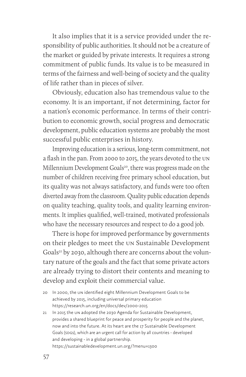It also implies that it is a service provided under the responsibility of public authorities. It should not be a creature of the market or guided by private interests. It requires a strong commitment of public funds. Its value is to be measured in terms of the fairness and well-being of society and the quality of life rather than in pieces of silver.

Obviously, education also has tremendous value to the economy. It is an important, if not determining, factor for a nation's economic performance. In terms of their contribution to economic growth, social progress and democratic development, public education systems are probably the most successful public enterprises in history.

Improving education is a serious, long-term commitment, not a flash in the pan. From 2000 to 2015, the years devoted to the un Millennium Development Goals<sup>20</sup>, there was progress made on the number of children receiving free primary school education, but its quality was not always satisfactory, and funds were too often diverted away from the classroom. Quality public education depends on quality teaching, quality tools, and quality learning environments. It implies qualified, well-trained, motivated professionals who have the necessary resources and respect to do a good job.

There is hope for improved performance by governments on their pledges to meet the un Sustainable Development Goals<sup>21</sup> by 2030, although there are concerns about the voluntary nature of the goals and the fact that some private actors are already trying to distort their contents and meaning to develop and exploit their commercial value.

<sup>20</sup> In 2000, the un identified eight Millennium Development Goals to be achieved by 2015, including universal primary education https://research.un.org/en/docs/dev/2000-2015

<sup>21</sup> In 2015 the un adopted the 2030 Agenda for Sustainable Development, provides a shared blueprint for peace and prosperity for people and the planet, now and into the future. At its heart are the 17 Sustainable Development Goals (spgs), which are an urgent call for action by all countries - developed and developing - in a global partnership. https://sustainabledevelopment.un.org/?menu=1300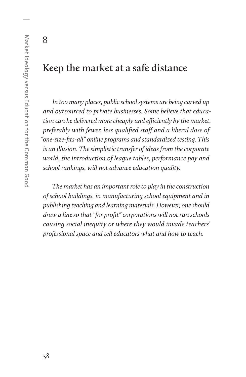8

### **Keep the market at a safe distance**

*In too many places, public school systems are being carved up and outsourced to private businesses. Some believe that education can be delivered more cheaply and efficiently by the market, preferably with fewer, less qualified staff and a liberal dose of "one-size-fits-all" online programs and standardized testing. This is an illusion. The simplistic transfer of ideas from the corporate world, the introduction of league tables, performance pay and school rankings, will not advance education quality.*

*The market has an important role to play in the construction of school buildings, in manufacturing school equipment and in publishing teaching and learning materials. However, one should draw a line so that "for profit" corporations will not run schools causing social inequity or where they would invade teachers' professional space and tell educators what and how to teach.*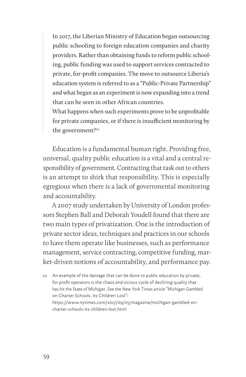In 2017, the Liberian Ministry of Education began outsourcing public schooling to foreign education companies and charity providers. Rather than obtaining funds to reform public schooling, public funding was used to support services contracted to private, for-profit companies. The move to outsource Liberia's education system is referred to as a "Public-Private Partnership" and what began as an experiment is now expanding into a trend that can be seen in other African countries.

What happens when such experiments prove to be unprofitable for private companies, or if there is insufficient monitoring by the government?<sup>22</sup>

Education is a fundamental human right. Providing free, universal, quality public education is a vital and a central responsibility of government. Contracting that task out to others is an attempt to shirk that responsibility. This is especially egregious when there is a lack of governmental monitoring and accountability.

A 2007 study undertaken by University of London professors Stephen Ball and Deborah Youdell found that there are two main types of privatization. One is the introduction of private sector ideas, techniques and practices in our schools to have them operate like businesses, such as performance management, service contracting, competitive funding, market-driven notions of accountability, and performance pay.

22 An example of the damage that can be done to public education by private, for profit operators is the chaos and vicious cycle of declining quality that has hit the State of Michigan. See the New York Times article "Michigan Gambled on Charter Schools. Its Children Lost": https://www.nytimes.com/2017/09/05/magazine/michigan-gambled-oncharter-schools-its-children-lost.html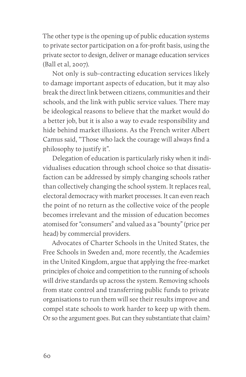The other type is the opening up of public education systems to private sector participation on a for-profit basis, using the private sector to design, deliver or manage education services (Ball et al, 2007).

Not only is sub-contracting education services likely to damage important aspects of education, but it may also break the direct link between citizens, communities and their schools, and the link with public service values. There may be ideological reasons to believe that the market would do a better job, but it is also a way to evade responsibility and hide behind market illusions. As the French writer Albert Camus said, "Those who lack the courage will always find a philosophy to justify it".

Delegation of education is particularly risky when it individualises education through school choice so that dissatisfaction can be addressed by simply changing schools rather than collectively changing the school system. It replaces real, electoral democracy with market processes. It can even reach the point of no return as the collective voice of the people becomes irrelevant and the mission of education becomes atomised for "consumers" and valued as a "bounty" (price per head) by commercial providers.

Advocates of Charter Schools in the United States, the Free Schools in Sweden and, more recently, the Academies in the United Kingdom, argue that applying the free-market principles of choice and competition to the running of schools will drive standards up across the system. Removing schools from state control and transferring public funds to private organisations to run them will see their results improve and compel state schools to work harder to keep up with them. Or so the argument goes. But can they substantiate that claim?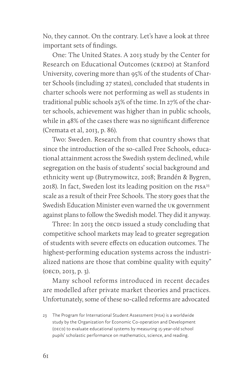No, they cannot. On the contrary. Let's have a look at three important sets of findings.

One: The United States. A 2013 study by the Center for Research on Educational Outcomes (CREDO) at Stanford University, covering more than 95% of the students of Charter Schools (including 27 states), concluded that students in charter schools were not performing as well as students in traditional public schools 25% of the time. In 27% of the charter schools, achievement was higher than in public schools, while in 48% of the cases there was no significant difference (Cremata et al, 2013, p. 86).

Two: Sweden. Research from that country shows that since the introduction of the so-called Free Schools, educational attainment across the Swedish system declined, while segregation on the basis of students' social background and ethnicity went up (Butrymowitcz, 2018; Brandén & Bygren,  $2018$ ). In fact, Sweden lost its leading position on the PISA<sup>23</sup> scale as a result of their Free Schools. The story goes that the Swedish Education Minister even warned the uk government against plans to follow the Swedish model. They did it anyway.

Three: In 2013 the OECD issued a study concluding that competitive school markets may lead to greater segregation of students with severe effects on education outcomes. The highest-performing education systems across the industrialized nations are those that combine quality with equity" (oecd, 2013, p. 3).

Many school reforms introduced in recent decades are modelled after private market theories and practices. Unfortunately, some of these so-called reforms are advocated

<sup>23</sup> The Program for International Student Assessment (pisa) is a worldwide study by the Organization for Economic Co-operation and Development (OECD) to evaluate educational systems by measuring 15-year-old school pupils' scholastic performance on mathematics, science, and reading.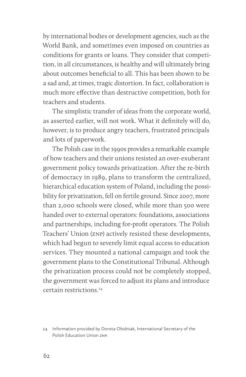by international bodies or development agencies, such as the World Bank, and sometimes even imposed on countries as conditions for grants or loans. They consider that competition, in all circumstances, is healthy and will ultimately bring about outcomes beneficial to all. This has been shown to be a sad and, at times, tragic distortion. In fact, collaboration is much more effective than destructive competition, both for teachers and students.

The simplistic transfer of ideas from the corporate world, as asserted earlier, will not work. What it definitely will do, however, is to produce angry teachers, frustrated principals and lots of paperwork.

The Polish case in the 1990s provides a remarkable example of how teachers and their unions resisted an over-exuberant government policy towards privatization. After the re-birth of democracy in 1989, plans to transform the centralized, hierarchical education system of Poland, including the possibility for privatization, fell on fertile ground. Since 2007, more than 2,000 schools were closed, while more than 500 were handed over to external operators: foundations, associations and partnerships, including for-profit operators. The Polish Teachers' Union (znp) actively resisted these developments, which had begun to severely limit equal access to education services. They mounted a national campaign and took the government plans to the Constitutional Tribunal. Although the privatization process could not be completely stopped, the government was forced to adjust its plans and introduce certain restrictions.24

<sup>24</sup> Information provided by Dorota Obidniak, International Secretary of the Polish Education Union znp.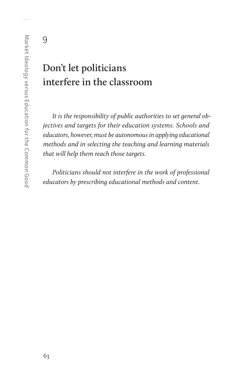9

# **Don't let politicians interfere in the classroom**

*It is the responsibility of public authorities to set general objectives and targets for their education systems. Schools and educators, however, must be autonomous in applying educational methods and in selecting the teaching and learning materials that will help them reach those targets.*

*Politicians should not interfere in the work of professional educators by prescribing educational methods and content.*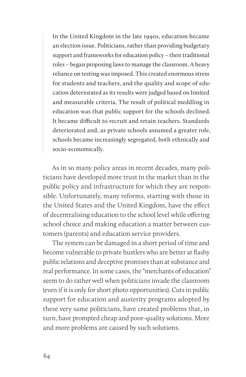In the United Kingdom in the late 1990s, education became an election issue. Politicians, rather than providing budgetary support and frameworks for education policy – their traditional roles – began proposing laws to manage the classroom. A heavy reliance on testing was imposed. This created enormous stress for students and teachers, and the quality and scope of education deteriorated as its results were judged based on limited and measurable criteria. The result of political meddling in education was that public support for the schools declined. It became difficult to recruit and retain teachers. Standards deteriorated and, as private schools assumed a greater role, schools became increasingly segregated, both ethnically and socio-economically.

As in so many policy areas in recent decades, many politicians have developed more trust in the market than in the public policy and infrastructure for which they are responsible. Unfortunately, many reforms, starting with those in the United States and the United Kingdom, have the effect of decentralising education to the school level while offering school choice and making education a matter between customers (parents) and education service providers.

The system can be damaged in a short period of time and become vulnerable to private hustlers who are better at flashy public relations and deceptive promises than at substance and real performance. In some cases, the "merchants of education" seem to do rather well when politicians invade the classroom (even if it is only for short photo opportunities). Cuts in public support for education and austerity programs adopted by these very same politicians, have created problems that, in turn, have prompted cheap and poor-quality solutions. More and more problems are caused by such solutions.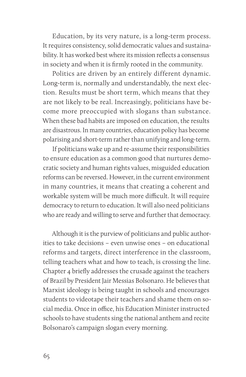Education, by its very nature, is a long-term process. It requires consistency, solid democratic values and sustainability. It has worked best where its mission reflects a consensus in society and when it is firmly rooted in the community.

Politics are driven by an entirely different dynamic. Long-term is, normally and understandably, the next election. Results must be short term, which means that they are not likely to be real. Increasingly, politicians have become more preoccupied with slogans than substance. When these bad habits are imposed on education, the results are disastrous. In many countries, education policy has become polarising and short-term rather than unifying and long-term.

If politicians wake up and re-assume their responsibilities to ensure education as a common good that nurtures democratic society and human rights values, misguided education reforms can be reversed. However, in the current environment in many countries, it means that creating a coherent and workable system will be much more difficult. It will require democracy to return to education. It will also need politicians who are ready and willing to serve and further that democracy.

Although it is the purview of politicians and public authorities to take decisions – even unwise ones – on educational reforms and targets, direct interference in the classroom, telling teachers what and how to teach, is crossing the line. Chapter 4 briefly addresses the crusade against the teachers of Brazil by President Jair Messias Bolsonaro. He believes that Marxist ideology is being taught in schools and encourages students to videotape their teachers and shame them on social media. Once in office, his Education Minister instructed schools to have students sing the national anthem and recite Bolsonaro's campaign slogan every morning.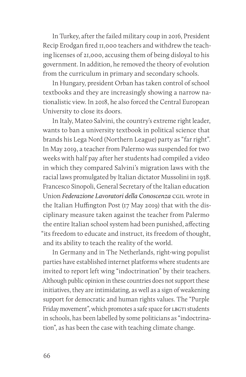In Turkey, after the failed military coup in 2016, President Recip Erodgan fired 11,000 teachers and withdrew the teaching licenses of 21,000, accusing them of being disloyal to his government. In addition, he removed the theory of evolution from the curriculum in primary and secondary schools.

In Hungary, president Orban has taken control of school textbooks and they are increasingly showing a narrow nationalistic view. In 2018, he also forced the Central European University to close its doors.

In Italy, Mateo Salvini, the country's extreme right leader, wants to ban a university textbook in political science that brands his Lega Nord (Northern League) party as "far right". In May 2019, a teacher from Palermo was suspended for two weeks with half pay after her students had compiled a video in which they compared Salvini's migration laws with the racial laws promulgated by Italian dictator Mussolini in 1938. Francesco Sinopoli, General Secretary of the Italian education Union *Federazione Lavoratori della Conoscenza* cgil wrote in the Italian Huffington Post (17 May 2019) that with the disciplinary measure taken against the teacher from Palermo the entire Italian school system had been punished, affecting "its freedom to educate and instruct, its freedom of thought, and its ability to teach the reality of the world.

In Germany and in The Netherlands, right-wing populist parties have established internet platforms where students are invited to report left wing "indoctrination" by their teachers. Although public opinion in these countries does not support these initiatives, they are intimidating, as well as a sign of weakening support for democratic and human rights values. The "Purple Friday movement", which promotes a safe space for LBGTI students in schools, has been labelled by some politicians as "indoctrination", as has been the case with teaching climate change.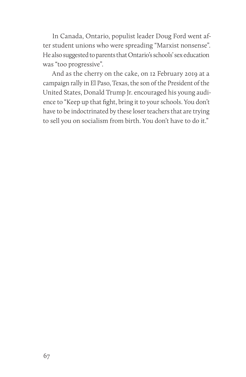In Canada, Ontario, populist leader Doug Ford went after student unions who were spreading "Marxist nonsense". He also suggested to parents that Ontario's schools' sex education was "too progressive".

And as the cherry on the cake, on 12 February 2019 at a campaign rally in El Paso, Texas, the son of the President of the United States, Donald Trump Jr. encouraged his young audience to "Keep up that fight, bring it to your schools. You don't have to be indoctrinated by these loser teachers that are trying to sell you on socialism from birth. You don't have to do it."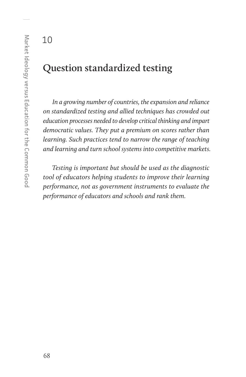10

#### **Question standardized testing**

*In a growing number of countries, the expansion and reliance on standardized testing and allied techniques has crowded out education processes needed to develop critical thinking and impart democratic values. They put a premium on scores rather than learning. Such practices tend to narrow the range of teaching and learning and turn school systems into competitive markets.*

*Testing is important but should be used as the diagnostic tool of educators helping students to improve their learning performance, not as government instruments to evaluate the performance of educators and schools and rank them.*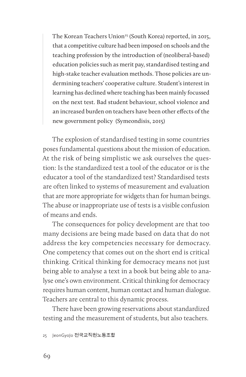The Korean Teachers Union<sup>25</sup> (South Korea) reported, in 2015, that a competitive culture had been imposed on schools and the teaching profession by the introduction of (neoliberal-based) education policies such as merit pay, standardised testing and high-stake teacher evaluation methods. Those policies are undermining teachers' cooperative culture. Student's interest in learning has declined where teaching has been mainly focussed on the next test. Bad student behaviour, school violence and an increased burden on teachers have been other effects of the new government policy (Symeondisis, 2015)

The explosion of standardised testing in some countries poses fundamental questions about the mission of education. At the risk of being simplistic we ask ourselves the question: Is the standardized test a tool of the educator or is the educator a tool of the standardized test? Standardised tests are often linked to systems of measurement and evaluation that are more appropriate for widgets than for human beings. The abuse or inappropriate use of tests is a visible confusion of means and ends.

The consequences for policy development are that too many decisions are being made based on data that do not address the key competencies necessary for democracy. One competency that comes out on the short end is critical thinking. Critical thinking for democracy means not just being able to analyse a text in a book but being able to analyse one's own environment. Critical thinking for democracy requires human content, human contact and human dialogue. Teachers are central to this dynamic process.

There have been growing reservations about standardized testing and the measurement of students, but also teachers.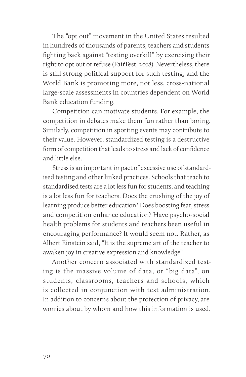The "opt out" movement in the United States resulted in hundreds of thousands of parents, teachers and students fighting back against "testing overkill" by exercising their right to opt out or refuse (FairTest, 2018). Nevertheless, there is still strong political support for such testing, and the World Bank is promoting more, not less, cross-national large-scale assessments in countries dependent on World Bank education funding.

Competition can motivate students. For example, the competition in debates make them fun rather than boring. Similarly, competition in sporting events may contribute to their value. However, standardized testing is a destructive form of competition that leads to stress and lack of confidence and little else.

Stress is an important impact of excessive use of standardised testing and other linked practices. Schools that teach to standardised tests are a lot less fun for students, and teaching is a lot less fun for teachers. Does the crushing of the joy of learning produce better education? Does boosting fear, stress and competition enhance education? Have psycho-social health problems for students and teachers been useful in encouraging performance? It would seem not. Rather, as Albert Einstein said, "It is the supreme art of the teacher to awaken joy in creative expression and knowledge".

Another concern associated with standardized testing is the massive volume of data, or "big data", on students, classrooms, teachers and schools, which is collected in conjunction with test administration. In addition to concerns about the protection of privacy, are worries about by whom and how this information is used.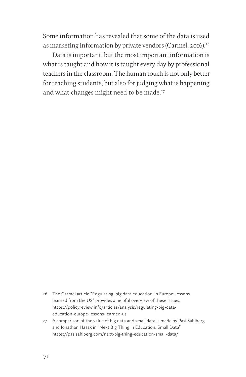Some information has revealed that some of the data is used as marketing information by private vendors (Carmel, 2016).<sup>26</sup>

Data is important, but the most important information is what is taught and how it is taught every day by professional teachers in the classroom. The human touch is not only better for teaching students, but also for judging what is happening and what changes might need to be made.<sup>27</sup>

- 26 The Carmel article "Regulating 'big data education' in Europe: lessons learned from the US" provides a helpful overview of these issues. https://policyreview.info/articles/analysis/regulating-big-dataeducation-europe-lessons-learned-us
- 27 A comparison of the value of big data and small data is made by Pasi Sahlberg and Jonathan Hasak in "Next Big Thing in Education: Small Data" https://pasisahlberg.com/next-big-thing-education-small-data/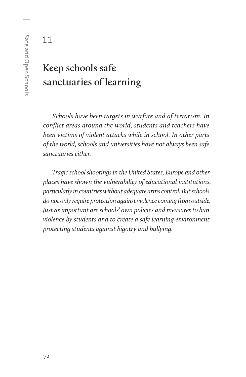## **Keep schools safe sanctuaries of learning**

*Schools have been targets in warfare and of terrorism. In conflict areas around the world, students and teachers have been victims of violent attacks while in school. In other parts of the world, schools and universities have not always been safe sanctuaries either.*

*Tragic school shootings in the United States, Europe and other places have shown the vulnerability of educational institutions, particularly in countries without adequate arms control. But schools do not only require protection against violence coming from outside. Just as important are schools' own policies and measures to ban violence by students and to create a safe learning environment protecting students against bigotry and bullying.*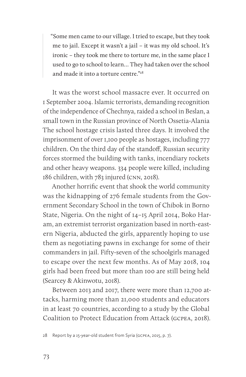"Some men came to our village. I tried to escape, but they took me to jail. Except it wasn't a jail – it was my old school. It's ironic – they took me there to torture me, in the same place I used to go to school to learn… They had taken over the school and made it into a torture centre."28

It was the worst school massacre ever. It occurred on 1 September 2004. Islamic terrorists, demanding recognition of the independence of Chechnya, raided a school in Beslan, a small town in the Russian province of North Ossetia-Alania The school hostage crisis lasted three days. It involved the imprisonment of over 1,100 people as hostages, including 777 children. On the third day of the standoff, Russian security forces stormed the building with tanks, incendiary rockets and other heavy weapons. 334 people were killed, including 186 children, with 783 injured (cnn, 2018).

Another horrific event that shook the world community was the kidnapping of 276 female students from the Government Secondary School in the town of Chibok in Borno State, Nigeria. On the night of 14–15 April 2014, Boko Haram, an extremist terrorist organization based in north-eastern Nigeria, abducted the girls, apparently hoping to use them as negotiating pawns in exchange for some of their commanders in jail. Fifty-seven of the schoolgirls managed to escape over the next few months. As of May 2018, 104 girls had been freed but more than 100 are still being held (Searcey & Akinwotu, 2018).

Between 2013 and 2017, there were more than 12,700 attacks, harming more than 21,000 students and educators in at least 70 countries, according to a study by the Global Coalition to Protect Education from Attack (gcpea, 2018).

<sup>28</sup> Report by a 15-year-old student from Syria (gcpea, 2015, p. 7).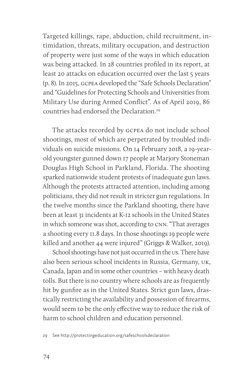Targeted killings, rape, abduction, child recruitment, intimidation, threats, military occupation, and destruction of property were just some of the ways in which education was being attacked. In 28 countries profiled in its report, at least 20 attacks on education occurred over the last 5 years (p. 8). In 2015, gcpea developed the "Safe Schools Declaration" and "Guidelines for Protecting Schools and Universities from Military Use during Armed Conflict". As of April 2019, 86 countries had endorsed the Declaration.29

The attacks recorded by gcpea do not include school shootings, most of which are perpetrated by troubled individuals on suicide missions. On 14 February 2018, a 19-yearold youngster gunned down 17 people at Marjory Stoneman Douglas High School in Parkland, Florida. The shooting sparked nationwide student protests of inadequate gun laws. Although the protests attracted attention, including among politicians, they did not result in stricter gun regulations. In the twelve months since the Parkland shooting, there have been at least 31 incidents at K-12 schools in the United States in which someone was shot, according to cnn. "That averages a shooting every 11.8 days. In those shootings 19 people were killed and another 44 were injured" (Griggs & Walker, 2019).

School shootings have not just occurred in the us. There have also been serious school incidents in Russia, Germany, uk, Canada, Japan and in some other countries – with heavy death tolls. But there is no country where schools are as frequently hit by gunfire as in the United States. Strict gun laws, drastically restricting the availability and possession of firearms, would seem to be the only effective way to reduce the risk of harm to school children and education personnel.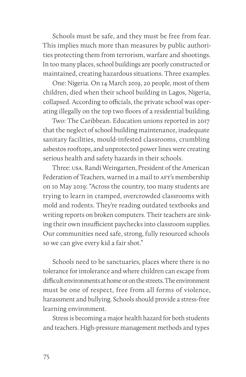Schools must be safe, and they must be free from fear. This implies much more than measures by public authorities protecting them from terrorism, warfare and shootings. In too many places, school buildings are poorly constructed or maintained, creating hazardous situations. Three examples.

One: Nigeria. On 14 March 2019, 20 people, most of them children, died when their school building in Lagos, Nigeria, collapsed. According to officials, the private school was operating illegally on the top two floors of a residential building.

Two: The Caribbean. Education unions reported in 2017 that the neglect of school building maintenance, inadequate sanitary facilities, mould-infested classrooms, crumbling asbestos rooftops, and unprotected power lines were creating serious health and safety hazards in their schools.

Three: usa. Randi Weingarten, President of the American Federation of Teachers, warned in a mail to AFT's membership on 10 May 2019: "Across the country, too many students are trying to learn in cramped, overcrowded classrooms with mold and rodents. They're reading outdated textbooks and writing reports on broken computers. Their teachers are sinking their own insufficient paychecks into classroom supplies. Our communities need safe, strong, fully resourced schools so we can give every kid a fair shot."

Schools need to be sanctuaries, places where there is no tolerance for intolerance and where children can escape from difficult environments at home or on the streets. The environment must be one of respect, free from all forms of violence, harassment and bullying. Schools should provide a stress-free learning environment.

Stress is becoming a major health hazard for both students and teachers. High-pressure management methods and types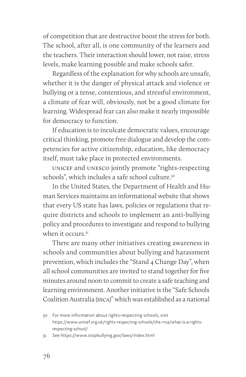of competition that are destructive boost the stress for both. The school, after all, is one community of the learners and the teachers. Their interaction should lower, not raise, stress levels, make learning possible and make schools safer.

Regardless of the explanation for why schools are unsafe, whether it is the danger of physical attack and violence or bullying or a tense, contentious, and stressful environment, a climate of fear will, obviously, not be a good climate for learning. Widespread fear can also make it nearly impossible for democracy to function.

If education is to inculcate democratic values, encourage critical thinking, promote free dialogue and develop the competencies for active citizenship, education, like democracy itself, must take place in protected environments.

unicef and unesco jointly promote "rights-respecting schools", which includes a safe school culture.<sup>30</sup>

In the United States, the Department of Health and Human Services maintains an informational website that shows that every US state has laws, policies or regulations that require districts and schools to implement an anti-bullying policy and procedures to investigate and respond to bullying when it occurs.<sup>31</sup>

There are many other initiatives creating awareness in schools and communities about bullying and harassment prevention, which includes the "Stand 4 Change Day", when all school communities are invited to stand together for five minutes around noon to commit to create a safe teaching and learning environment. Another initiative is the "Safe Schools Coalition Australia (ssca)" which was established as a national

<sup>30</sup> For more information about rights-respecting schools, visit https://www.unicef.org.uk/rights-respecting-schools/the-rrsa/what-is-a-rightsrespecting-school/

<sup>31</sup> See https://www.stopbullying.gov/laws/index.html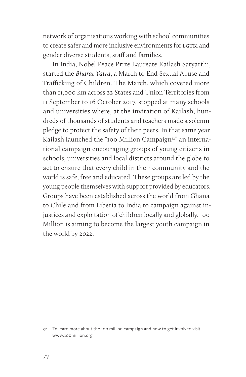network of organisations working with school communities to create safer and more inclusive environments for LGTBI and gender diverse students, staff and families.

In India, Nobel Peace Prize Laureate Kailash Satyarthi, started the *Bharat Yatra*, a March to End Sexual Abuse and Trafficking of Children. The March, which covered more than 11,000 km across 22 States and Union Territories from 11 September to 16 October 2017, stopped at many schools and universities where, at the invitation of Kailash, hundreds of thousands of students and teachers made a solemn pledge to protect the safety of their peers. In that same year Kailash launched the "100 Million Campaign<sup>32"</sup> an international campaign encouraging groups of young citizens in schools, universities and local districts around the globe to act to ensure that every child in their community and the world is safe, free and educated. These groups are led by the young people themselves with support provided by educators. Groups have been established across the world from Ghana to Chile and from Liberia to India to campaign against injustices and exploitation of children locally and globally. 100 Million is aiming to become the largest youth campaign in the world by 2022.

<sup>32</sup> To learn more about the 100 million campaign and how to get involved visit www.100million.org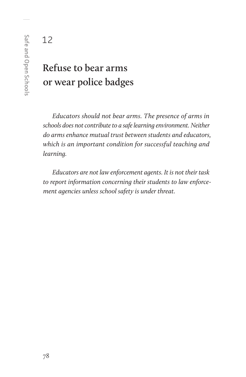## **Refuse to bear arms or wear police badges**

*Educators should not bear arms. The presence of arms in schools does not contribute to a safe learning environment. Neither do arms enhance mutual trust between students and educators, which is an important condition for successful teaching and learning.*

*Educators are not law enforcement agents. It is not their task to report information concerning their students to law enforcement agencies unless school safety is under threat.*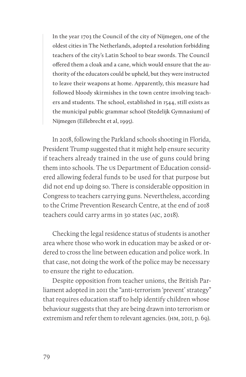In the year 1703 the Council of the city of Nijmegen, one of the oldest cities in The Netherlands, adopted a resolution forbidding teachers of the city's Latin School to bear swords. The Council offered them a cloak and a cane, which would ensure that the authority of the educators could be upheld, but they were instructed to leave their weapons at home. Apparently, this measure had followed bloody skirmishes in the town centre involving teachers and students. The school, established in 1544, still exists as the municipal public grammar school (Stedelijk Gymnasium) of Nijmegen (Eillebrecht et al, 1995).

In 2018, following the Parkland schools shooting in Florida, President Trump suggested that it might help ensure security if teachers already trained in the use of guns could bring them into schools. The us Department of Education considered allowing federal funds to be used for that purpose but did not end up doing so. There is considerable opposition in Congress to teachers carrying guns. Nevertheless, according to the Crime Prevention Research Centre, at the end of 2018 teachers could carry arms in 30 states (ajc, 2018).

Checking the legal residence status of students is another area where those who work in education may be asked or ordered to cross the line between education and police work. In that case, not doing the work of the police may be necessary to ensure the right to education.

Despite opposition from teacher unions, the British Parliament adopted in 2011 the "anti-terrorism 'prevent' strategy" that requires education staff to help identify children whose behaviour suggests that they are being drawn into terrorism or extremism and refer them to relevant agencies. (hm, 2011, p. 69).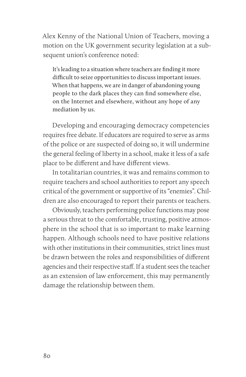Alex Kenny of the National Union of Teachers, moving a motion on the UK government security legislation at a subsequent union's conference noted:

It's leading to a situation where teachers are finding it more difficult to seize opportunities to discuss important issues. When that happens, we are in danger of abandoning young people to the dark places they can find somewhere else, on the Internet and elsewhere, without any hope of any mediation by us.

Developing and encouraging democracy competencies requires free debate. If educators are required to serve as arms of the police or are suspected of doing so, it will undermine the general feeling of liberty in a school, make it less of a safe place to be different and have different views.

In totalitarian countries, it was and remains common to require teachers and school authorities to report any speech critical of the government or supportive of its "enemies". Children are also encouraged to report their parents or teachers.

Obviously, teachers performing police functions may pose a serious threat to the comfortable, trusting, positive atmosphere in the school that is so important to make learning happen. Although schools need to have positive relations with other institutions in their communities, strict lines must be drawn between the roles and responsibilities of different agencies and their respective staff. If a student sees the teacher as an extension of law enforcement, this may permanently damage the relationship between them.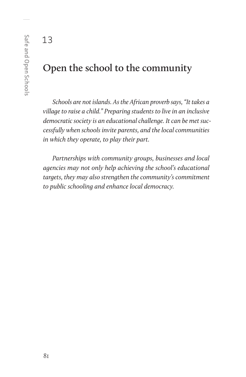#### 13

### **Open the school to the community**

*Schools are not islands. As the African proverb says, "It takes a village to raise a child." Preparing students to live in an inclusive democratic society is an educational challenge. It can be met successfully when schools invite parents, and the local communities in which they operate, to play their part.*

*Partnerships with community groups, businesses and local agencies may not only help achieving the school's educational targets, they may also strengthen the community's commitment to public schooling and enhance local democracy.*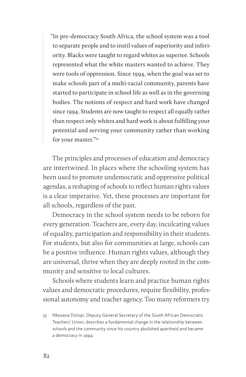"In pre-democracy South Africa, the school system was a tool to separate people and to instil values of superiority and inferiority. Blacks were taught to regard whites as superior. Schools represented what the white masters wanted to achieve. They were tools of oppression. Since 1994, when the goal was set to make schools part of a multi-racial community, parents have started to participate in school life as well as in the governing bodies. The notions of respect and hard work have changed since 1994. Students are now taught to respect all equally rather than respect only whites and hard work is about fulfilling your potential and serving your community rather than working for your master."33

The principles and processes of education and democracy are intertwined. In places where the schooling system has been used to promote undemocratic and oppressive political agendas, a reshaping of schools to reflect human rights values is a clear imperative. Yet, these processes are important for all schools, regardless of the past.

Democracy in the school system needs to be reborn for every generation. Teachers are, every day, inculcating values of equality, participation and responsibility in their students. For students, but also for communities at large, schools can be a positive influence. Human rights values, although they are universal, thrive when they are deeply rooted in the community and sensitive to local cultures.

Schools where students learn and practice human rights values and democratic procedures, require flexibility, professional autonomy and teacher agency. Too many reformers try

<sup>33</sup> Nkosana Dolopi, Deputy General Secretary of the South African Democratic Teachers' Union, describes a fundamental change in the relationship between schools and the community since his country abolished apartheid and became a democracy in 1994.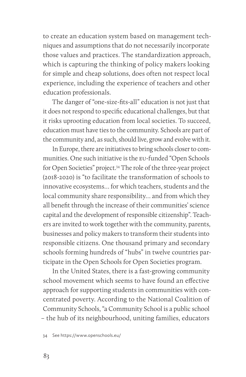to create an education system based on management techniques and assumptions that do not necessarily incorporate those values and practices. The standardization approach, which is capturing the thinking of policy makers looking for simple and cheap solutions, does often not respect local experience, including the experience of teachers and other education professionals.

The danger of "one-size-fits-all" education is not just that it does not respond to specific educational challenges, but that it risks uprooting education from local societies. To succeed, education must have ties to the community. Schools are part of the community and, as such, should live, grow and evolve with it.

In Europe, there are initiatives to bring schools closer to communities. One such initiative is the eu-funded "Open Schools for Open Societies" project.34 The role of the three-year project (2018-2020) is "to facilitate the transformation of schools to innovative ecosystems… for which teachers, students and the local community share responsibility… and from which they all benefit through the increase of their communities' science capital and the development of responsible citizenship". Teachers are invited to work together with the community, parents, businesses and policy makers to transform their students into responsible citizens. One thousand primary and secondary schools forming hundreds of "hubs" in twelve countries participate in the Open Schools for Open Societies program.

In the United States, there is a fast-growing community school movement which seems to have found an effective approach for supporting students in communities with concentrated poverty. According to the National Coalition of Community Schools, "a Community School is a public school – the hub of its neighbourhood, uniting families, educators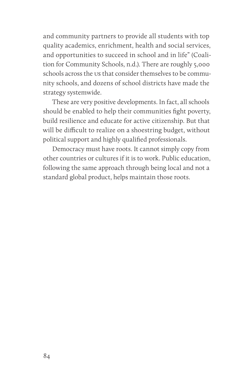and community partners to provide all students with top quality academics, enrichment, health and social services, and opportunities to succeed in school and in life" (Coalition for Community Schools, n.d.). There are roughly 5,000 schools across the us that consider themselves to be community schools, and dozens of school districts have made the strategy systemwide.

These are very positive developments. In fact, all schools should be enabled to help their communities fight poverty, build resilience and educate for active citizenship. But that will be difficult to realize on a shoestring budget, without political support and highly qualified professionals.

Democracy must have roots. It cannot simply copy from other countries or cultures if it is to work. Public education, following the same approach through being local and not a standard global product, helps maintain those roots.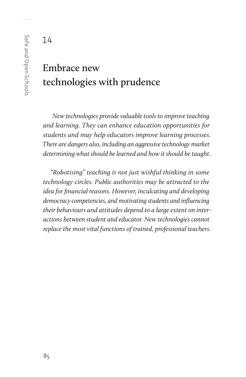## **Embrace new technologies with prudence**

*New technologies provide valuable tools to improve teaching and learning. They can enhance education opportunities for students and may help educators improve learning processes. There are dangers also, including an aggressive technology market determining what should be learned and how it should be taught.*

*"Robotising" teaching is not just wishful thinking in some technology circles. Public authorities may be attracted to the idea for financial reasons. However, inculcating and developing democracy competencies, and motivating students and influencing their behaviours and attitudes depend to a large extent on interactions between student and educator. New technologies cannot replace the most vital functions of trained, professional teachers.*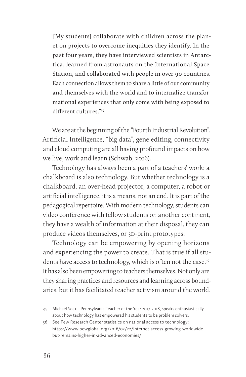"[My students] collaborate with children across the planet on projects to overcome inequities they identify. In the past four years, they have interviewed scientists in Antarctica, learned from astronauts on the International Space Station, and collaborated with people in over 90 countries. Each connection allows them to share a little of our community and themselves with the world and to internalize transformational experiences that only come with being exposed to different cultures."35

We are at the beginning of the "Fourth Industrial Revolution". Artificial Intelligence, "big data", gene editing, connectivity and cloud computing are all having profound impacts on how we live, work and learn (Schwab, 2016).

Technology has always been a part of a teachers' work; a chalkboard is also technology. But whether technology is a chalkboard, an over-head projector, a computer, a robot or artificial intelligence, it is a means, not an end. It is part of the pedagogical repertoire. With modern technology, students can video conference with fellow students on another continent, they have a wealth of information at their disposal, they can produce videos themselves, or 3D-print prototypes.

Technology can be empowering by opening horizons and experiencing the power to create. That is true if all students have access to technology, which is often not the case.<sup>36</sup> It has also been empowering to teachers themselves. Not only are they sharing practices and resources and learning across boundaries, but it has facilitated teacher activism around the world.

36 See Pew Research Center statistics on national access to technology: https://www.pewglobal.org/2016/02/22/internet-access-growing-worldwidebut-remains-higher-in-advanced-economies/

<sup>35</sup> Michael Soskil, Pennsylvania Teacher of the Year 2017-2018, speaks enthusiastically about how technology has empowered his students to be problem solvers.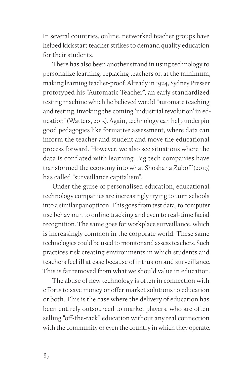In several countries, online, networked teacher groups have helped kickstart teacher strikes to demand quality education for their students.

There has also been another strand in using technology to personalize learning: replacing teachers or, at the minimum, making learning teacher-proof. Already in 1924, Sydney Presser prototyped his "Automatic Teacher", an early standardized testing machine which he believed would "automate teaching and testing, invoking the coming 'industrial revolution' in education" (Watters, 2015). Again, technology can help underpin good pedagogies like formative assessment, where data can inform the teacher and student and move the educational process forward. However, we also see situations where the data is conflated with learning. Big tech companies have transformed the economy into what Shoshana Zuboff (2019) has called "surveillance capitalism".

Under the guise of personalised education, educational technology companies are increasingly trying to turn schools into a similar panopticon. This goes from test data, to computer use behaviour, to online tracking and even to real-time facial recognition. The same goes for workplace surveillance, which is increasingly common in the corporate world. These same technologies could be used to monitor and assess teachers. Such practices risk creating environments in which students and teachers feel ill at ease because of intrusion and surveillance. This is far removed from what we should value in education.

The abuse of new technology is often in connection with efforts to save money or offer market solutions to education or both. This is the case where the delivery of education has been entirely outsourced to market players, who are often selling "off-the-rack" education without any real connection with the community or even the country in which they operate.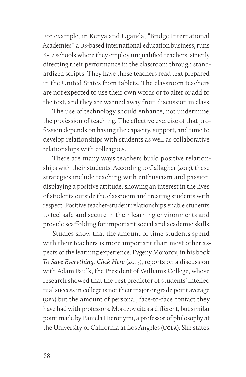For example, in Kenya and Uganda, "Bridge International Academies", a us-based international education business, runs K-12 schools where they employ unqualified teachers, strictly directing their performance in the classroom through standardized scripts. They have these teachers read text prepared in the United States from tablets. The classroom teachers are not expected to use their own words or to alter or add to the text, and they are warned away from discussion in class.

The use of technology should enhance, not undermine, the profession of teaching. The effective exercise of that profession depends on having the capacity, support, and time to develop relationships with students as well as collaborative relationships with colleagues.

There are many ways teachers build positive relationships with their students. According to Gallagher (2013), these strategies include teaching with enthusiasm and passion, displaying a positive attitude, showing an interest in the lives of students outside the classroom and treating students with respect. Positive teacher-student relationships enable students to feel safe and secure in their learning environments and provide scaffolding for important social and academic skills.

Studies show that the amount of time students spend with their teachers is more important than most other aspects of the learning experience. Evgeny Morozov, in his book *To Save Everything, Click Here* (2013), reports on a discussion with Adam Faulk, the President of Williams College, whose research showed that the best predictor of students' intellectual success in college is not their major or grade point average (gpa) but the amount of personal, face-to-face contact they have had with professors. Morozov cites a different, but similar point made by Pamela Hieronymi, a professor of philosophy at the University of California at Los Angeles (ucla). She states,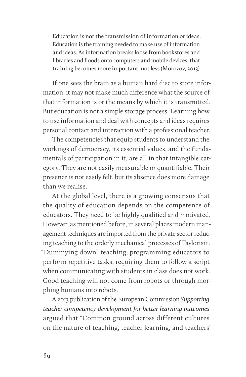Education is not the transmission of information or ideas. Education is the training needed to make use of information and ideas. As information breaks loose from bookstores and libraries and floods onto computers and mobile devices, that training becomes more important, not less (Morozov, 2013).

If one sees the brain as a human hard disc to store information, it may not make much difference what the source of that information is or the means by which it is transmitted. But education is not a simple storage process. Learning how to use information and deal with concepts and ideas requires personal contact and interaction with a professional teacher.

The competencies that equip students to understand the workings of democracy, its essential values, and the fundamentals of participation in it, are all in that intangible category. They are not easily measurable or quantifiable. Their presence is not easily felt, but its absence does more damage than we realise.

At the global level, there is a growing consensus that the quality of education depends on the competence of educators. They need to be highly qualified and motivated. However, as mentioned before, in several places modern management techniques are imported from the private sector reducing teaching to the orderly mechanical processes of Taylorism. "Dummying down" teaching, programming educators to perform repetitive tasks, requiring them to follow a script when communicating with students in class does not work. Good teaching will not come from robots or through morphing humans into robots.

A 2013 publication of the European Commission *Supporting teacher competency development for better learning outcomes* argued that "Common ground across different cultures on the nature of teaching, teacher learning, and teachers'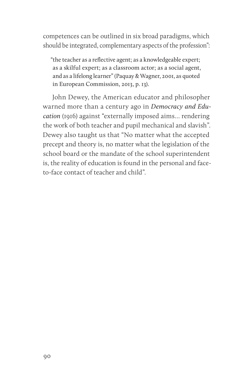competences can be outlined in six broad paradigms, which should be integrated, complementary aspects of the profession":

"the teacher as a reflective agent; as a knowledgeable expert; as a skilful expert; as a classroom actor; as a social agent, and as a lifelong learner" (Paquay & Wagner, 2001, as quoted in European Commission, 2013, p. 13).

John Dewey, the American educator and philosopher warned more than a century ago in *Democracy and Education* (1916) against "externally imposed aims… rendering the work of both teacher and pupil mechanical and slavish". Dewey also taught us that "No matter what the accepted precept and theory is, no matter what the legislation of the school board or the mandate of the school superintendent is, the reality of education is found in the personal and faceto-face contact of teacher and child".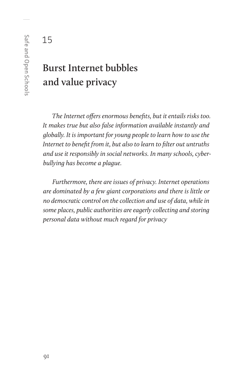#### 15

## **Burst Internet bubbles and value privacy**

*The Internet offers enormous benefits, but it entails risks too. It makes true but also false information available instantly and globally. It is important for young people to learn how to use the Internet to benefit from it, but also to learn to filter out untruths and use it responsibly in social networks. In many schools, cyberbullying has become a plague.*

*Furthermore, there are issues of privacy. Internet operations are dominated by a few giant corporations and there is little or no democratic control on the collection and use of data, while in some places, public authorities are eagerly collecting and storing personal data without much regard for privacy*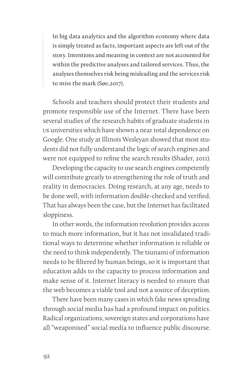In big data analytics and the algorithm economy where data is simply treated as facts, important aspects are left out of the story. Intentions and meaning in context are not accounted for within the predictive analyses and tailored services. Thus, the analyses themselves risk being misleading and the services risk to miss the mark (Søe,2017).

Schools and teachers should protect their students and promote responsible use of the Internet. There have been several studies of the research habits of graduate students in us universities which have shown a near total dependence on Google. One study at Illinois Wesleyan showed that most students did not fully understand the logic of search engines and were not equipped to refine the search results (Shader, 2011).

Developing the capacity to use search engines competently will contribute greatly to strengthening the role of truth and reality in democracies. Doing research, at any age, needs to be done well, with information double-checked and verified. That has always been the case, but the Internet has facilitated sloppiness.

In other words, the information revolution provides access to much more information, but it has not invalidated traditional ways to determine whether information is reliable or the need to think independently. The tsunami of information needs to be filtered by human beings, so it is important that education adds to the capacity to process information and make sense of it. Internet literacy is needed to ensure that the web becomes a viable tool and not a source of deception.

There have been many cases in which fake news spreading through social media has had a profound impact on politics. Radical organizations, sovereign states and corporations have all "weaponised" social media to influence public discourse.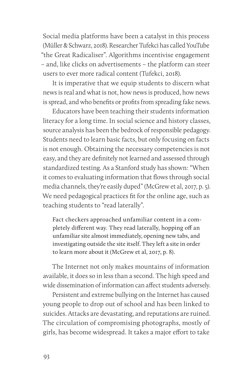Social media platforms have been a catalyst in this process (Müller & Schwarz, 2018). Researcher Tufekci has called YouTube "the Great Radicaliser". Algorithms incentivise engagement – and, like clicks on advertisements – the platform can steer users to ever more radical content (Tufekci, 2018).

It is imperative that we equip students to discern what news is real and what is not, how news is produced, how news is spread, and who benefits or profits from spreading fake news.

Educators have been teaching their students information literacy for a long time. In social science and history classes, source analysis has been the bedrock of responsible pedagogy. Students need to learn basic facts, but only focusing on facts is not enough. Obtaining the necessary competencies is not easy, and they are definitely not learned and assessed through standardized testing. As a Stanford study has shown: "When it comes to evaluating information that flows through social media channels, they're easily duped" (McGrew et al, 2017, p. 5). We need pedagogical practices fit for the online age, such as teaching students to "read laterally".

Fact checkers approached unfamiliar content in a completely different way. They read laterally, hopping off an unfamiliar site almost immediately, opening new tabs, and investigating outside the site itself. They left a site in order to learn more about it (McGrew et al, 2017, p. 8).

The Internet not only makes mountains of information available, it does so in less than a second. The high speed and wide dissemination of information can affect students adversely.

Persistent and extreme bullying on the Internet has caused young people to drop out of school and has been linked to suicides. Attacks are devastating, and reputations are ruined. The circulation of compromising photographs, mostly of girls, has become widespread. It takes a major effort to take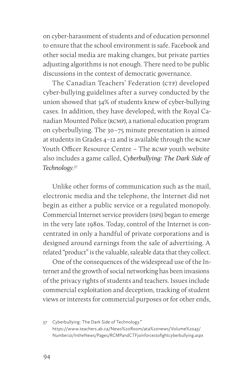on cyber-harassment of students and of education personnel to ensure that the school environment is safe. Facebook and other social media are making changes, but private parties adjusting algorithms is not enough. There need to be public discussions in the context of democratic governance.

The Canadian Teachers' Federation (CTF) developed cyber-bullying guidelines after a survey conducted by the union showed that 34% of students knew of cyber-bullying cases. In addition, they have developed, with the Royal Canadian Mounted Police (rcmp), a national education program on cyberbullying. The 30–75 minute presentation is aimed at students in Grades 4–12 and is available through the rcmp Youth Officer Resource Centre – The rcmp youth website also includes a game called, *Cyberbullying: The Dark Side of Technology*. 37

Unlike other forms of communication such as the mail, electronic media and the telephone, the Internet did not begin as either a public service or a regulated monopoly. Commercial Internet service providers (isps) began to emerge in the very late 1980s. Today, control of the Internet is concentrated in only a handful of private corporations and is designed around earnings from the sale of advertising. A related "product" is the valuable, saleable data that they collect.

One of the consequences of the widespread use of the Internet and the growth of social networking has been invasions of the privacy rights of students and teachers. Issues include commercial exploitation and deception, tracking of student views or interests for commercial purposes or for other ends,

<sup>37</sup> Cyberbullying: The Dark Side of Technology." https://www.teachers.ab.ca/News%20Room/ata%20news/Volume%2043/ Number10/IntheNews/Pages/RCMPandCTFjoinforcestofightcyberbullying.aspx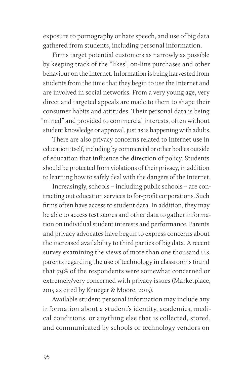exposure to pornography or hate speech, and use of big data gathered from students, including personal information.

Firms target potential customers as narrowly as possible by keeping track of the "likes", on-line purchases and other behaviour on the Internet. Information is being harvested from students from the time that they begin to use the Internet and are involved in social networks. From a very young age, very direct and targeted appeals are made to them to shape their consumer habits and attitudes. Their personal data is being "mined" and provided to commercial interests, often without student knowledge or approval, just as is happening with adults.

There are also privacy concerns related to Internet use in education itself, including by commercial or other bodies outside of education that influence the direction of policy. Students should be protected from violations of their privacy, in addition to learning how to safely deal with the dangers of the Internet.

Increasingly, schools – including public schools – are contracting out education services to for-profit corporations. Such firms often have access to student data. In addition, they may be able to access test scores and other data to gather information on individual student interests and performance. Parents and privacy advocates have begun to express concerns about the increased availability to third parties of big data. A recent survey examining the views of more than one thousand u.s. parents regarding the use of technology in classrooms found that 79% of the respondents were somewhat concerned or extremely/very concerned with privacy issues (Marketplace, 2015 as cited by Krueger & Moore, 2015).

Available student personal information may include any information about a student's identity, academics, medical conditions, or anything else that is collected, stored, and communicated by schools or technology vendors on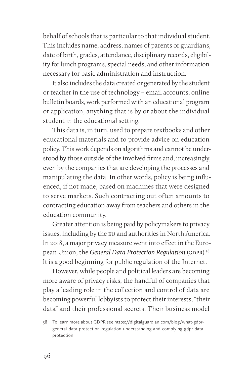behalf of schools that is particular to that individual student. This includes name, address, names of parents or guardians, date of birth, grades, attendance, disciplinary records, eligibility for lunch programs, special needs, and other information necessary for basic administration and instruction.

It also includes the data created or generated by the student or teacher in the use of technology – email accounts, online bulletin boards, work performed with an educational program or application, anything that is by or about the individual student in the educational setting.

This data is, in turn, used to prepare textbooks and other educational materials and to provide advice on education policy. This work depends on algorithms and cannot be understood by those outside of the involved firms and, increasingly, even by the companies that are developing the processes and manipulating the data. In other words, policy is being influenced, if not made, based on machines that were designed to serve markets. Such contracting out often amounts to contracting education away from teachers and others in the education community.

Greater attention is being paid by policymakers to privacy issues, including by the eu and authorities in North America. In 2018, a major privacy measure went into effect in the European Union, the *General Data Protection Regulation* (GDPR).<sup>38</sup> It is a good beginning for public regulation of the Internet.

However, while people and political leaders are becoming more aware of privacy risks, the handful of companies that play a leading role in the collection and control of data are becoming powerful lobbyists to protect their interests, "their data" and their professional secrets. Their business model

<sup>38</sup> To learn more about GDPR see https://digitalguardian.com/blog/what-gdprgeneral-data-protection-regulation-understanding-and-complying-gdpr-dataprotection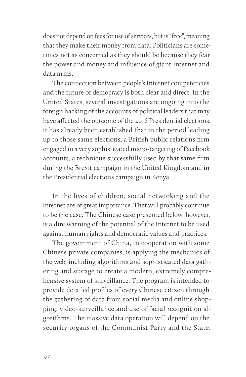does not depend on fees for use of services, but is "free", meaning that they make their money from data. Politicians are sometimes not as concerned as they should be because they fear the power and money and influence of giant Internet and data firms.

The connection between people's Internet competencies and the future of democracy is both clear and direct. In the United States, several investigations are ongoing into the foreign hacking of the accounts of political leaders that may have affected the outcome of the 2016 Presidential elections. It has already been established that in the period leading up to those same elections, a British public relations firm engaged in a very sophisticated micro-targeting of Facebook accounts, a technique successfully used by that same firm during the Brexit campaign in the United Kingdom and in the Presidential elections campaign in Kenya.

In the lives of children, social networking and the Internet are of great importance. That will probably continue to be the case. The Chinese case presented below, however, is a dire warning of the potential of the Internet to be used against human rights and democratic values and practices.

The government of China, in cooperation with some Chinese private companies, is applying the mechanics of the web, including algorithms and sophisticated data gathering and storage to create a modern, extremely comprehensive system of surveillance. The program is intended to provide detailed profiles of every Chinese citizen through the gathering of data from social media and online shopping, video-surveillance and use of facial recognition algorithms. The massive data operation will depend on the security organs of the Communist Party and the State.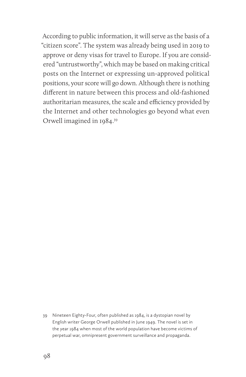According to public information, it will serve as the basis of a "citizen score". The system was already being used in 2019 to approve or deny visas for travel to Europe. If you are considered "untrustworthy", which may be based on making critical posts on the Internet or expressing un-approved political positions, your score will go down. Although there is nothing different in nature between this process and old-fashioned authoritarian measures, the scale and efficiency provided by the Internet and other technologies go beyond what even Orwell imagined in 1984.39

39 Nineteen Eighty-Four, often published as 1984, is a dystopian novel by English writer George Orwell published in June 1949. The novel is set in the year 1984 when most of the world population have become victims of perpetual war, omnipresent government surveillance and propaganda.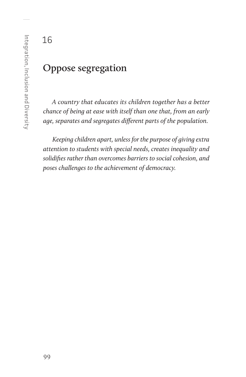#### 16

#### **Oppose segregation**

*A country that educates its children together has a better chance of being at ease with itself than one that, from an early age, separates and segregates different parts of the population.* 

*Keeping children apart, unless for the purpose of giving extra attention to students with special needs, creates inequality and solidifies rather than overcomes barriers to social cohesion, and poses challenges to the achievement of democracy.*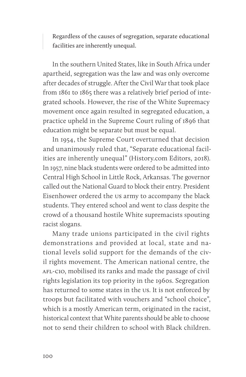Regardless of the causes of segregation, separate educational facilities are inherently unequal.

In the southern United States, like in South Africa under apartheid, segregation was the law and was only overcome after decades of struggle. After the Civil War that took place from 1861 to 1865 there was a relatively brief period of integrated schools. However, the rise of the White Supremacy movement once again resulted in segregated education, a practice upheld in the Supreme Court ruling of 1896 that education might be separate but must be equal.

In 1954, the Supreme Court overturned that decision and unanimously ruled that, "Separate educational facilities are inherently unequal" (History.com Editors, 2018). In 1957, nine black students were ordered to be admitted into Central High School in Little Rock, Arkansas. The governor called out the National Guard to block their entry. President Eisenhower ordered the us army to accompany the black students. They entered school and went to class despite the crowd of a thousand hostile White supremacists spouting racist slogans.

Many trade unions participated in the civil rights demonstrations and provided at local, state and national levels solid support for the demands of the civil rights movement. The American national centre, the afl-cio, mobilised its ranks and made the passage of civil rights legislation its top priority in the 1960s. Segregation has returned to some states in the us. It is not enforced by troops but facilitated with vouchers and "school choice", which is a mostly American term, originated in the racist, historical context that White parents should be able to choose not to send their children to school with Black children.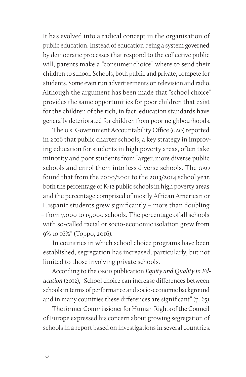It has evolved into a radical concept in the organisation of public education. Instead of education being a system governed by democratic processes that respond to the collective public will, parents make a "consumer choice" where to send their children to school. Schools, both public and private, compete for students. Some even run advertisements on television and radio. Although the argument has been made that "school choice" provides the same opportunities for poor children that exist for the children of the rich, in fact, education standards have generally deteriorated for children from poor neighbourhoods.

The u.s. Government Accountability Office (gao) reported in 2016 that public charter schools, a key strategy in improving education for students in high poverty areas, often take minority and poor students from larger, more diverse public schools and enrol them into less diverse schools. The gao found that from the 2000/2001 to the 2013/2014 school year, both the percentage of K-12 public schools in high poverty areas and the percentage comprised of mostly African American or Hispanic students grew significantly – more than doubling – from 7,000 to 15,000 schools. The percentage of all schools with so-called racial or socio-economic isolation grew from 9% to 16%" (Toppo, 2016).

In countries in which school choice programs have been established, segregation has increased, particularly, but not limited to those involving private schools.

According to the OECD publication *Equity and Quality in Education* (2012), "School choice can increase differences between schools in terms of performance and socio-economic background and in many countries these differences are significant" (p. 65).

The former Commissioner for Human Rights of the Council of Europe expressed his concern about growing segregation of schools in a report based on investigations in several countries.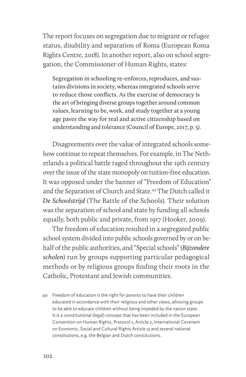The report focuses on segregation due to migrant or refugee status, disability and separation of Roma (European Roma Rights Centre, 2018). In another report, also on school segregation, the Commissioner of Human Rights, states:

Segregation in schooling re-enforces, reproduces, and sustains divisions in society, whereas integrated schools serve to reduce those conflicts. As the exercise of democracy is the art of bringing diverse groups together around common values, learning to be, work, and study together at a young age paves the way for real and active citizenship based on understanding and tolerance (Council of Europe, 2017, p. 5).

Disagreements over the value of integrated schools somehow continue to repeat themselves. For example, in The Netherlands a political battle raged throughout the 19th century over the issue of the state monopoly on tuition-free education. It was opposed under the banner of "Freedom of Education" and the Separation of Church and State.40 The Dutch called it *De Schoolstrijd* (The Battle of the Schools). Their solution was the separation of school and state by funding all schools equally, both public and private, from 1917 (Hooker, 2009).

The freedom of education resulted in a segregated public school system divided into public schools governed by or on behalf of the public authorities, and "Special schools" (*Bijzondere scholen*) run by groups supporting particular pedagogical methods or by religious groups finding their roots in the Catholic, Protestant and Jewish communities.

40 Freedom of education is the right for parents to have their children educated in accordance with their religious and other views, allowing groups to be able to educate children without being impeded by the nation state. It is a constitutional (legal) concept that has been included in the European Convention on Human Rights, Protocol 1, Article 2, International Covenant on Economic, Social and Cultural Rights Article 13 and several national constitutions, e.g. the Belgian and Dutch constitutions.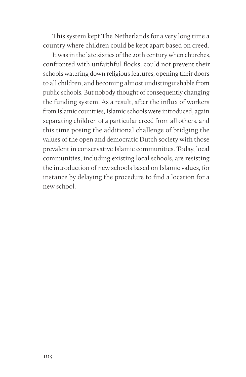This system kept The Netherlands for a very long time a country where children could be kept apart based on creed.

It was in the late sixties of the 20th century when churches, confronted with unfaithful flocks, could not prevent their schools watering down religious features, opening their doors to all children, and becoming almost undistinguishable from public schools. But nobody thought of consequently changing the funding system. As a result, after the influx of workers from Islamic countries, Islamic schools were introduced, again separating children of a particular creed from all others, and this time posing the additional challenge of bridging the values of the open and democratic Dutch society with those prevalent in conservative Islamic communities. Today, local communities, including existing local schools, are resisting the introduction of new schools based on Islamic values, for instance by delaying the procedure to find a location for a new school.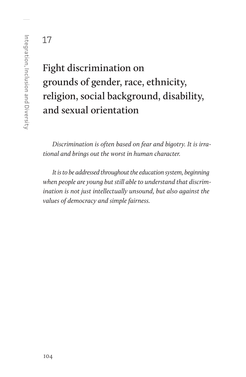17

# **Fight discrimination on grounds of gender, race, ethnicity, religion, social background, disability, and sexual orientation**

*Discrimination is often based on fear and bigotry. It is irrational and brings out the worst in human character.*

*It is to be addressed throughout the education system, beginning when people are young but still able to understand that discrimination is not just intellectually unsound, but also against the values of democracy and simple fairness.*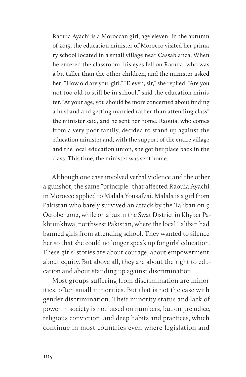Raouia Ayachi is a Moroccan girl, age eleven. In the autumn of 2015, the education minister of Morocco visited her primary school located in a small village near Cassablanca. When he entered the classroom, his eyes fell on Raouia, who was a bit taller than the other children, and the minister asked her: "How old are you, girl." "Eleven, sir," she replied. "Are you not too old to still be in school," said the education minister. "At your age, you should be more concerned about finding a husband and getting married rather than attending class", the minister said, and he sent her home. Raouia, who comes from a very poor family, decided to stand up against the education minister and, with the support of the entire village and the local education union, she got her place back in the class. This time, the minister was sent home.

Although one case involved verbal violence and the other a gunshot, the same "principle" that affected Raouia Ayachi in Morocco applied to Malala Yousafzai. Malala is a girl from Pakistan who barely survived an attack by the Taliban on 9 October 2012, while on a bus in the Swat District in Khyber Pakhtunkhwa, northwest Pakistan, where the local Taliban had banned girls from attending school. They wanted to silence her so that she could no longer speak up for girls' education. These girls' stories are about courage, about empowerment, about equity. But above all, they are about the right to education and about standing up against discrimination.

Most groups suffering from discrimination are minorities, often small minorities. But that is not the case with gender discrimination. Their minority status and lack of power in society is not based on numbers, but on prejudice, religious conviction, and deep habits and practices, which continue in most countries even where legislation and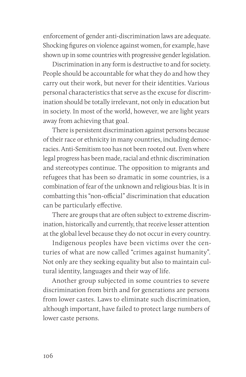enforcement of gender anti-discrimination laws are adequate. Shocking figures on violence against women, for example, have shown up in some countries with progressive gender legislation.

Discrimination in any form is destructive to and for society. People should be accountable for what they do and how they carry out their work, but never for their identities. Various personal characteristics that serve as the excuse for discrimination should be totally irrelevant, not only in education but in society. In most of the world, however, we are light years away from achieving that goal.

There is persistent discrimination against persons because of their race or ethnicity in many countries, including democracies. Anti-Semitism too has not been rooted out. Even where legal progress has been made, racial and ethnic discrimination and stereotypes continue. The opposition to migrants and refugees that has been so dramatic in some countries, is a combination of fear of the unknown and religious bias. It is in combatting this "non-official" discrimination that education can be particularly effective.

There are groups that are often subject to extreme discrimination, historically and currently, that receive lesser attention at the global level because they do not occur in every country.

Indigenous peoples have been victims over the centuries of what are now called "crimes against humanity". Not only are they seeking equality but also to maintain cultural identity, languages and their way of life.

Another group subjected in some countries to severe discrimination from birth and for generations are persons from lower castes. Laws to eliminate such discrimination, although important, have failed to protect large numbers of lower caste persons.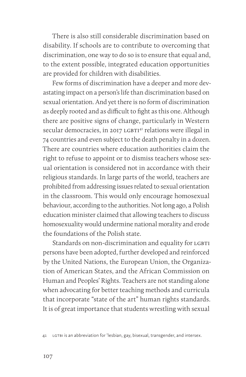There is also still considerable discrimination based on disability. If schools are to contribute to overcoming that discrimination, one way to do so is to ensure that equal and, to the extent possible, integrated education opportunities are provided for children with disabilities.

Few forms of discrimination have a deeper and more devastating impact on a person's life than discrimination based on sexual orientation. And yet there is no form of discrimination as deeply rooted and as difficult to fight as this one. Although there are positive signs of change, particularly in Western secular democracies, in 2017 LGBT1<sup>41</sup> relations were illegal in 74 countries and even subject to the death penalty in a dozen. There are countries where education authorities claim the right to refuse to appoint or to dismiss teachers whose sexual orientation is considered not in accordance with their religious standards. In large parts of the world, teachers are prohibited from addressing issues related to sexual orientation in the classroom. This would only encourage homosexual behaviour, according to the authorities. Not long ago, a Polish education minister claimed that allowing teachers to discuss homosexuality would undermine national morality and erode the foundations of the Polish state.

Standards on non-discrimination and equality for LGBTI persons have been adopted, further developed and reinforced by the United Nations, the European Union, the Organization of American States, and the African Commission on Human and Peoples' Rights. Teachers are not standing alone when advocating for better teaching methods and curricula that incorporate "state of the art" human rights standards. It is of great importance that students wrestling with sexual

<sup>41</sup> LGTBI is an abbreviation for 'lesbian, gay, bisexual, transgender, and intersex.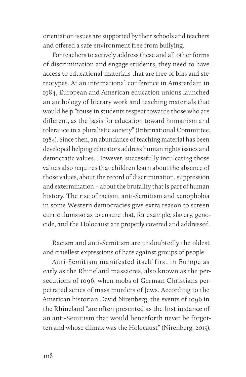orientation issues are supported by their schools and teachers and offered a safe environment free from bullying.

For teachers to actively address these and all other forms of discrimination and engage students, they need to have access to educational materials that are free of bias and stereotypes. At an international conference in Amsterdam in 1984, European and American education unions launched an anthology of literary work and teaching materials that would help "rouse in students respect towards those who are different, as the basis for education toward humanism and tolerance in a pluralistic society" (International Committee, 1984). Since then, an abundance of teaching material has been developed helping educators address human rights issues and democratic values. However, successfully inculcating those values also requires that children learn about the absence of those values, about the record of discrimination, suppression and extermination – about the brutality that is part of human history. The rise of racism, anti-Semitism and xenophobia in some Western democracies give extra reason to screen curriculums so as to ensure that, for example, slavery, genocide, and the Holocaust are properly covered and addressed.

Racism and anti-Semitism are undoubtedly the oldest and cruellest expressions of hate against groups of people.

Anti-Semitism manifested itself first in Europe as early as the Rhineland massacres, also known as the persecutions of 1096, when mobs of German Christians perpetrated series of mass murders of Jews. According to the American historian David Nirenberg, the events of 1096 in the Rhineland "are often presented as the first instance of an anti-Semitism that would henceforth never be forgotten and whose climax was the Holocaust" (Nirenberg, 2015).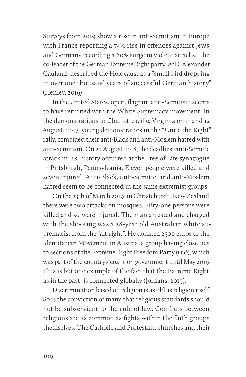Surveys from 2019 show a rise in anti-Semitism in Europe with France reporting a 74% rise in offences against Jews, and Germany recording a 60% surge in violent attacks. The co-leader of the German Extreme Right party, AfD, Alexander Gauland, described the Holocaust as a "small bird dropping in over one thousand years of successful German history" (Henley, 2019).

In the United States, open, flagrant anti-Semitism seems to have returned with the White Supremacy movement. In the demonstrations in Charlottesville, Virginia on 11 and 12 August, 2017, young demonstrators in the "Unite the Right" rally, combined their anti-Black and anti-Moslem hatred with anti-Semitism. On 27 August 2018, the deadliest anti-Semitic attack in u.s. history occurred at the Tree of Life synagogue in Pittsburgh, Pennsylvania. Eleven people were killed and seven injured. Anti-Black, anti-Semitic, and anti-Moslem hatred seem to be connected in the same extremist groups.

On the 23th of March 2019, in Christchurch, New Zealand, there were two attacks on mosques. Fifty-one persons were killed and 50 were injured. The man arrested and charged with the shooting was a 28-year old Australian white supremacist from the "alt-right". He donated 2500 euros to the Identitarian Movement in Austria, a group having close ties to sections of the Extreme Right Freedom Party (FPÖ), which was part of the country's coalition government until May 2019. This is but one example of the fact that the Extreme Right, as in the past, is connected globally (Jordans, 2019).

Discrimination based on religion is as old as religion itself. So is the conviction of many that religious standards should not be subservient to the rule of law. Conflicts between religions are as common as fights within the faith groups themselves. The Catholic and Protestant churches and their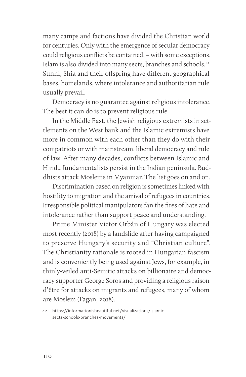many camps and factions have divided the Christian world for centuries. Only with the emergence of secular democracy could religious conflicts be contained, – with some exceptions. Islam is also divided into many sects, branches and schools.42 Sunni, Shia and their offspring have different geographical bases, homelands, where intolerance and authoritarian rule usually prevail.

Democracy is no guarantee against religious intolerance. The best it can do is to prevent religious rule.

In the Middle East, the Jewish religious extremists in settlements on the West bank and the Islamic extremists have more in common with each other than they do with their compatriots or with mainstream, liberal democracy and rule of law. After many decades, conflicts between Islamic and Hindu fundamentalists persist in the Indian peninsula. Buddhists attack Moslems in Myanmar. The list goes on and on.

Discrimination based on religion is sometimes linked with hostility to migration and the arrival of refugees in countries. Irresponsible political manipulators fan the fires of hate and intolerance rather than support peace and understanding.

Prime Minister Victor Orbán of Hungary was elected most recently (2018) by a landslide after having campaigned to preserve Hungary's security and "Christian culture". The Christianity rationale is rooted in Hungarian fascism and is conveniently being used against Jews, for example, in thinly-veiled anti-Semitic attacks on billionaire and democracy supporter George Soros and providing a religious raison d'être for attacks on migrants and refugees, many of whom are Moslem (Fagan, 2018).

42 https://informationisbeautiful.net/visualizations/islamicsects-schools-branches-movements/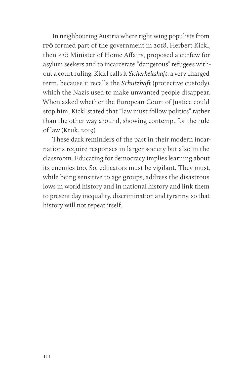In neighbouring Austria where right wing populists from fpö formed part of the government in 2018, Herbert Kickl, then fpö Minister of Home Affairs, proposed a curfew for asylum seekers and to incarcerate "dangerous" refugees without a court ruling. Kickl calls it *Sicherheitshaft*, a very charged term, because it recalls the *Schutzhaft* (protective custody), which the Nazis used to make unwanted people disappear. When asked whether the European Court of Justice could stop him, Kickl stated that "law must follow politics" rather than the other way around, showing contempt for the rule of law (Kruk, 2019).

These dark reminders of the past in their modern incarnations require responses in larger society but also in the classroom. Educating for democracy implies learning about its enemies too. So, educators must be vigilant. They must, while being sensitive to age groups, address the disastrous lows in world history and in national history and link them to present day inequality, discrimination and tyranny, so that history will not repeat itself.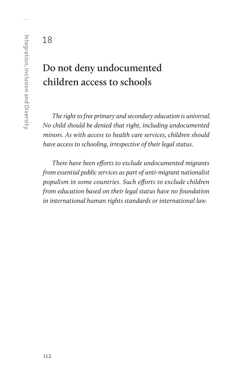18

# **Do not deny undocumented children access to schools**

*The right to free primary and secondary education is universal. No child should be denied that right, including undocumented minors. As with access to health care services, children should have access to schooling, irrespective of their legal status.*

*There have been efforts to exclude undocumented migrants from essential public services as part of anti-migrant nationalist populism in some countries. Such efforts to exclude children from education based on their legal status have no foundation in international human rights standards or international law.*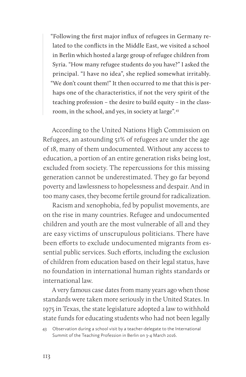"Following the first major influx of refugees in Germany related to the conflicts in the Middle East, we visited a school in Berlin which hosted a large group of refugee children from Syria. "How many refugee students do you have?" I asked the principal. "I have no idea", she replied somewhat irritably. "We don't count them!" It then occurred to me that this is perhaps one of the characteristics, if not the very spirit of the teaching profession – the desire to build equity – in the classroom, in the school, and yes, in society at large".43

According to the United Nations High Commission on Refugees, an astounding 51% of refugees are under the age of 18, many of them undocumented. Without any access to education, a portion of an entire generation risks being lost, excluded from society. The repercussions for this missing generation cannot be underestimated. They go far beyond poverty and lawlessness to hopelessness and despair. And in too many cases, they become fertile ground for radicalization.

Racism and xenophobia, fed by populist movements, are on the rise in many countries. Refugee and undocumented children and youth are the most vulnerable of all and they are easy victims of unscrupulous politicians. There have been efforts to exclude undocumented migrants from essential public services. Such efforts, including the exclusion of children from education based on their legal status, have no foundation in international human rights standards or international law.

A very famous case dates from many years ago when those standards were taken more seriously in the United States. In 1975 in Texas, the state legislature adopted a law to withhold state funds for educating students who had not been legally

43 Observation during a school visit by a teacher-delegate to the International Summit of the Teaching Profession in Berlin on 3-4 March 2016.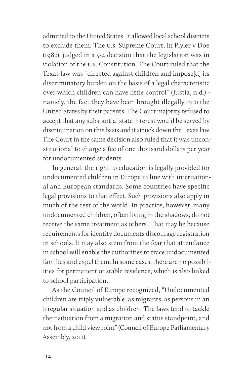admitted to the United States. It allowed local school districts to exclude them. The u.s. Supreme Court, in Plyler v Doe (1982), judged in a 5-4 decision that the legislation was in violation of the u.s. Constitution. The Court ruled that the Texas law was "directed against children and impose[d] its discriminatory burden on the basis of a legal characteristic over which children can have little control" (Justia, n.d.) – namely, the fact they have been brought illegally into the United States by their parents. The Court majority refused to accept that any substantial state interest would be served by discrimination on this basis and it struck down the Texas law. The Court in the same decision also ruled that it was unconstitutional to charge a fee of one thousand dollars per year for undocumented students.

In general, the right to education is legally provided for undocumented children in Europe in line with international and European standards. Some countries have specific legal provisions to that effect. Such provisions also apply in much of the rest of the world. In practice, however, many undocumented children, often living in the shadows, do not receive the same treatment as others. That may be because requirements for identity documents discourage registration in schools. It may also stem from the fear that attendance in school will enable the authorities to trace undocumented families and expel them. In some cases, there are no possibilities for permanent or stable residence, which is also linked to school participation.

As the Council of Europe recognized, "Undocumented children are triply vulnerable, as migrants, as persons in an irregular situation and as children. The laws tend to tackle their situation from a migration and status standpoint, and not from a child viewpoint" (Council of Europe Parliamentary Assembly, 2011).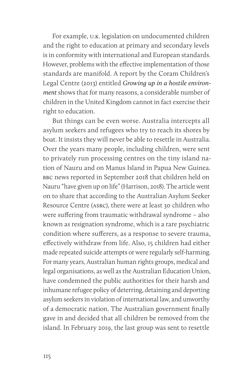For example, u.k. legislation on undocumented children and the right to education at primary and secondary levels is in conformity with international and European standards. However, problems with the effective implementation of those standards are manifold. A report by the Coram Children's Legal Centre (2013) entitled *Growing up in a hostile environment* shows that for many reasons, a considerable number of children in the United Kingdom cannot in fact exercise their right to education.

But things can be even worse. Australia intercepts all asylum seekers and refugees who try to reach its shores by boat. It insists they will never be able to resettle in Australia. Over the years many people, including children, were sent to privately run processing centres on the tiny island nation of Nauru and on Manus Island in Papua New Guinea. bbc news reported in September 2018 that children held on Nauru "have given up on life" (Harrison, 2018). The article went on to share that according to the Australian Asylum Seeker Resource Centre (asrc), there were at least 30 children who were suffering from traumatic withdrawal syndrome – also known as resignation syndrome, which is a rare psychiatric condition where sufferers, as a response to severe trauma, effectively withdraw from life. Also, 15 children had either made repeated suicide attempts or were regularly self-harming. For many years, Australian human rights groups, medical and legal organisations, as well as the Australian Education Union, have condemned the public authorities for their harsh and inhumane refugee policy of deterring, detaining and deporting asylum seekers in violation of international law, and unworthy of a democratic nation. The Australian government finally gave in and decided that all children be removed from the island. In February 2019, the last group was sent to resettle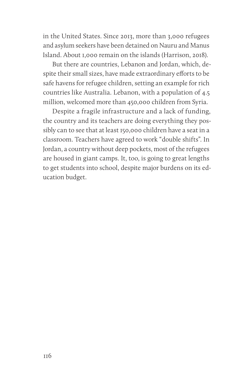in the United States. Since 2013, more than 3,000 refugees and asylum seekers have been detained on Nauru and Manus Island. About 1,000 remain on the islands (Harrison, 2018).

But there are countries, Lebanon and Jordan, which, despite their small sizes, have made extraordinary efforts to be safe havens for refugee children, setting an example for rich countries like Australia. Lebanon, with a population of 4.5 million, welcomed more than 450,000 children from Syria.

Despite a fragile infrastructure and a lack of funding, the country and its teachers are doing everything they possibly can to see that at least 150,000 children have a seat in a classroom. Teachers have agreed to work "double shifts". In Jordan, a country without deep pockets, most of the refugees are housed in giant camps. It, too, is going to great lengths to get students into school, despite major burdens on its education budget.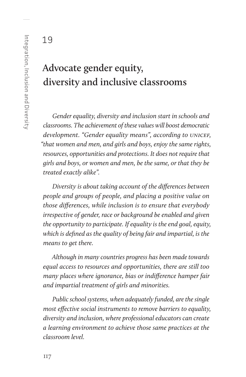19

### **Advocate gender equity, diversity and inclusive classrooms**

*Gender equality, diversity and inclusion start in schools and classrooms. The achievement of these values will boost democratic development. "Gender equality means", according to unicef, "that women and men, and girls and boys, enjoy the same rights, resources, opportunities and protections. It does not require that girls and boys, or women and men, be the same, or that they be treated exactly alike".*

*Diversity is about taking account of the differences between people and groups of people, and placing a positive value on those differences, while inclusion is to ensure that everybody irrespective of gender, race or background be enabled and given the opportunity to participate. If equality is the end goal, equity, which is defined as the quality of being fair and impartial, is the means to get there.*

*Although in many countries progress has been made towards equal access to resources and opportunities, there are still too many places where ignorance, bias or indifference hamper fair and impartial treatment of girls and minorities.*

*Public school systems, when adequately funded, are the single most effective social instruments to remove barriers to equality, diversity and inclusion, where professional educators can create a learning environment to achieve those same practices at the classroom level.*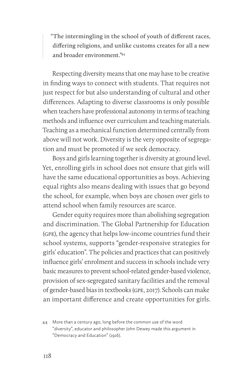"The intermingling in the school of youth of different races, differing religions, and unlike customs creates for all a new and broader environment."44

Respecting diversity means that one may have to be creative in finding ways to connect with students. That requires not just respect for but also understanding of cultural and other differences. Adapting to diverse classrooms is only possible when teachers have professional autonomy in terms of teaching methods and influence over curriculum and teaching materials. Teaching as a mechanical function determined centrally from above will not work. Diversity is the very opposite of segregation and must be promoted if we seek democracy.

Boys and girls learning together is diversity at ground level. Yet, enrolling girls in school does not ensure that girls will have the same educational opportunities as boys. Achieving equal rights also means dealing with issues that go beyond the school, for example, when boys are chosen over girls to attend school when family resources are scarce.

Gender equity requires more than abolishing segregation and discrimination. The Global Partnership for Education (gpe), the agency that helps low-income countries fund their school systems, supports "gender-responsive strategies for girls' education". The policies and practices that can positively influence girls' enrolment and success in schools include very basic measures to prevent school-related gender-based violence, provision of sex-segregated sanitary facilities and the removal of gender-based bias in textbooks (gpe, 2017). Schools can make an important difference and create opportunities for girls.

<sup>44</sup> More than a century ago, long before the common use of the word "diversity", educator and philosopher John Dewey made this argument in "Democracy and Education" (1916).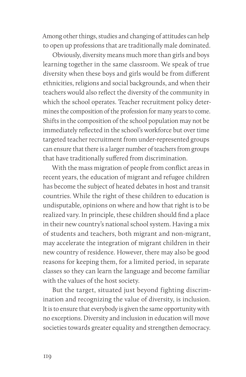Among other things, studies and changing of attitudes can help to open up professions that are traditionally male dominated.

Obviously, diversity means much more than girls and boys learning together in the same classroom. We speak of true diversity when these boys and girls would be from different ethnicities, religions and social backgrounds, and when their teachers would also reflect the diversity of the community in which the school operates. Teacher recruitment policy determines the composition of the profession for many years to come. Shifts in the composition of the school population may not be immediately reflected in the school's workforce but over time targeted teacher recruitment from under-represented groups can ensure that there is a larger number of teachers from groups that have traditionally suffered from discrimination.

With the mass migration of people from conflict areas in recent years, the education of migrant and refugee children has become the subject of heated debates in host and transit countries. While the right of these children to education is undisputable, opinions on where and how that right is to be realized vary. In principle, these children should find a place in their new country's national school system. Having a mix of students and teachers, both migrant and non-migrant, may accelerate the integration of migrant children in their new country of residence. However, there may also be good reasons for keeping them, for a limited period, in separate classes so they can learn the language and become familiar with the values of the host society.

But the target, situated just beyond fighting discrimination and recognizing the value of diversity, is inclusion. It is to ensure that everybody is given the same opportunity with no exceptions. Diversity and inclusion in education will move societies towards greater equality and strengthen democracy.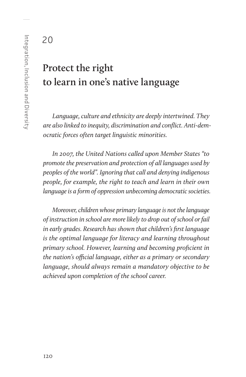### **Protect the right to learn in one's native language**

*Language, culture and ethnicity are deeply intertwined. They are also linked to inequity, discrimination and conflict. Anti-democratic forces often target linguistic minorities.*

*In 2007, the United Nations called upon Member States "to promote the preservation and protection of all languages used by peoples of the world". Ignoring that call and denying indigenous people, for example, the right to teach and learn in their own language is a form of oppression unbecoming democratic societies.*

*Moreover, children whose primary language is not the language of instruction in school are more likely to drop out of school or fail in early grades. Research has shown that children's first language is the optimal language for literacy and learning throughout primary school. However, learning and becoming proficient in the nation's official language, either as a primary or secondary language, should always remain a mandatory objective to be achieved upon completion of the school career.*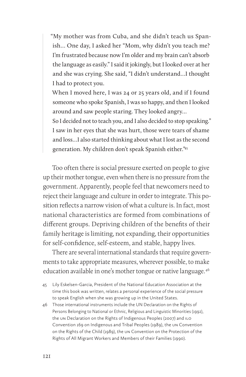"My mother was from Cuba, and she didn't teach us Spanish… One day, I asked her "Mom, why didn't you teach me? I'm frustrated because now I'm older and my brain can't absorb the language as easily." I said it jokingly, but I looked over at her and she was crying. She said, "I didn't understand…I thought I had to protect you.

When I moved here, I was 24 or 25 years old, and if I found someone who spoke Spanish, I was so happy, and then I looked around and saw people staring. They looked angry…

So I decided not to teach you, and I also decided to stop speaking." I saw in her eyes that she was hurt, those were tears of shame and loss…I also started thinking about what I lost as the second generation. My children don't speak Spanish either."45

Too often there is social pressure exerted on people to give up their mother tongue, even when there is no pressure from the government. Apparently, people feel that newcomers need to reject their language and culture in order to integrate. This position reflects a narrow vision of what a culture is. In fact, most national characteristics are formed from combinations of different groups. Depriving children of the benefits of their family heritage is limiting, not expanding, their opportunities for self-confidence, self-esteem, and stable, happy lives.

There are several international standards that require governments to take appropriate measures, wherever possible, to make education available in one's mother tongue or native language.46

46 Those international instruments include the UN Declaration on the Rights of Persons Belonging to National or Ethnic, Religious and Linguistic Minorities (1992), the un Declaration on the Rights of Indigenous Peoples (2007) and ilo Convention 169 on Indigenous and Tribal Peoples (1989), the un Convention on the Rights of the Child (1989), the un Convention on the Protection of the Rights of All Migrant Workers and Members of their Families (1990).

<sup>45</sup> Lily Eskelsen-Garcia, President of the National Education Association at the time this book was written, relates a personal experience of the social pressure to speak English when she was growing up in the United States.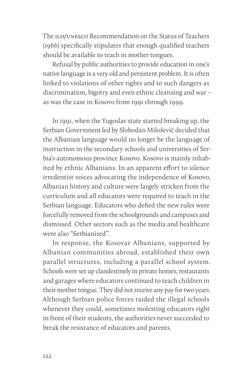The ILO/UNESCO Recommendation on the Status of Teachers (1966) specifically stipulates that enough qualified teachers should be available to teach in mother tongues.

Refusal by public authorities to provide education in one's native language is a very old and persistent problem. It is often linked to violations of other rights and to such dangers as discrimination, bigotry and even ethnic cleansing and war – as was the case in Kosovo from 1991 through 1999.

In 1991, when the Yugoslav state started breaking up, the Serbian Government led by Slobodan Milošević decided that the Albanian language would no longer be the language of instruction in the secondary schools and universities of Serbia's autonomous province Kosovo. Kosovo is mainly inhabited by ethnic Albanians. In an apparent effort to silence irredentist voices advocating the independence of Kosovo, Albanian history and culture were largely stricken from the curriculum and all educators were required to teach in the Serbian language. Educators who defied the new rules were forcefully removed from the schoolgrounds and campuses and dismissed. Other sectors such as the media and healthcare were also "Serbianised".

In response, the Kosovar Albanians, supported by Albanian communities abroad, established their own parallel structures, including a parallel school system. Schools were set up clandestinely in private homes, restaurants and garages where educators continued to teach children in their mother tongue. They did not receive any pay for two years. Although Serbian police forces raided the illegal schools whenever they could, sometimes molesting educators right in front of their students, the authorities never succeeded to break the resistance of educators and parents.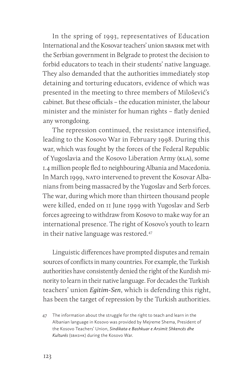In the spring of 1993, representatives of Education International and the Kosovar teachers' union sbashk met with the Serbian government in Belgrade to protest the decision to forbid educators to teach in their students' native language. They also demanded that the authorities immediately stop detaining and torturing educators, evidence of which was presented in the meeting to three members of Milošević's cabinet. But these officials – the education minister, the labour minister and the minister for human rights – flatly denied any wrongdoing.

The repression continued, the resistance intensified, leading to the Kosovo War in February 1998. During this war, which was fought by the forces of the Federal Republic of Yugoslavia and the Kosovo Liberation Army (kla), some 1.4 million people fled to neighbouring Albania and Macedonia. In March 1999, NATO intervened to prevent the Kosovar Albanians from being massacred by the Yugoslav and Serb forces. The war, during which more than thirteen thousand people were killed, ended on 11 June 1999 with Yugoslav and Serb forces agreeing to withdraw from Kosovo to make way for an international presence. The right of Kosovo's youth to learn in their native language was restored.47

Linguistic differences have prompted disputes and remain sources of conflicts in many countries. For example, the Turkish authorities have consistently denied the right of the Kurdish minority to learn in their native language. For decades the Turkish teachers' union *Egitim-Sen*, which is defending this right, has been the target of repression by the Turkish authorities.

<sup>47</sup> The information about the struggle for the right to teach and learn in the Albanian language in Kosovo was provided by Mejreme Shema, President of the Kosovo Teachers' Union, *Sindikata e Bashkuar e Arsimit Shkencës dhe Kulturës* (sbashk) during the Kosovo War.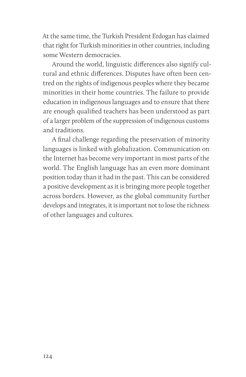At the same time, the Turkish President Erdogan has claimed that right for Turkish minorities in other countries, including some Western democracies.

Around the world, linguistic differences also signify cultural and ethnic differences. Disputes have often been centred on the rights of indigenous peoples where they became minorities in their home countries. The failure to provide education in indigenous languages and to ensure that there are enough qualified teachers has been understood as part of a larger problem of the suppression of indigenous customs and traditions.

A final challenge regarding the preservation of minority languages is linked with globalization. Communication on the Internet has become very important in most parts of the world. The English language has an even more dominant position today than it had in the past. This can be considered a positive development as it is bringing more people together across borders. However, as the global community further develops and integrates, it is important not to lose the richness of other languages and cultures.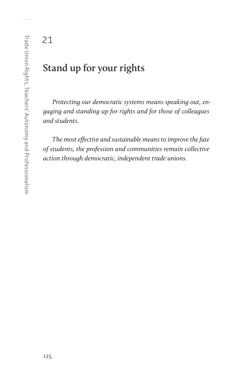21

#### **Stand up for your rights**

*Protecting our democratic systems means speaking out, engaging and standing up for rights and for those of colleagues and students.*

*The most effective and sustainable means to improve the fate of students, the profession and communities remain collective action through democratic, independent trade unions.*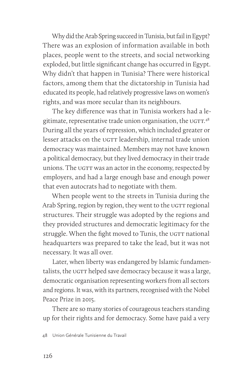Why did the Arab Spring succeed in Tunisia, but fail in Egypt? There was an explosion of information available in both places, people went to the streets, and social networking exploded, but little significant change has occurred in Egypt. Why didn't that happen in Tunisia? There were historical factors, among them that the dictatorship in Tunisia had educated its people, had relatively progressive laws on women's rights, and was more secular than its neighbours.

The key difference was that in Tunisia workers had a legitimate, representative trade union organisation, the  $\mathrm{u}$ GTT. $^{48}$ During all the years of repression, which included greater or lesser attacks on the ugtr leadership, internal trade union democracy was maintained. Members may not have known a political democracy, but they lived democracy in their trade unions. The ugtt was an actor in the economy, respected by employers, and had a large enough base and enough power that even autocrats had to negotiate with them.

When people went to the streets in Tunisia during the Arab Spring, region by region, they went to the ugtr regional structures. Their struggle was adopted by the regions and they provided structures and democratic legitimacy for the struggle. When the fight moved to Tunis, the ugrt national headquarters was prepared to take the lead, but it was not necessary. It was all over.

Later, when liberty was endangered by Islamic fundamentalists, the ugtt helped save democracy because it was a large, democratic organisation representing workers from all sectors and regions. It was, with its partners, recognised with the Nobel Peace Prize in 2015.

There are so many stories of courageous teachers standing up for their rights and for democracy. Some have paid a very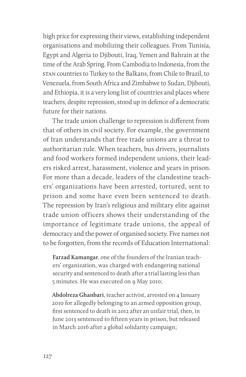high price for expressing their views, establishing independent organisations and mobilizing their colleagues. From Tunisia, Egypt and Algeria to Djibouti, Iraq, Yemen and Bahrain at the time of the Arab Spring. From Cambodia to Indonesia, from the stan countries to Turkey to the Balkans, from Chile to Brazil, to Venezuela, from South Africa and Zimbabwe to Sudan, Djibouti, and Ethiopia, it is a very long list of countries and places where teachers, despite repression, stood up in defence of a democratic future for their nations.

The trade union challenge to repression is different from that of others in civil society. For example, the government of Iran understands that free trade unions are a threat to authoritarian rule. When teachers, bus drivers, journalists and food workers formed independent unions, their leaders risked arrest, harassment, violence and years in prison. For more than a decade, leaders of the clandestine teachers' organizations have been arrested, tortured, sent to prison and some have even been sentenced to death. The repression by Iran's religious and military elite against trade union officers shows their understanding of the importance of legitimate trade unions, the appeal of democracy and the power of organised society. Five names not to be forgotten, from the records of Education International:

**Farzad Kamangar**, one of the founders of the Iranian teachers' organization, was charged with endangering national security and sentenced to death after a trial lasting less than 5 minutes. He was executed on 9 May 2010;

**Abdolreza Ghanbari**, teacher activist, arrested on 4 January 2010 for allegedly belonging to an armed opposition group, first sentenced to death in 2012 after an unfair trial, then, in June 2013 sentenced to fifteen years in prison, but released in March 2016 after a global solidarity campaign;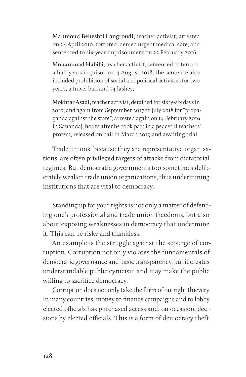**Mahmoud Beheshti Langroudi**, teacher activist, arrested on 24 April 2010, tortured, denied urgent medical care, and sentenced to six-year imprisonment on 22 February 2016;

**Mohammad Habibi**, teacher activist, sentenced to ten and a half years in prison on 4 August 2018; the sentence also included prohibition of social and political activities for two years, a travel ban and 74 lashes;

**Mokhtar Asadi,** teacher activist, detained for sixty-six days in 2010, and again from September 2017 to July 2018 for "propaganda against the state"; arrested again on 14 February 2019 in Sanandaj, hours after he took part in a peaceful teachers' protest, released on bail in March 2019 and awaiting trial.

Trade unions, because they are representative organisations, are often privileged targets of attacks from dictatorial regimes. But democratic governments too sometimes deliberately weaken trade union organizations, thus undermining institutions that are vital to democracy.

Standing up for your rights is not only a matter of defending one's professional and trade union freedoms, but also about exposing weaknesses in democracy that undermine it. This can be risky and thankless.

An example is the struggle against the scourge of corruption. Corruption not only violates the fundamentals of democratic governance and basic transparency, but it creates understandable public cynicism and may make the public willing to sacrifice democracy.

Corruption does not only take the form of outright thievery. In many countries, money to finance campaigns and to lobby elected officials has purchased access and, on occasion, decisions by elected officials. This is a form of democracy theft.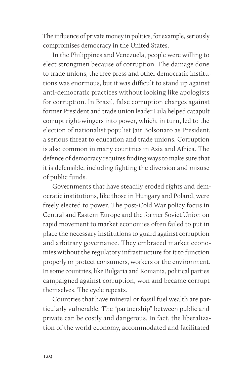The influence of private money in politics, for example, seriously compromises democracy in the United States.

In the Philippines and Venezuela, people were willing to elect strongmen because of corruption. The damage done to trade unions, the free press and other democratic institutions was enormous, but it was difficult to stand up against anti-democratic practices without looking like apologists for corruption. In Brazil, false corruption charges against former President and trade union leader Lula helped catapult corrupt right-wingers into power, which, in turn, led to the election of nationalist populist Jair Bolsonaro as President, a serious threat to education and trade unions. Corruption is also common in many countries in Asia and Africa. The defence of democracy requires finding ways to make sure that it is defensible, including fighting the diversion and misuse of public funds.

Governments that have steadily eroded rights and democratic institutions, like those in Hungary and Poland, were freely elected to power. The post-Cold War policy focus in Central and Eastern Europe and the former Soviet Union on rapid movement to market economies often failed to put in place the necessary institutions to guard against corruption and arbitrary governance. They embraced market economies without the regulatory infrastructure for it to function properly or protect consumers, workers or the environment. In some countries, like Bulgaria and Romania, political parties campaigned against corruption, won and became corrupt themselves. The cycle repeats.

Countries that have mineral or fossil fuel wealth are particularly vulnerable. The "partnership" between public and private can be costly and dangerous. In fact, the liberalization of the world economy, accommodated and facilitated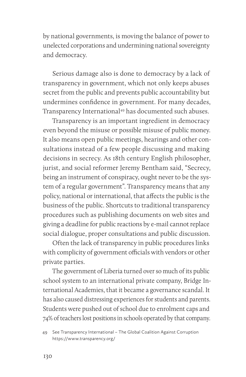by national governments, is moving the balance of power to unelected corporations and undermining national sovereignty and democracy.

Serious damage also is done to democracy by a lack of transparency in government, which not only keeps abuses secret from the public and prevents public accountability but undermines confidence in government. For many decades, Transparency International<sup>49</sup> has documented such abuses.

Transparency is an important ingredient in democracy even beyond the misuse or possible misuse of public money. It also means open public meetings, hearings and other consultations instead of a few people discussing and making decisions in secrecy. As 18th century English philosopher, jurist, and social reformer Jeremy Bentham said, "Secrecy, being an instrument of conspiracy, ought never to be the system of a regular government". Transparency means that any policy, national or international, that affects the public is the business of the public. Shortcuts to traditional transparency procedures such as publishing documents on web sites and giving a deadline for public reactions by e-mail cannot replace social dialogue, proper consultations and public discussion.

Often the lack of transparency in public procedures links with complicity of government officials with vendors or other private parties.

The government of Liberia turned over so much of its public school system to an international private company, Bridge International Academies, that it became a governance scandal. It has also caused distressing experiences for students and parents. Students were pushed out of school due to enrolment caps and 74% of teachers lost positions in schools operated by that company.

<sup>49</sup> See Transparency International – The Global Coalition Against Corruption https://www.transparency.org/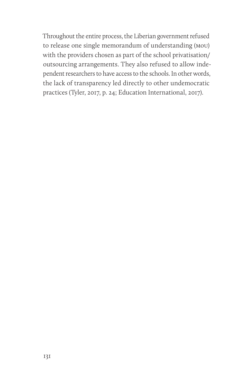Throughout the entire process, the Liberian government refused to release one single memorandum of understanding (mou) with the providers chosen as part of the school privatisation/ outsourcing arrangements. They also refused to allow independent researchers to have access to the schools. In other words, the lack of transparency led directly to other undemocratic practices (Tyler, 2017, p. 24; Education International, 2017).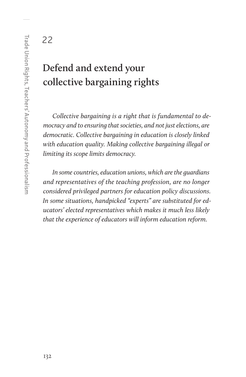22

# **Defend and extend your collective bargaining rights**

*Collective bargaining is a right that is fundamental to democracy and to ensuring that societies, and not just elections, are democratic. Collective bargaining in education is closely linked with education quality. Making collective bargaining illegal or limiting its scope limits democracy.*

*In some countries, education unions, which are the guardians and representatives of the teaching profession, are no longer considered privileged partners for education policy discussions. In some situations, handpicked "experts" are substituted for educators' elected representatives which makes it much less likely that the experience of educators will inform education reform.*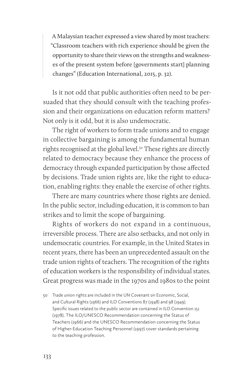A Malaysian teacher expressed a view shared by most teachers: "Classroom teachers with rich experience should be given the opportunity to share their views on the strengths and weaknesses of the present system before [governments start] planning changes" (Education International, 2015, p. 32).

Is it not odd that public authorities often need to be persuaded that they should consult with the teaching profession and their organizations on education reform matters? Not only is it odd, but it is also undemocratic.

The right of workers to form trade unions and to engage in collective bargaining is among the fundamental human rights recognised at the global level.<sup>50</sup> These rights are directly related to democracy because they enhance the process of democracy through expanded participation by those affected by decisions. Trade union rights are, like the right to education, enabling rights: they enable the exercise of other rights.

There are many countries where those rights are denied. In the public sector, including education, it is common to ban strikes and to limit the scope of bargaining.

Rights of workers do not expand in a continuous, irreversible process. There are also setbacks, and not only in undemocratic countries. For example, in the United States in recent years, there has been an unprecedented assault on the trade union rights of teachers. The recognition of the rights of education workers is the responsibility of individual states. Great progress was made in the 1970s and 1980s to the point

<sup>50</sup> Trade union rights are included in the UN Covenant on Economic, Social, and Cultural Rights (1966) and ILO Conventions 87 (1948) and 98 (1949). Specific issues related to the public sector are contained in ILO Convention 151 (1978). The ILO/UNESCO Recommendation concerning the Status of Teachers (1966) and the UNESCO Recommendation concerning the Status of Higher-Education Teaching Personnel (1997) cover standards pertaining to the teaching profession.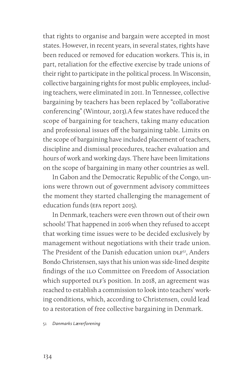that rights to organise and bargain were accepted in most states. However, in recent years, in several states, rights have been reduced or removed for education workers. This is, in part, retaliation for the effective exercise by trade unions of their right to participate in the political process. In Wisconsin, collective bargaining rights for most public employees, including teachers, were eliminated in 2011. In Tennessee, collective bargaining by teachers has been replaced by "collaborative conferencing" (Wintour, 2013).A few states have reduced the scope of bargaining for teachers, taking many education and professional issues off the bargaining table. Limits on the scope of bargaining have included placement of teachers, discipline and dismissal procedures, teacher evaluation and hours of work and working days. There have been limitations on the scope of bargaining in many other countries as well.

In Gabon and the Democratic Republic of the Congo, unions were thrown out of government advisory committees the moment they started challenging the management of education funds (efa report 2015).

In Denmark, teachers were even thrown out of their own schools! That happened in 2016 when they refused to accept that working time issues were to be decided exclusively by management without negotiations with their trade union. The President of the Danish education union DLF<sup>51</sup>, Anders Bondo Christensen, says that his union was side-lined despite findings of the ilo Committee on Freedom of Association which supported DLF's position. In 2018, an agreement was reached to establish a commission to look into teachers' working conditions, which, according to Christensen, could lead to a restoration of free collective bargaining in Denmark.

51 *Danmarks Lærerforening*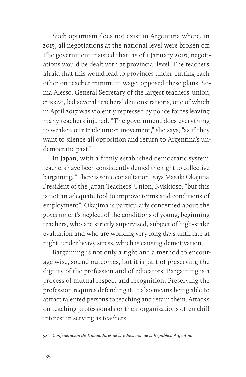Such optimism does not exist in Argentina where, in 2015, all negotiations at the national level were broken off. The government insisted that, as of 1 January 2016, negotiations would be dealt with at provincial level. The teachers, afraid that this would lead to provinces under-cutting each other on teacher minimum wage, opposed these plans. Sonia Alesso, General Secretary of the largest teachers' union, CTERA<sup>52</sup>, led several teachers' demonstrations, one of which in April 2017 was violently repressed by police forces leaving many teachers injured. "The government does everything to weaken our trade union movement," she says, "as if they want to silence all opposition and return to Argentina's undemocratic past."

In Japan, with a firmly established democratic system, teachers have been consistently denied the right to collective bargaining. "There is some consultation", says Masaki Okajima, President of the Japan Teachers' Union, Nykkioso, "but this is not an adequate tool to improve terms and conditions of employment". Okajima is particularly concerned about the government's neglect of the conditions of young, beginning teachers, who are strictly supervised, subject of high-stake evaluation and who are working very long days until late at night, under heavy stress, which is causing demotivation.

Bargaining is not only a right and a method to encourage wise, sound outcomes, but it is part of preserving the dignity of the profession and of educators. Bargaining is a process of mutual respect and recognition. Preserving the profession requires defending it. It also means being able to attract talented persons to teaching and retain them. Attacks on teaching professionals or their organisations often chill interest in serving as teachers.

52 *Confederación de Trabajadores de la Educación de la República Argentina*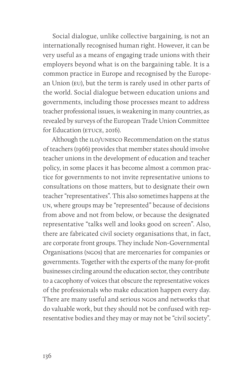Social dialogue, unlike collective bargaining, is not an internationally recognised human right. However, it can be very useful as a means of engaging trade unions with their employers beyond what is on the bargaining table. It is a common practice in Europe and recognised by the European Union (eu), but the term is rarely used in other parts of the world. Social dialogue between education unions and governments, including those processes meant to address teacher professional issues, is weakening in many countries, as revealed by surveys of the European Trade Union Committee for Education (ETUCE, 2016).

Although the ilo/unesco Recommendation on the status of teachers (1966) provides that member states should involve teacher unions in the development of education and teacher policy, in some places it has become almost a common practice for governments to not invite representative unions to consultations on those matters, but to designate their own teacher "representatives". This also sometimes happens at the un, where groups may be "represented" because of decisions from above and not from below, or because the designated representative "talks well and looks good on screen". Also, there are fabricated civil society organisations that, in fact, are corporate front groups. They include Non-Governmental Organisations (ngos) that are mercenaries for companies or governments. Together with the experts of the many for-profit businesses circling around the education sector, they contribute to a cacophony of voices that obscure the representative voices of the professionals who make education happen every day. There are many useful and serious ngos and networks that do valuable work, but they should not be confused with representative bodies and they may or may not be "civil society".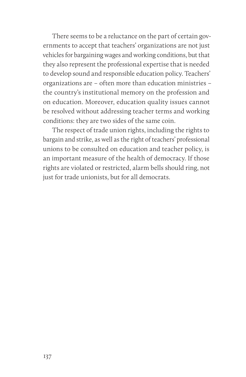There seems to be a reluctance on the part of certain governments to accept that teachers' organizations are not just vehicles for bargaining wages and working conditions, but that they also represent the professional expertise that is needed to develop sound and responsible education policy. Teachers' organizations are – often more than education ministries – the country's institutional memory on the profession and on education. Moreover, education quality issues cannot be resolved without addressing teacher terms and working conditions: they are two sides of the same coin.

The respect of trade union rights, including the rights to bargain and strike, as well as the right of teachers' professional unions to be consulted on education and teacher policy, is an important measure of the health of democracy. If those rights are violated or restricted, alarm bells should ring, not just for trade unionists, but for all democrats.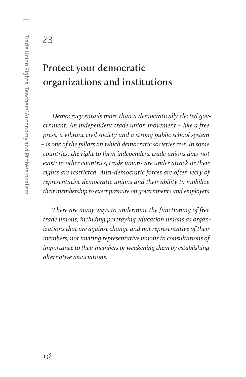23

# **Protect your democratic organizations and institutions**

*Democracy entails more than a democratically elected government. An independent trade union movement – like a free press, a vibrant civil society and a strong public school system – is one of the pillars on which democratic societies rest. In some countries, the right to form independent trade unions does not exist; in other countries, trade unions are under attack or their rights are restricted. Anti-democratic forces are often leery of representative democratic unions and their ability to mobilize their membership to exert pressure on governments and employers.*

*There are many ways to undermine the functioning of free trade unions, including portraying education unions as organizations that are against change and not representative of their members, not inviting representative unions to consultations of importance to their members or weakening them by establishing alternative associations.*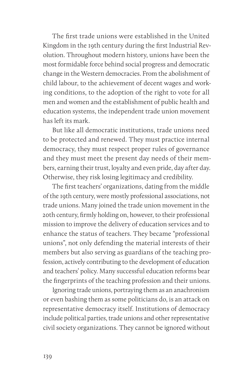The first trade unions were established in the United Kingdom in the 19th century during the first Industrial Revolution. Throughout modern history, unions have been the most formidable force behind social progress and democratic change in the Western democracies. From the abolishment of child labour, to the achievement of decent wages and working conditions, to the adoption of the right to vote for all men and women and the establishment of public health and education systems, the independent trade union movement has left its mark.

But like all democratic institutions, trade unions need to be protected and renewed. They must practice internal democracy, they must respect proper rules of governance and they must meet the present day needs of their members, earning their trust, loyalty and even pride, day after day. Otherwise, they risk losing legitimacy and credibility.

The first teachers' organizations, dating from the middle of the 19th century, were mostly professional associations, not trade unions. Many joined the trade union movement in the 20th century, firmly holding on, however, to their professional mission to improve the delivery of education services and to enhance the status of teachers. They became "professional unions", not only defending the material interests of their members but also serving as guardians of the teaching profession, actively contributing to the development of education and teachers' policy. Many successful education reforms bear the fingerprints of the teaching profession and their unions.

Ignoring trade unions, portraying them as an anachronism or even bashing them as some politicians do, is an attack on representative democracy itself. Institutions of democracy include political parties, trade unions and other representative civil society organizations. They cannot be ignored without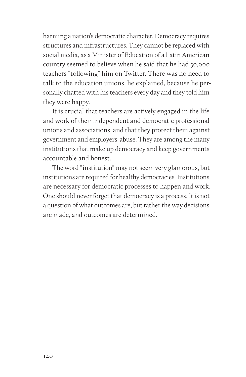harming a nation's democratic character. Democracy requires structures and infrastructures. They cannot be replaced with social media, as a Minister of Education of a Latin American country seemed to believe when he said that he had 50,000 teachers "following" him on Twitter. There was no need to talk to the education unions, he explained, because he personally chatted with his teachers every day and they told him they were happy.

It is crucial that teachers are actively engaged in the life and work of their independent and democratic professional unions and associations, and that they protect them against government and employers' abuse. They are among the many institutions that make up democracy and keep governments accountable and honest.

The word "institution" may not seem very glamorous, but institutions are required for healthy democracies. Institutions are necessary for democratic processes to happen and work. One should never forget that democracy is a process. It is not a question of what outcomes are, but rather the way decisions are made, and outcomes are determined.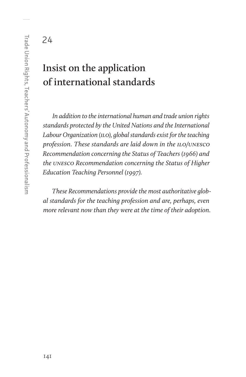### **Insist on the application of international standards**

*In addition to the international human and trade union rights standards protected by the United Nations and the International Labour Organization (ilo), global standards exist for the teaching profession. These standards are laid down in the ilo/unesco Recommendation concerning the Status of Teachers (1966) and the unesco Recommendation concerning the Status of Higher Education Teaching Personnel (1997).* 

*These Recommendations provide the most authoritative global standards for the teaching profession and are, perhaps, even more relevant now than they were at the time of their adoption.*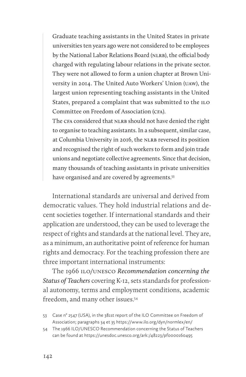Graduate teaching assistants in the United States in private universities ten years ago were not considered to be employees by the National Labor Relations Board (NLRB), the official body charged with regulating labour relations in the private sector. They were not allowed to form a union chapter at Brown University in 2014. The United Auto Workers' Union (uaw), the largest union representing teaching assistants in the United States, prepared a complaint that was submitted to the ILO Committee on Freedom of Association (cfa).

The CFA considered that NLRB should not have denied the right to organise to teaching assistants. In a subsequent, similar case, at Columbia University in 2016, the NLRB reversed its position and recognised the right of such workers to form and join trade unions and negotiate collective agreements. Since that decision, many thousands of teaching assistants in private universities have organised and are covered by agreements.<sup>53</sup>

International standards are universal and derived from democratic values. They hold industrial relations and decent societies together. If international standards and their application are understood, they can be used to leverage the respect of rights and standards at the national level. They are, as a minimum, an authoritative point of reference for human rights and democracy. For the teaching profession there are three important international instruments:

The 1966 ilo/unesco *Recommendation concerning the Status of Teachers* covering K-12, sets standards for professional autonomy, terms and employment conditions, academic freedom, and many other issues.<sup>54</sup>

<sup>53</sup> Case n° 2547 (USA), in the 381st report of the ILO Committee on Freedom of Association; paragraphs 34 et 35 https://www.ilo.org/dyn/normlex/en/

<sup>54</sup> The 1966 ILO/UNESCO Recommendation concerning the Status of Teachers can be found at https://unesdoc.unesco.org/ark:/48223/pf0000160495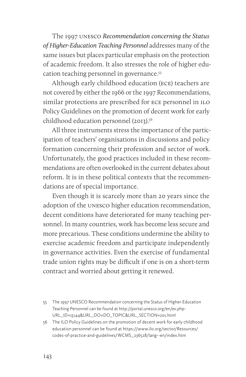The 1997 unesco *Recommendation concerning the Status of Higher-Education Teaching Personnel* addresses many of the same issues but places particular emphasis on the protection of academic freedom. It also stresses the role of higher education teaching personnel in governance.55

Although early childhood education (ece) teachers are not covered by either the 1966 or the 1997 Recommendations, similar protections are prescribed for ECE personnel in ILO Policy Guidelines on the promotion of decent work for early childhood education personnel (2013).<sup>56</sup>

All three instruments stress the importance of the participation of teachers' organisations in discussions and policy formation concerning their profession and sector of work. Unfortunately, the good practices included in these recommendations are often overlooked in the current debates about reform. It is in these political contexts that the recommendations are of special importance.

Even though it is scarcely more than 20 years since the adoption of the unesco higher education recommendation, decent conditions have deteriorated for many teaching personnel. In many countries, work has become less secure and more precarious. These conditions undermine the ability to exercise academic freedom and participate independently in governance activities. Even the exercise of fundamental trade union rights may be difficult if one is on a short-term contract and worried about getting it renewed.

55 The 1997 UNESCO Recommendation concerning the Status of Higher-Education Teaching Personnel can be found at http://portal.unesco.org/en/ev.php-URL\_ID=13144&URL\_DO=DO\_TOPIC&URL\_SECTION=201.html

56 The ILO Policy Guidelines on the promotion of decent work for early childhood education personnel can be found at https://www.ilo.org/sector/Resources/ codes-of-practice-and-guidelines/WCMS\_236528/lang--en/index.htm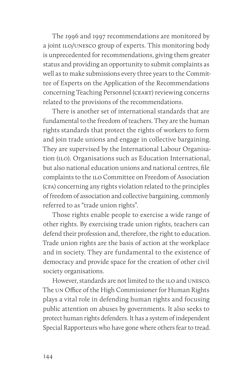The 1996 and 1997 recommendations are monitored by a joint ilo/unesco group of experts. This monitoring body is unprecedented for recommendations, giving them greater status and providing an opportunity to submit complaints as well as to make submissions every three years to the Committee of Experts on the Application of the Recommendations concerning Teaching Personnel (ceart) reviewing concerns related to the provisions of the recommendations.

There is another set of international standards that are fundamental to the freedom of teachers. They are the human rights standards that protect the rights of workers to form and join trade unions and engage in collective bargaining. They are supervised by the International Labour Organisation (ILO). Organisations such as Education International, but also national education unions and national centres, file complaints to the ilo Committee on Freedom of Association (cfa) concerning any rights violation related to the principles of freedom of association and collective bargaining, commonly referred to as "trade union rights".

Those rights enable people to exercise a wide range of other rights. By exercising trade union rights, teachers can defend their profession and, therefore, the right to education. Trade union rights are the basis of action at the workplace and in society. They are fundamental to the existence of democracy and provide space for the creation of other civil society organisations.

However, standards are not limited to the ilo and unesco. The un Office of the High Commissioner for Human Rights plays a vital role in defending human rights and focusing public attention on abuses by governments. It also seeks to protect human rights defenders. It has a system of independent Special Rapporteurs who have gone where others fear to tread.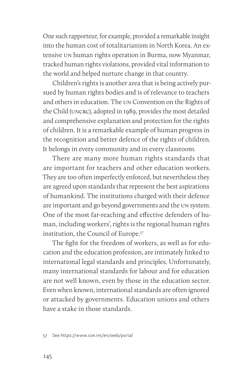One such rapporteur, for example, provided a remarkable insight into the human cost of totalitarianism in North Korea. An extensive un human rights operation in Burma, now Myanmar, tracked human rights violations, provided vital information to the world and helped nurture change in that country.

Children's rights is another area that is being actively pursued by human rights bodies and is of relevance to teachers and others in education. The un Convention on the Rights of the Child (uncrc), adopted in 1989, provides the most detailed and comprehensive explanation and protection for the rights of children. It is a remarkable example of human progress in the recognition and better defence of the rights of children. It belongs in every community and in every classroom.

There are many more human rights standards that are important for teachers and other education workers. They are too often imperfectly enforced, but nevertheless they are agreed upon standards that represent the best aspirations of humankind. The institutions charged with their defence are important and go beyond governments and the un system. One of the most far-reaching and effective defenders of human, including workers', rights is the regional human rights institution, the Council of Europe.<sup>57</sup>

The fight for the freedom of workers, as well as for education and the education profession, are intimately linked to international legal standards and principles. Unfortunately, many international standards for labour and for education are not well known, even by those in the education sector. Even when known, international standards are often ignored or attacked by governments. Education unions and others have a stake in those standards.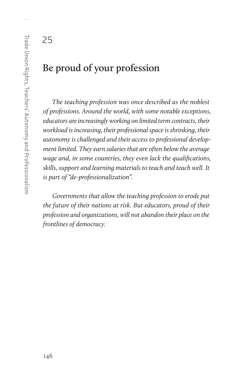25

# **Be proud of your profession**

*The teaching profession was once described as the noblest of professions. Around the world, with some notable exceptions, educators are increasingly working on limited term contracts, their workload is increasing, their professional space is shrinking, their autonomy is challenged and their access to professional development limited. They earn salaries that are often below the average wage and, in some countries, they even lack the qualifications, skills, support and learning materials to teach and teach well. It is part of "de-professionalization".*

*Governments that allow the teaching profession to erode put the future of their nations at risk. But educators, proud of their profession and organizations, will not abandon their place on the frontlines of democracy.*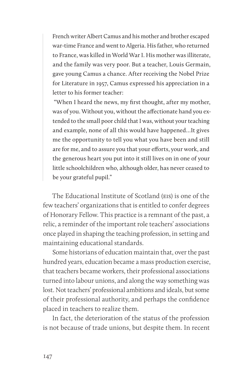French writer Albert Camus and his mother and brother escaped war-time France and went to Algeria. His father, who returned to France, was killed in World War I. His mother was illiterate, and the family was very poor. But a teacher, Louis Germain, gave young Camus a chance. After receiving the Nobel Prize for Literature in 1957, Camus expressed his appreciation in a letter to his former teacher:

 "When I heard the news, my first thought, after my mother, was of you. Without you, without the affectionate hand you extended to the small poor child that I was, without your teaching and example, none of all this would have happened…It gives me the opportunity to tell you what you have been and still are for me, and to assure you that your efforts, your work, and the generous heart you put into it still lives on in one of your little schoolchildren who, although older, has never ceased to be your grateful pupil."

The Educational Institute of Scotland (eis) is one of the few teachers' organizations that is entitled to confer degrees of Honorary Fellow. This practice is a remnant of the past, a relic, a reminder of the important role teachers' associations once played in shaping the teaching profession, in setting and maintaining educational standards.

Some historians of education maintain that, over the past hundred years, education became a mass production exercise, that teachers became workers, their professional associations turned into labour unions, and along the way something was lost. Not teachers' professional ambitions and ideals, but some of their professional authority, and perhaps the confidence placed in teachers to realize them.

In fact, the deterioration of the status of the profession is not because of trade unions, but despite them. In recent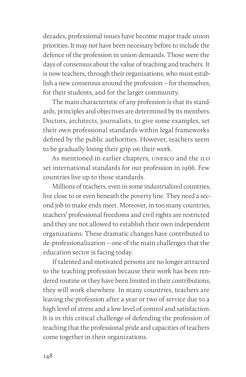decades, professional issues have become major trade union priorities. It may not have been necessary before to include the defence of the profession in union demands. Those were the days of consensus about the value of teaching and teachers. It is now teachers, through their organisations, who must establish a new consensus around the profession – for themselves, for their students, and for the larger community.

The main characteristic of any profession is that its standards, principles and objectives are determined by its members. Doctors, architects, journalists, to give some examples, set their own professional standards within legal frameworks defined by the public authorities. However, teachers seem to be gradually losing their grip on their work.

As mentioned in earlier chapters, UNESCO and the ILO set international standards for our profession in 1966. Few countries live up to those standards.

Millions of teachers, even in some industrialized countries, live close to or even beneath the poverty line. They need a second job to make ends meet. Moreover, in too many countries, teachers' professional freedoms and civil rights are restricted and they are not allowed to establish their own independent organizations. These dramatic changes have contributed to de-professionalization – one of the main challenges that the education sector is facing today.

If talented and motivated persons are no longer attracted to the teaching profession because their work has been rendered routine or they have been limited in their contributions, they will work elsewhere. In many countries, teachers are leaving the profession after a year or two of service due to a high level of stress and a low level of control and satisfaction. It is in this critical challenge of defending the profession of teaching that the professional pride and capacities of teachers come together in their organizations.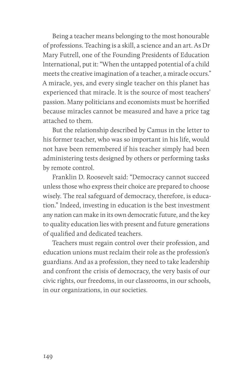Being a teacher means belonging to the most honourable of professions. Teaching is a skill, a science and an art. As Dr Mary Futrell, one of the Founding Presidents of Education International, put it: "When the untapped potential of a child meets the creative imagination of a teacher, a miracle occurs." A miracle, yes, and every single teacher on this planet has experienced that miracle. It is the source of most teachers' passion. Many politicians and economists must be horrified because miracles cannot be measured and have a price tag attached to them.

But the relationship described by Camus in the letter to his former teacher, who was so important in his life, would not have been remembered if his teacher simply had been administering tests designed by others or performing tasks by remote control.

Franklin D. Roosevelt said: "Democracy cannot succeed unless those who express their choice are prepared to choose wisely. The real safeguard of democracy, therefore, is education." Indeed, investing in education is the best investment any nation can make in its own democratic future, and the key to quality education lies with present and future generations of qualified and dedicated teachers.

Teachers must regain control over their profession, and education unions must reclaim their role as the profession's guardians. And as a profession, they need to take leadership and confront the crisis of democracy, the very basis of our civic rights, our freedoms, in our classrooms, in our schools, in our organizations, in our societies.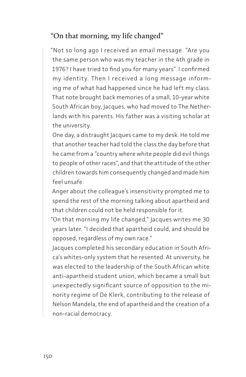# **"On that morning, my life changed"**

"Not so long ago I received an email message. "Are you the same person who was my teacher in the 4th grade in 1976? I have tried to find you for many years". I confirmed my identity. Then I received a long message informing me of what had happened since he had left my class. That note brought back memories of a small, 10-year white South African boy, Jacques, who had moved to The Netherlands with his parents. His father was a visiting scholar at the university.

One day, a distraught Jacques came to my desk. He told me that another teacher had told the class the day before that he came from a "country where white people did evil things to people of other races", and that the attitude of the other children towards him consequently changed and made him feel unsafe.

Anger about the colleague's insensitivity prompted me to spend the rest of the morning talking about apartheid and that children could not be held responsible for it.

"On that morning my life changed," Jacques writes me 30 years later. "I decided that apartheid could, and should be opposed, regardless of my own race."

Jacques completed his secondary education in South Africa's whites-only system that he resented. At university, he was elected to the leadership of the South African white anti-apartheid student union, which became a small but unexpectedly significant source of opposition to the minority regime of De Klerk, contributing to the release of Nelson Mandela, the end of apartheid and the creation of a non-racial democracy.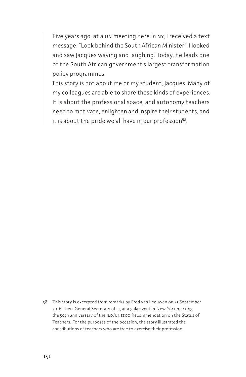Five years ago, at a un meeting here in ny, I received a text message: "Look behind the South African Minister". I looked and saw Jacques waving and laughing. Today, he leads one of the South African government's largest transformation policy programmes.

This story is not about me or my student, Jacques. Many of my colleagues are able to share these kinds of experiences. It is about the professional space, and autonomy teachers need to motivate, enlighten and inspire their students, and it is about the pride we all have in our profession $58$ .

58 This story is excerpted from remarks by Fred van Leeuwen on 21 September 2016, then-General Secretary of ei, at a gala event in New York marking the 50th anniversary of the ilo/unesco Recommendation on the Status of Teachers. For the purposes of the occasion, the story illustrated the contributions of teachers who are free to exercise their profession.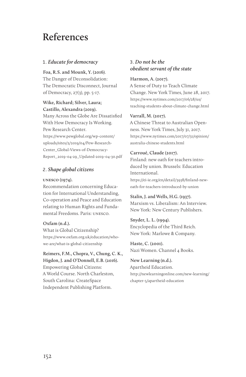# **References**

# 1. *Educate for democracy*

**Foa, R.S. and Mounk, Y. (2016)**. The Danger of Deconsolidation: The Democratic Disconnect, Journal of Democracy, 27(3), pp. 5-17.

# **Wike, Richard; Silver, Laura; Castillo, Alexandra (2019).**

Many Across the Globe Are Dissatisfied With How Democracy Is Working. Pew Research Center.

https://www.pewglobal.org/wp-content/ uploads/sites/2/2019/04/Pew-Research-Center\_Global-Views-of-Democracy-Report\_2019-04-29\_Updated-2019-04-30.pdf

# 2. *Shape global citizens*

## **unesco (1974).**

Recommendation concerning Education for International Understanding, Co-operation and Peace and Education relating to Human Rights and Fundamental Freedoms. Paris: unesco.

# **Oxfam (n.d.).**

What is Global Citizenship? https://www.oxfam.org.uk/education/whowe-are/what-is-global-citizenship

**Reimers, F.M., Chopra, V., Chung, C. K., Higdon, J. and O'Donnell, E.B. (2016).** 

Empowering Global Citizens: A World Course. North Charleston, South Carolina: CreateSpace Independent Publishing Platform.

# 3. *Do not be the obedient servant of the state*

**Harmon, A. (2017).**  A Sense of Duty to Teach Climate Change. New York Times, June 28, 2017. https://www.nytimes.com/2017/06/28/us/

teaching-students-about-climate-change.html

# **Varrall, M. (2017).**

A Chinese Threat to Australian Openness. New York Times, July 31, 2017. https://www.nytimes.com/2017/07/31/opinion/ australia-chinese-students.html

# **Carroué, Claude (2017).**

Finland: new oath for teachers introduced by union. Brussels: Education International.

https://ei-ie.org/en/detail/3938/finland-newoath-for-teachers-introduced-by-union

**Stalin, J. and Wells, H.G. (1937).**  Marxism vs. Liberalism: An Interview. New York: New Century Publishers.

**Snyder, L. L. (1994).**  Encyclopedia of the Third Reich. New York: Marlowe & Company.

**Haste, C. (2001).**  Nazi Women. Channel 4 Books.

**New Learning (n.d.).**  Apartheid Education. http://newlearningonline.com/new-learning/ chapter-5/apartheid-education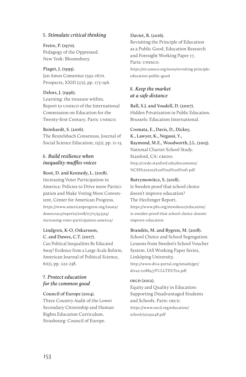## 5. *Stimulate critical thinking*

**Freire, P. (1970).**  Pedagogy of the Oppressed. New York: Bloomsbury.

**Piaget, J. (1993).**  Jan Amos Comenius 1592-1670. Prospects, XXIII (1/2), pp. 173-196.

**Delors, J. (1996).**  Learning: the treasure within. Report to unesco of the International Commission on Education for the Twenty-first Century. Paris: unesco.

#### **Reinhardt, S. (2016).**

The Beutelsbach Consensus, Journal of Social Science Education, 15(2), pp. 11-13.

# 6. *Build resilience when inequality muffles voices*

### **Root, D. and Kennedy, L. (2018).**

Increasing Voter Participation in America: Policies to Drive more Participation and Make Voting More Convenient, Center for American Progress. https://www.americanprogress.org/issues/ democracy/reports/2018/07/11/453319/ increasing-voter-participation-america/

#### **Lindgren, K-O, Oskarsson, C. and Dawes, C.T. (2017).**

Can Political Inequalities Be Educated Away? Evidence from a Large-Scale Reform, American Journal of Political Science, 61(1), pp. 222-238.

# 7. *Protect education for the common good*

**Council of Europe (2014).**  Three Country Audit of the Lower Secondary Citizenship and Human Rights Education Curriculum. Strasbourg: Council of Europe.

### **Daviet, B. (2016).**

Revisiting the Principle of Education as a Public Good, Education Research and Foresight Working Paper 17. Paris: unesco. https://en.unesco.org/news/revisiting-principleeducation-public-good

# 8. *Keep the market at a safe distance*

**Ball, S.J. and Youdell, D. (2007).**  Hidden Privatization in Public Education. Brussels: Education International.

# **Cremata, E., Davis, D., Dickey,**

**K., Lawyer, K., Negassi, Y., Raymond, M.E., Woodworth, J.L. (2013).**  National Charter School Study. Stanford, CA: CREDO. http://credo.stanford.edu/documents/ NCSS%202013%20Final%20Draft.pdf

#### **Butrymowitcz, S. (2018).**

Is Sweden proof that school choice doesn't improve education? The Hechinger Report, https://www.pbs.org/newshour/education/ is-sweden-proof-that-school-choice-doesntimprove-education

#### **Brandén, M. and Bygren, M. (2018).**

School Choice and School Segregation: Lessons from Sweden's School Voucher System. IAS Working Paper Series, Linköping University. http://www.diva-portal.org/smash/get/ diva2:1218847/FULLTEXT02.pdf

#### **OECD** (2012).

Equity and Quality in Education: Supporting Disadvantaged Students and Schools. Paris: OECD. https://www.oecd.org/education/ school/50293148.pdf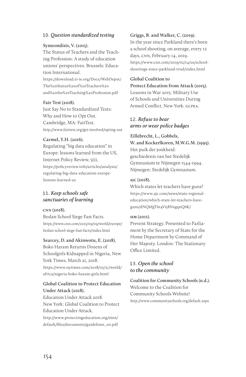# 10. *Question standardized testing*

#### **Symeondisis, V. (2015).**

The Status of Teachers and the Teaching Profession: A study of education unions' perspectives. Brussels: Education International.

https://download.ei-ie.org/Docs/WebDepot/ The%20Status%20of%20Teachers%20 and%20the%20Teaching%20Profession.pdf

## **Fair Test (2018).**

Just Say No to Standardized Tests: Why and How to Opt Out. Cambridge, MA: FairTest. http://www.fairtest.org/get-involved/opting-out

#### **Carmel, Y.H. (2016).**

Regulating "big data education" in Europe: lessons learned from the US, Internet Policy Review, 5(1), https://policyreview.info/articles/analysis/ regulating-big-data-education-europelessons-learned-us

# 11. *Keep schools safe sanctuaries of learning*

#### **cnn (2018).**

Beslan School Siege Fast Facts. https://www.cnn.com/2013/09/09/world/europe/ beslan-school-siege-fast-facts/index.html

#### **Searcey, D. and Akinwotu, E. (2018).**

Boko Haram Returns Dozens of Schoolgirls Kidnapped in Nigeria, New York Times, March 21, 2018. https://www.nytimes.com/2018/03/21/world/

africa/nigeria-boko-haram-girls.html

# **Global Coalition to Protect Education Under Attack (2018).**

Education Under Attack 2018. New York: Global Coalition to Protect Education Under Attack.

http://www.protectingeducation.org/sites/ default/files/documents/guidelines\_en.pdf

### **Griggs, B. and Walker, C. (2019).**

In the year since Parkland there's been a school shooting, on average, every 12 days, cnn, February 14, 2019. https://www.cnn.com/2019/02/14/us/schoolshootings-since-parkland-trnd/index.html

# **Global Coalition to**

**Protect Education from Attack (2015).**  Lessons in War 2015: Military Use of Schools and Universities During Armed Conflict. New York: gcpea.

# 12. *Refuse to bear arms or wear police badges*

**Eillebrecht, L., Gobbels, W. and Kockerlkoren, M.W.G.M. (1995).**  Het puik der jonkheid: geschiedenis van het Stedelijk Gymnasium te Nijmegen 1544-1994. Nijmegen: Stedelijk Gymnasium.

### **ajc (2018).**

Which states let teachers have guns? https://www.ajc.com/news/state-regionaleducation/which-state-let-teachers-haveguns/dNQ6fgT6r4Vi58NxgqnQ6K/

#### **hm (2011).**

Prevent Strategy. Presented to Parliament by the Secretary of State for the Home Department by Command of Her Majesty. London: The Stationary Office Limited.

# 13. *Open the school to the community*

**Coalition for Community Schools (n.d.).**  Welcome to the Coalition for Community Schools Website! http://www.communityschools.org/default.aspx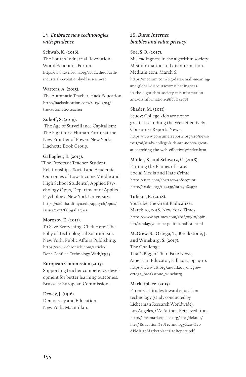# 14. *Embrace new technologies with prudence*

**Schwab, K. (2016).**  The Fourth Industrial Revolution, World Economic Forum. https://www.weforum.org/about/the-fourthindustrial-revolution-by-klaus-schwab

## **Watters, A. (2015).**

The Automatic Teacher, Hack Education. http://hackeducation.com/2015/02/04/ the-automatic-teacher

# **Zuboff, S. (2019).**

 The Age of Surveillance Capitalism: The Fight for a Human Future at the New Frontier of Power. New York: Hachette Book Group.

## **Gallagher, E. (2013).**

"The Effects of Teacher-Student Relationships: Social and Academic Outcomes of Low-Income Middle and High School Students", Applied Psychology Opus, Department of Applied Psychology, New York University. https://steinhardt.nyu.edu/appsych/opus/ issues/2013/fall/gallagher

#### **Morozov, E. (2013).**

To Save Everything, Click Here: The Folly of Technological Solutionism. New York: Public Affairs Publishing. https://www.chronicle.com/article/ Dont-Confuse-Technology-With/133551

# **European Commission (2013).**

Supporting teacher competency development for better learning outcomes. Brussels: European Commission.

**Dewey, J. (1916).**  Democracy and Education. New York: Macmillan.

# 15. *Burst Internet bubbles and value privacy*

## **Søe, S.O. (2017).**

Misleadingness in the algorithm society: Misinformation and disinformation. Medium.com. March 6. https://medium.com/big-data-small-meaningand-global-discourses/misleadingnessin-the-algorithm-society-misinformationand-disinformation-28f78f14e78f

# **Shader, M. (2011).**

Study: College kids are not so great at searching the Web effectively. Consumer Reports News. https://www.consumerreports.org/cro/news/ 2011/08/study-college-kids-are-not-so-greatat-searching-the-web-effectively/index.htm

## **Müller, K. and Schwarz, C. (2018).**

Fanning the Flames of Hate: Social Media and Hate Crime https://ssrn.com/abstract=3082972 or http://dx.doi.org/10.2139/ssrn.3082972

# **Tufekci, R. (2018).**

YouTube, the Great Radicalizer. March 10, 2018. New York Times, https://www.nytimes.com/2018/03/10/opinion/sunday/youtube-politics-radical.html

### **McGrew, S., Ortega, T., Breakstone, J. and Wineburg, S. (2017).**

The Challenge That's Bigger Than Fake News, American Educator, Fall 2017, pp. 4-10. https://www.aft.org/ae/fall2017/mcgrew\_ ortega\_breakstone\_wineburg

#### **Marketplace. (2015).**

Parents' attitudes toward education technology (study conducted by Lieberman Research Worldwide). Los Angeles, CA: Author. Retrieved from http://cms.marketplace.org/sites/default/ files/ Education%20Technology%20-%20 APM% 20Marketplace%20Report.pdf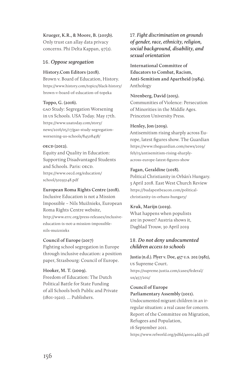### **Krueger, K.R., & Moore, B. (2015b).**

Only trust can allay data privacy concerns. Phi Delta Kappan, 97(2).

## 16. *Oppose segregation*

## **History.Com Editors (2018).**

Brown v. Board of Education, History. https://www.history.com/topics/black-history/ brown-v-board-of-education-of-topeka

#### **Toppo, G. (2016).**

gao Study: Segregation Worsening in us Schools. USA Today. May 17th. https://www.usatoday.com/story/ news/2016/05/17/gao-study-segregationworsening-us-schools/84508438/

#### **OECD** (2012).

Equity and Quality in Education: Supporting Disadvantaged Students and Schools. Paris: OECD. https://www.oecd.org/education/ school/50293148.pdf

#### **European Roma Rights Centre (2018).**

Inclusive Education is not a Mission Impossible – Nils Muižnieks, European Roma Rights Centre website, http://www.errc.org/press-releases/inclusiveeducation-is-not-a-mission-impossiblenils-muiznieks

#### **Council of Europe (2017)**

Fighting school segregation in Europe through inclusive education: a position paper, Strasbourg: Council of Europe.

#### **Hooker, M. T. (2009).**

Freedom of Education: The Dutch Political Battle for State Funding of all Schools both Public and Private (1801-1920). … Publishers.

# 17. *Fight discrimination on grounds of gender, race, ethnicity, religion, social background, disability, and sexual orientation*

**International Committee of Educators to Combat, Racism, Anti-Semitism and Apartheid (1984).**  Anthology

# **Nirenberg, David (2015).**

Communities of Violence: Persecution of Minorities in the Middle Ages. Princeton University Press.

## **Henley, Jon (2019).**

Antisemitism rising sharply across Europe, latest figures show. The Guardian https://www.theguardian.com/news/2019/ feb/15/antisemitism-rising-sharplyacross-europe-latest-figures-show

## **Fagan, Geraldine (2018).**

Political Christianity in Orbán's Hungary. 3 April 2018. East West Church Review https://budapestbeacon.com/politicalchristianity-in-orbans-hungary/

# **Kruk, Marijn (2019).**

What happens when populists are in power? Austria shows it, Dagblad Trouw, 30 April 2019

# 18. *Do not deny undocumented children access to schools*

**Justia (n.d.). Plyer v. Doe, 457 u.s. 202 (1982),** us Supreme Court. https://supreme.justia.com/cases/federal/ us/457/202/

# **Council of Europe Parliamentary Assembly (2011).**

Undocumented migrant children in an irregular situation: a real cause for concern. Report of the Committee on Migration, Refugees and Population, 16 September 2011. https://www.refworld.org/pdfid/4ee0c4dd2.pdf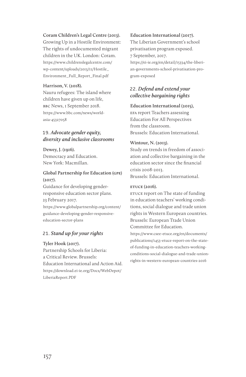#### **Coram Children's Legal Centre (2013).**

Growing Up in a Hostile Environment: The rights of undocumented migrant children in the UK. London: Coram. https://www.childrenslegalcentre.com/ wp-content/uploads/2013/11/Hostile\_ Environment\_Full\_Report\_Final.pdf

#### **Harrison, V. (2018).**

Nauru refugees: The island where children have given up on life, BBC News, I September 2018. https://www.bbc.com/news/worldasia-45327058

# 19. *Advocate gender equity, diversity and inclusive classrooms*

**Dewey, J. (1916).**  Democracy and Education. New York: Macmillan.

# **Global Partnership for Education (gpe) (2017).**

Guidance for developing genderresponsive education sector plans. 23 February 2017.

https://www.globalpartnership.org/content/ guidance-developing-gender-responsiveeducation-sector-plans

# 21. *Stand up for your rights*

#### **Tyler Hook (2017).**

Partnership Schools for Liberia: a Critical Review. Brussels: Education International and Action Aid. https://download.ei-ie.org/Docs/WebDepot/ LiberiaReport.PDF

#### **Education International (2017).**

The Liberian Government's school privatisation program exposed. 7 September, 2017.

https://ei-ie.org/en/detail/15334/the-liberian-governments-school-privatisation-program-exposed

# 22. *Defend and extend your collective bargaining rights*

**Education International (2015),**  efa report Teachers assessing Education For All Perspectives from the classroom. Brussels: Education International.

## **Wintour, N. (2013).**

Study on trends in freedom of association and collective bargaining in the education sector since the financial crisis 2008-2013.

Brussels: Education International.

#### **etuce (2016).**

etuce report on The state of funding in education teachers' working conditions, social dialogue and trade union rights in Western European countries. Brussels: European Trade Union Committee for Education.

https://www.csee-etuce.org/en/documents/ publications/1453-etuce-report-on-the-stateof-funding-in-education-teachers-workingconditions-social-dialogue-and-trade-unionrights-in-western-european-countries-2016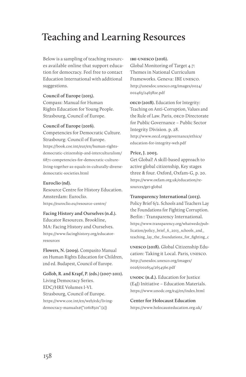# **Teaching and Learning Resources**

Below is a sampling of teaching resources available online that support education for democracy. Feel free to contact Education International with additional suggestions.

## **Council of Europe (2015).**

Compass: Manual for Human Rights Education for Young People. Strasbourg, Council of Europe.

### **Council of Europe (2016).**

Competencies for Democratic Culture. Strasbourg: Council of Europe. https://book.coe.int/eur/en/human-rightsdemocratic-citizenship-and-interculturalism/ 6871-competencies-for-democratic-cultureliving-together-as-equals-in-culturally-diversedemocratic-societies.html

#### **Euroclio (nd).**

Resource Centre for History Education. Amsterdam: Euroclio. https://euroclio.eu/resource-centre/

#### **Facing History and Ourselves (n.d.).**

Educator Resources. Brookline, MA: Facing History and Ourselves. https://www.facinghistory.org/educatorresources

**Flowers, N. (2009).** Compasito Manual on Human Rights Education for Children, 2nd ed. Budapest, Council of Europe.

**Gollob, R. and Krapf, P. (eds.) (2007-2011).**  Living Democracy Series. EDC/HRE Volumes I-VI. Strasbourg, Council of Europe. https://www.coe.int/en/web/edc/livingdemocracy-manuals#{"10618501":[2]}

## **ibe-unesco (2016).**

Global Monitoring of Target 4.7: Themes in National Curriculum Frameworks. Geneva: IBE unesco. http://unesdoc.unesco.org/images/0024/ 002463/246382e.pdf

**oecd** (2018). Education for Integrity: Teaching on Anti-Corruption, Values and the Rule of Law. Paris, oecp Directorate for Public Governance – Public Sector Integrity Division. p. 28. http://www.oecd.org/governance/ethics/ education-for-integrity-web.pdf

#### **Price, J. 2003.**

Get Global! A skill-based approach to active global citizenship, Key stages three & four. Oxford, Oxfam-G, p. 20. https://www.oxfam.org.uk/education/resources/get-global

## **Transparency International (2013).**

Policy Brief 6/2. Schools and Teachers Lay the Foundations for Fighting Corruption. Berlin : Transparency International. https://www.transparency.org/whatwedo/publication/policy\_brief\_6\_2013\_schools\_and\_ teaching\_lay\_the\_foundations\_for\_fighting\_c

**unesco (2018).** Global Citizenship Education: Taking it Local. Paris, unesco. http://unesdoc.unesco.org/images/ 0026/002654/265456e.pdf

**unodc (n.d.).** Education for Justice (E4J) Initiative – Education Materials. https://www.unodc.org/e4j/en/index.html

**Center for Holocaust Education**  https://www.holocausteducation.org.uk/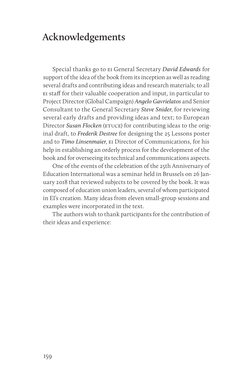# **Acknowledgements**

Special thanks go to ei General Secretary *David Edwards* for support of the idea of the book from its inception as well as reading several drafts and contributing ideas and research materials; to all ei staff for their valuable cooperation and input, in particular to Project Director (Global Campaign) *Angelo Gavrielatos* and Senior Consultant to the General Secretary *Steve Snider*, for reviewing several early drafts and providing ideas and text; to European Director *Susan Flocken* (ETUCE) for contributing ideas to the original draft, to *Frederik Destree* for designing the 25 Lessons poster and to *Timo Linsenmaier*, ei Director of Communications, for his help in establishing an orderly process for the development of the book and for overseeing its technical and communications aspects.

One of the events of the celebration of the 25th Anniversary of Education International was a seminar held in Brussels on 26 January 2018 that reviewed subjects to be covered by the book. It was composed of education union leaders, several of whom participated in EI's creation. Many ideas from eleven small-group sessions and examples were incorporated in the text.

The authors wish to thank participants for the contribution of their ideas and experience: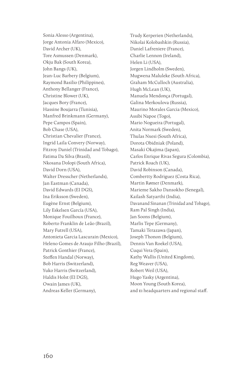Sonia Alesso (Argentina), Jorge Antonia Alfaro (Mexico), David Archer (UK), Tore Asmussen (Denmark), Okju Bak (South Korea), John Bangs (UK), Jean-Luc Barbery (Belgium), Raymond Basilio (Philippines), Anthony Bellanger (France), Christine Blower (UK), Jacques Bory (France), Hassine Boujarra (Tunisia), Manfred Brinkmann (Germany), Pepe Campos (Spain), Bob Chase (USA), Christian Chevalier (France), Ingrid Laila Convery (Norway), Fitzroy Daniel (Trinidad and Tobago), Fatima Da Silva (Brasil), Nkosana Dolopi (South Africa), David Dorn (USA), Walter Dresscher (Netherlands), Jan Eastman (Canada), David Edwards (EI DGS), Ina Eriksson (Sweden), Eugène Ernst (Belgium), Lily Eskelsen García (USA), Monique Fouilhoux (France), Roberto Franklin de Leão (Brazil), Mary Futrell (USA), Antonieta Garcia Lascurain (Mexico), Heleno Gomes de Araujo Filho (Brazil), Patrick Gonthier (France), Steffen Handal (Norway), Bob Harris (Switzerland), Yuko Harris (Switzerland), Haldis Holst (EI DGS), Owain James (UK), Andreas Keller (Germany),

Trudy Kerperien (Netherlands), Nikolai Kolobashkin (Russia), Daniel Lafreniere (France), Charlie Lennon (Ireland), Helen Li (USA), Jorgen Lindholm (Sweden), Mugwena Maluleke (South Africa), Graham McCulloch (Australia), Hugh McLean (UK), Manuela Mendonça (Portugal), Galina Merkoulova (Russia), Maurino Morales Garcia (Mexico), Assibi Napoe (Togo), Mario Nogueira (Portugal), Anita Normark (Sweden), Thulas Nxesi (South Africa), Dorota Obidniak (Poland), Masaki Okajima (Japan), Carlos Enrique Rivas Segura (Colombia), Patrick Roach (UK), David Robinson (Canada), Combertty Rodriguez (Costa Rica), Martin Rømer (Denmark), Marieme Sakho Dansokho (Senegal), Kailash Satyarthi (India), Davanand Sinanan (Trinidad and Tobago), Ram Pal Singh (India), Jan Soons (Belgium), Marlis Tepe (Germany), Tamaki Terazawa (Japan), Joseph Thonon (Belgium), Dennis Van Roekel (USA), Cuqui Vera (Spain), Kathy Wallis (United Kingdom), Reg Weaver (USA), Robert Weil (USA), Hugo Yasky (Argentina), Moon Young (South Korea), and ei headquarters and regional staff.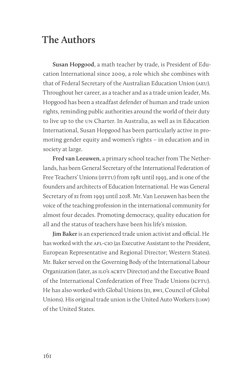# **The Authors**

**Susan Hopgood**, a math teacher by trade, is President of Education International since 2009, a role which she combines with that of Federal Secretary of the Australian Education Union (aeu). Throughout her career, as a teacher and as a trade union leader, Ms. Hopgood has been a steadfast defender of human and trade union rights, reminding public authorities around the world of their duty to live up to the un Charter. In Australia, as well as in Education International, Susan Hopgood has been particularly active in promoting gender equity and women's rights – in education and in society at large.

**Fred van Leeuwen**, a primary school teacher from The Netherlands, has been General Secretary of the International Federation of Free Teachers' Unions (IFFTU) from 1981 until 1993, and is one of the founders and architects of Education International. He was General Secretary of ei from 1993 until 2018. Mr. Van Leeuwen has been the voice of the teaching profession in the international community for almost four decades. Promoting democracy, quality education for all and the status of teachers have been his life's mission.

**Jim Baker** is an experienced trade union activist and official. He has worked with the AFL-CIO (as Executive Assistant to the President, European Representative and Regional Director; Western States). Mr. Baker served on the Governing Body of the International Labour Organization (later, as ilo's acrtv Director) and the Executive Board of the International Confederation of Free Trade Unions (ICFTU). He has also worked with Global Unions (ei, bwi, Council of Global Unions). His original trade union is the United Auto Workers (uaw) of the United States.